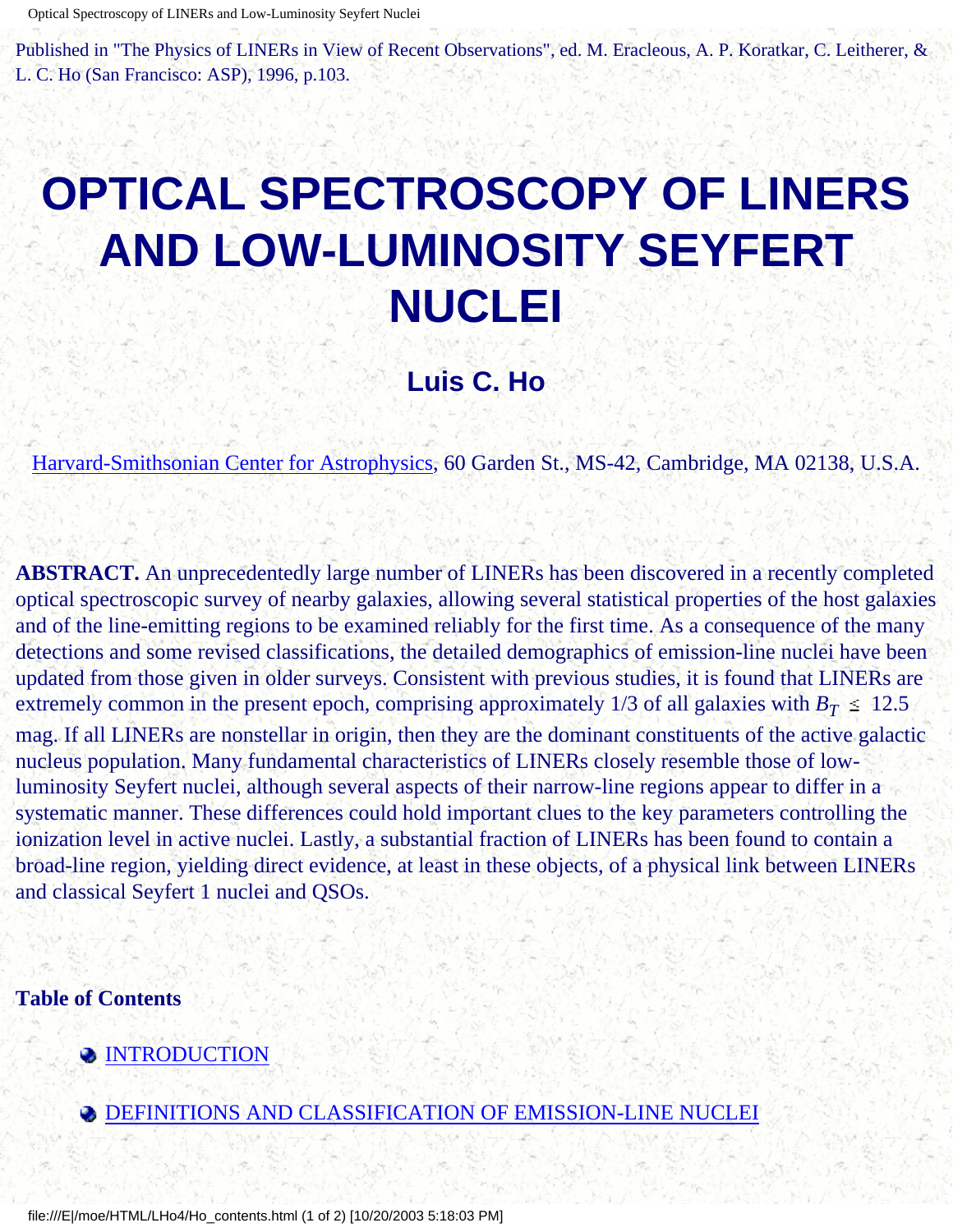Published in "The Physics of LINERs in View of Recent Observations", ed. M. Eracleous, A. P. Koratkar, C. Leitherer, & L. C. Ho (San Francisco: ASP), 1996, p.103.

# **OPTICAL SPECTROSCOPY OF LINERS AND LOW-LUMINOSITY SEYFERT NUCLEI**

### **Luis C. Ho**

[Harvard-Smithsonian Center for Astrophysics](http://cfa-www.harvard.edu/), 60 Garden St., MS-42, Cambridge, MA 02138, U.S.A.

**ABSTRACT.** An unprecedentedly large number of LINERs has been discovered in a recently completed optical spectroscopic survey of nearby galaxies, allowing several statistical properties of the host galaxies and of the line-emitting regions to be examined reliably for the first time. As a consequence of the many detections and some revised classifications, the detailed demographics of emission-line nuclei have been updated from those given in older surveys. Consistent with previous studies, it is found that LINERs are extremely common in the present epoch, comprising approximately 1/3 of all galaxies with  $B_T \le 12.5$ mag. If all LINERs are nonstellar in origin, then they are the dominant constituents of the active galactic nucleus population. Many fundamental characteristics of LINERs closely resemble those of lowluminosity Seyfert nuclei, although several aspects of their narrow-line regions appear to differ in a systematic manner. These differences could hold important clues to the key parameters controlling the ionization level in active nuclei. Lastly, a substantial fraction of LINERs has been found to contain a broad-line region, yielding direct evidence, at least in these objects, of a physical link between LINERs and classical Seyfert 1 nuclei and QSOs.

#### **Table of Contents**

- **B** [INTRODUCTION](#page-2-0)
- **[DEFINITIONS AND CLASSIFICATION OF EMISSION-LINE NUCLEI](#page-3-0)**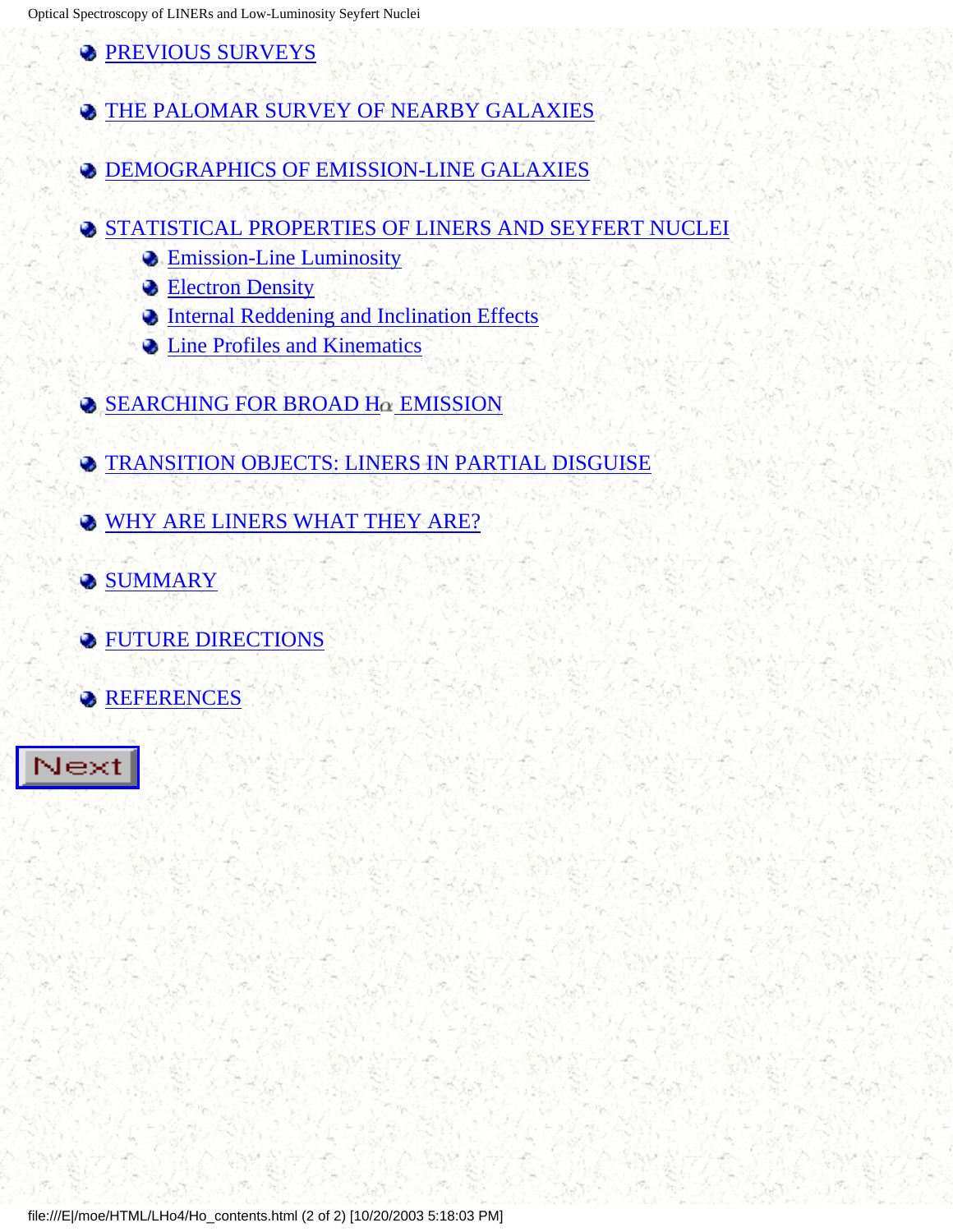**[PREVIOUS SURVEYS](#page-6-0)** 

- **[THE PALOMAR SURVEY OF NEARBY GALAXIES](#page-8-0)**
- **[DEMOGRAPHICS OF EMISSION-LINE GALAXIES](#page-11-0)**
- [STATISTICAL PROPERTIES OF LINERS AND SEYFERT NUCLEI](#page-14-0)
	- **[Emission-Line Luminosity](#page-14-0)**
	- **[Electron Density](#page-16-0)**
	- **[Internal Reddening and Inclination Effects](#page-17-0)**
	- **Example 2 [Line Profiles and Kinematics](#page-19-0)**
- $\odot$  SEARCHING FOR BROAD H $\alpha$  EMISSION
- [TRANSITION OBJECTS: LINERS IN PARTIAL DISGUISE](#page-27-0)
- [WHY ARE LINERS WHAT THEY ARE?](#page-29-0)
- [SUMMARY](#page-31-0)
- **B** [FUTURE DIRECTIONS](#page-33-0)
- **[REFERENCES](#page-36-0)**

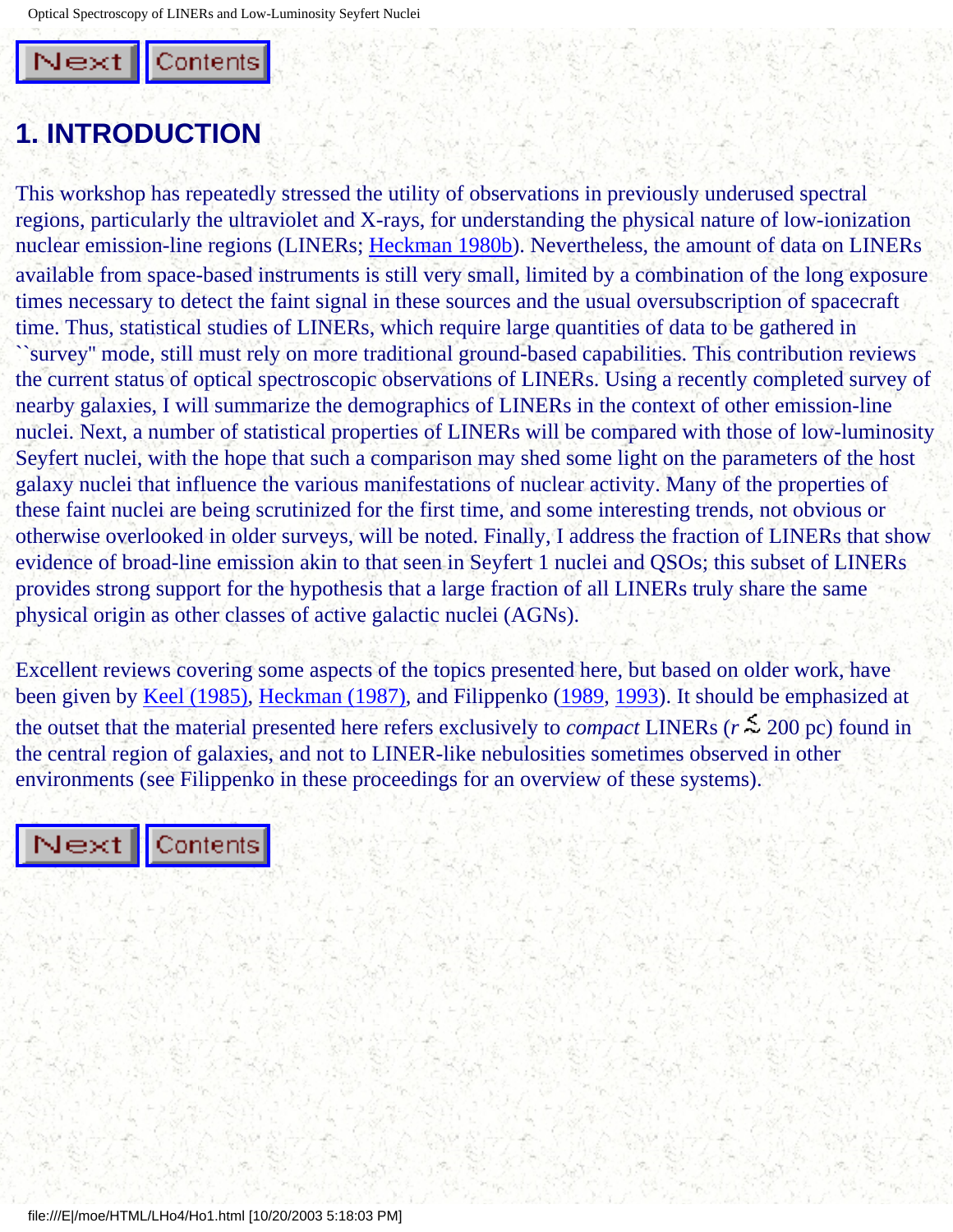<span id="page-2-0"></span>Next Contents

### **1. INTRODUCTION**

This workshop has repeatedly stressed the utility of observations in previously underused spectral regions, particularly the ultraviolet and X-rays, for understanding the physical nature of low-ionization nuclear emission-line regions (LINERs; [Heckman 1980b](#page-37-0)). Nevertheless, the amount of data on LINERs available from space-based instruments is still very small, limited by a combination of the long exposure times necessary to detect the faint signal in these sources and the usual oversubscription of spacecraft time. Thus, statistical studies of LINERs, which require large quantities of data to be gathered in ``survey'' mode, still must rely on more traditional ground-based capabilities. This contribution reviews the current status of optical spectroscopic observations of LINERs. Using a recently completed survey of nearby galaxies, I will summarize the demographics of LINERs in the context of other emission-line nuclei. Next, a number of statistical properties of LINERs will be compared with those of low-luminosity Seyfert nuclei, with the hope that such a comparison may shed some light on the parameters of the host galaxy nuclei that influence the various manifestations of nuclear activity. Many of the properties of these faint nuclei are being scrutinized for the first time, and some interesting trends, not obvious or otherwise overlooked in older surveys, will be noted. Finally, I address the fraction of LINERs that show evidence of broad-line emission akin to that seen in Seyfert 1 nuclei and QSOs; this subset of LINERs provides strong support for the hypothesis that a large fraction of all LINERs truly share the same physical origin as other classes of active galactic nuclei (AGNs).

Excellent reviews covering some aspects of the topics presented here, but based on older work, have been given by [Keel \(1985\)](#page-37-1), [Heckman \(1987\),](#page-37-2) and Filippenko (1989, 1993). It should be emphasized at the outset that the material presented here refers exclusively to *compact* LINERs ( $r \approx 200$  pc) found in the central region of galaxies, and not to LINER-like nebulosities sometimes observed in other environments (see Filippenko in these proceedings for an overview of these systems).

Next Contents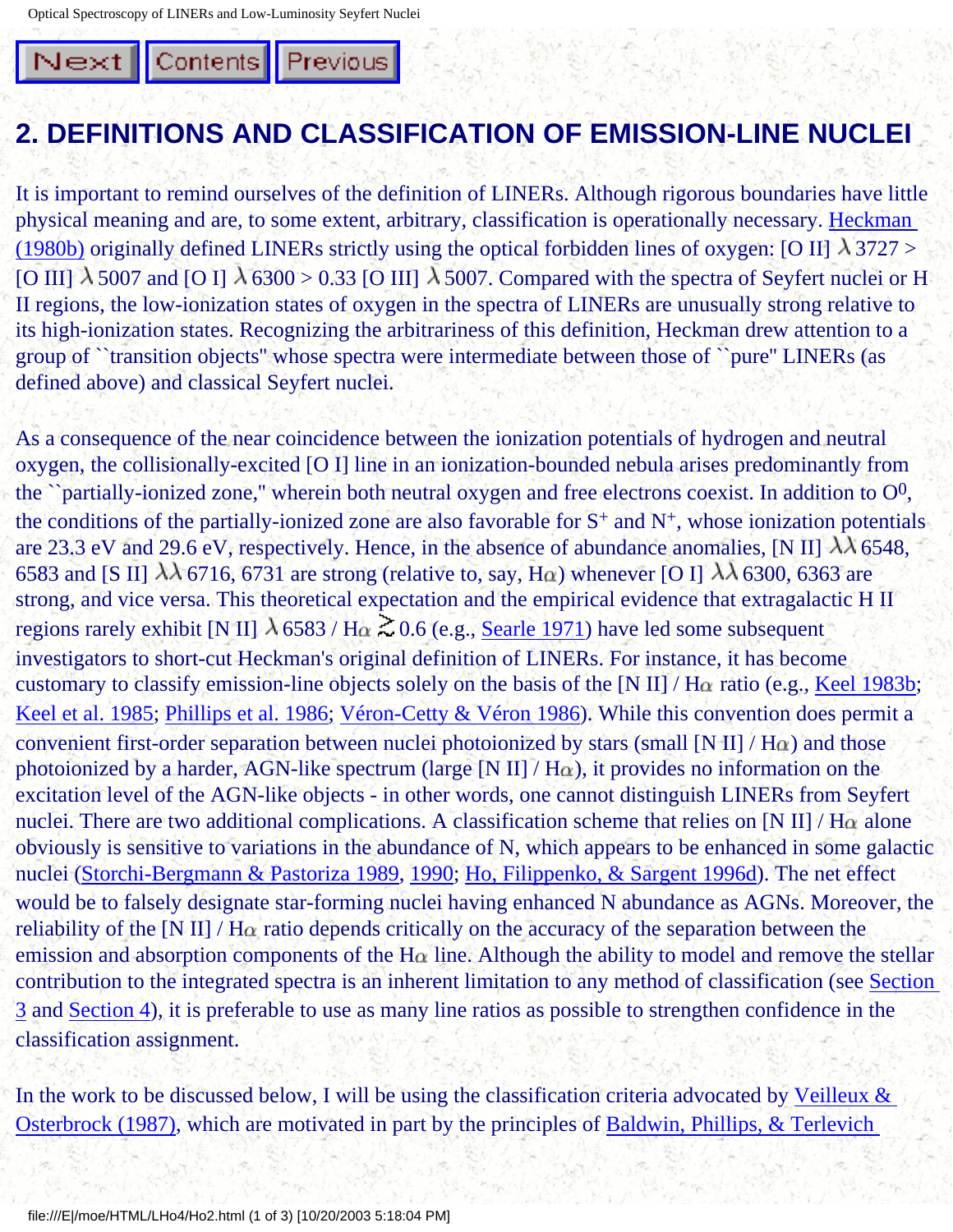### <span id="page-3-0"></span>**2. DEFINITIONS AND CLASSIFICATION OF EMISSION-LINE NUCLEI**

It is important to remind ourselves of the definition of LINERs. Although rigorous boundaries have little physical meaning and are, to some extent, arbitrary, classification is operationally necessary. [Heckman](#page-37-0) [\(1980b\)](#page-37-0) originally defined LINERs strictly using the optical forbidden lines of oxygen: [O II]  $\lambda$  3727 > [O III]  $\lambda$  5007 and [O I]  $\lambda$  6300 > 0.33 [O III]  $\lambda$  5007. Compared with the spectra of Seyfert nuclei or H II regions, the low-ionization states of oxygen in the spectra of LINERs are unusually strong relative to its high-ionization states. Recognizing the arbitrariness of this definition, Heckman drew attention to a group of ``transition objects'' whose spectra were intermediate between those of ``pure'' LINERs (as defined above) and classical Seyfert nuclei.

As a consequence of the near coincidence between the ionization potentials of hydrogen and neutral oxygen, the collisionally-excited [O I] line in an ionization-bounded nebula arises predominantly from the "partially-ionized zone," wherein both neutral oxygen and free electrons coexist. In addition to  $O^0$ , the conditions of the partially-ionized zone are also favorable for  $S<sup>+</sup>$  and  $N<sup>+</sup>$ , whose ionization potentials are 23.3 eV and 29.6 eV, respectively. Hence, in the absence of abundance anomalies, [N II]  $\lambda\lambda$  6548, 6583 and [S II]  $\lambda\lambda$  6716, 6731 are strong (relative to, say, H $\alpha$ ) whenever [O I]  $\lambda\lambda$  6300, 6363 are strong, and vice versa. This theoretical expectation and the empirical evidence that extragalactic H II regions rarely exhibit [N II]  $\lambda$  6583 / H $\alpha \gtrsim 0.6$  (e.g., [Searle 1971\)](#page-38-0) have led some subsequent investigators to short-cut Heckman's original definition of LINERs. For instance, it has become customary to classify emission-line objects solely on the basis of the [N II] / H $\alpha$  ratio (e.g., [Keel 1983b;](#page-37-3) [Keel et al. 1985;](#page-37-4) [Phillips et al. 1986](#page-38-1); Véron-Cetty & Véron 1986). While this convention does permit a convenient first-order separation between nuclei photoionized by stars (small [N II] /  $H<sub>0</sub>$ ) and those photoionized by a harder, AGN-like spectrum (large  $[N II]/H<sub>\alpha</sub>$ ), it provides no information on the excitation level of the AGN-like objects - in other words, one cannot distinguish LINERs from Seyfert nuclei. There are two additional complications. A classification scheme that relies on  $[N II]/H\alpha$  alone obviously is sensitive to variations in the abundance of N, which appears to be enhanced in some galactic nuclei [\(Storchi-Bergmann & Pastoriza 1989,](#page-38-2) 1990; [Ho, Filippenko, & Sargent 1996d](#page-37-5)). The net effect would be to falsely designate star-forming nuclei having enhanced N abundance as AGNs. Moreover, the reliability of the  $[N II] / H\alpha$  ratio depends critically on the accuracy of the separation between the emission and absorption components of the  $Ha$  line. Although the ability to model and remove the stellar contribution to the integrated spectra is an inherent limitation to any method of classification (see Section [3](#page-6-0) and [Section 4\)](#page-8-0), it is preferable to use as many line ratios as possible to strengthen confidence in the classification assignment.

In the work to be discussed below, I will be using the classification criteria advocated by Veilleux  $\&$ Osterbrock (1987), which are motivated in part by the principles of [Baldwin, Phillips, & Terlevich](#page-36-1)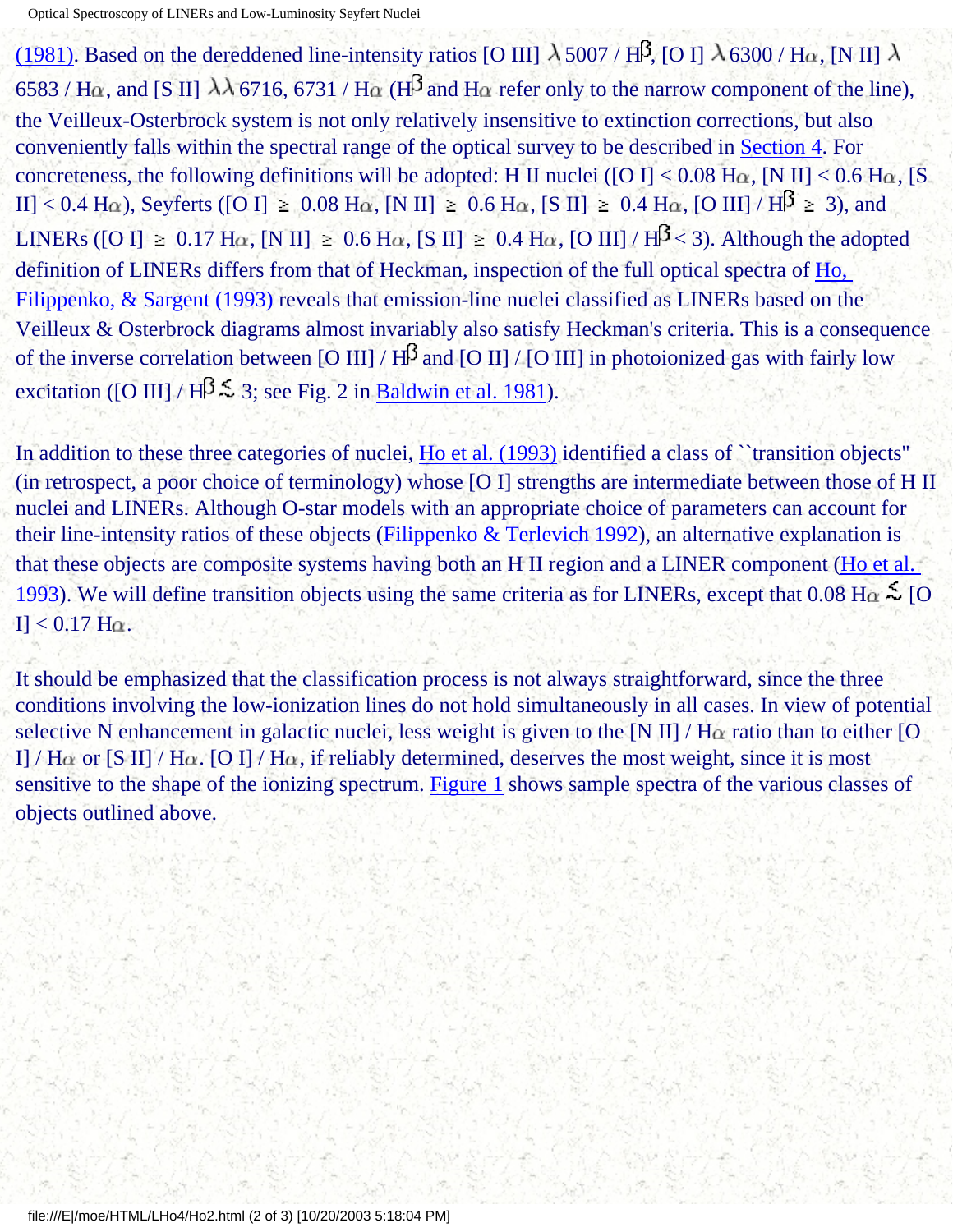[\(1981\)](#page-36-1). Based on the dereddened line-intensity ratios [O III]  $\lambda$  5007 / H<sup>B</sup>, [O I]  $\lambda$  6300 / H $\alpha$ , [N II]  $\lambda$ 6583 / H $\alpha$ , and [S II]  $\lambda\lambda$  6716, 6731 / H $\alpha$  (H<sup>B</sup> and H $\alpha$  refer only to the narrow component of the line), the Veilleux-Osterbrock system is not only relatively insensitive to extinction corrections, but also conveniently falls within the spectral range of the optical survey to be described in [Section 4](#page-8-0). For concreteness, the following definitions will be adopted: H II nuclei ([O I] < 0.08 H $\alpha$ , [N II] < 0.6 H $\alpha$ , [S II]  $< 0.4$  H $\alpha$ ), Seyferts ([O I]  $\ge 0.08$  H $\alpha$ , [N II]  $\ge 0.6$  H $\alpha$ , [S II]  $\ge 0.4$  H $\alpha$ , [O III] / H $\beta \ge 3$ ), and LINERs ([O I]  $\geq 0.17$  H $\alpha$ , [N II]  $\geq 0.6$  H $\alpha$ , [S II]  $\geq 0.4$  H $\alpha$ , [O III] / H $\beta$  < 3). Although the adopted definition of LINERs differs from that of Heckman, inspection of the full optical spectra of [Ho,](#page-37-6)  [Filippenko, & Sargent \(1993\)](#page-37-6) reveals that emission-line nuclei classified as LINERs based on the Veilleux & Osterbrock diagrams almost invariably also satisfy Heckman's criteria. This is a consequence of the inverse correlation between [O III] /  $H^3$  and [O II] / [O III] in photoionized gas with fairly low excitation ([O III] /  $H^3 \le 3$ ; see Fig. 2 in [Baldwin et al. 1981](#page-36-1)).

In addition to these three categories of nuclei, [Ho et al. \(1993\)](#page-37-6) identified a class of ``transition objects'' (in retrospect, a poor choice of terminology) whose [O I] strengths are intermediate between those of H II nuclei and LINERs. Although O-star models with an appropriate choice of parameters can account for their line-intensity ratios of these objects (Filippenko & Terlevich 1992), an alternative explanation is that these objects are composite systems having both an H II region and a LINER component [\(Ho et al.](#page-37-6) [1993](#page-37-6)). We will define transition objects using the same criteria as for LINERs, except that 0.08 H $\alpha$   $\leq$  [O  $I < 0.17$  H $\alpha$ .

It should be emphasized that the classification process is not always straightforward, since the three conditions involving the low-ionization lines do not hold simultaneously in all cases. In view of potential selective N enhancement in galactic nuclei, less weight is given to the  $[N II] / H\alpha$  ratio than to either  $[O]$ I] /  $H\alpha$  or [S II] /  $H\alpha$ . [O I] /  $H\alpha$ , if reliably determined, deserves the most weight, since it is most sensitive to the shape of the ionizing spectrum. Figure 1 shows sample spectra of the various classes of objects outlined above.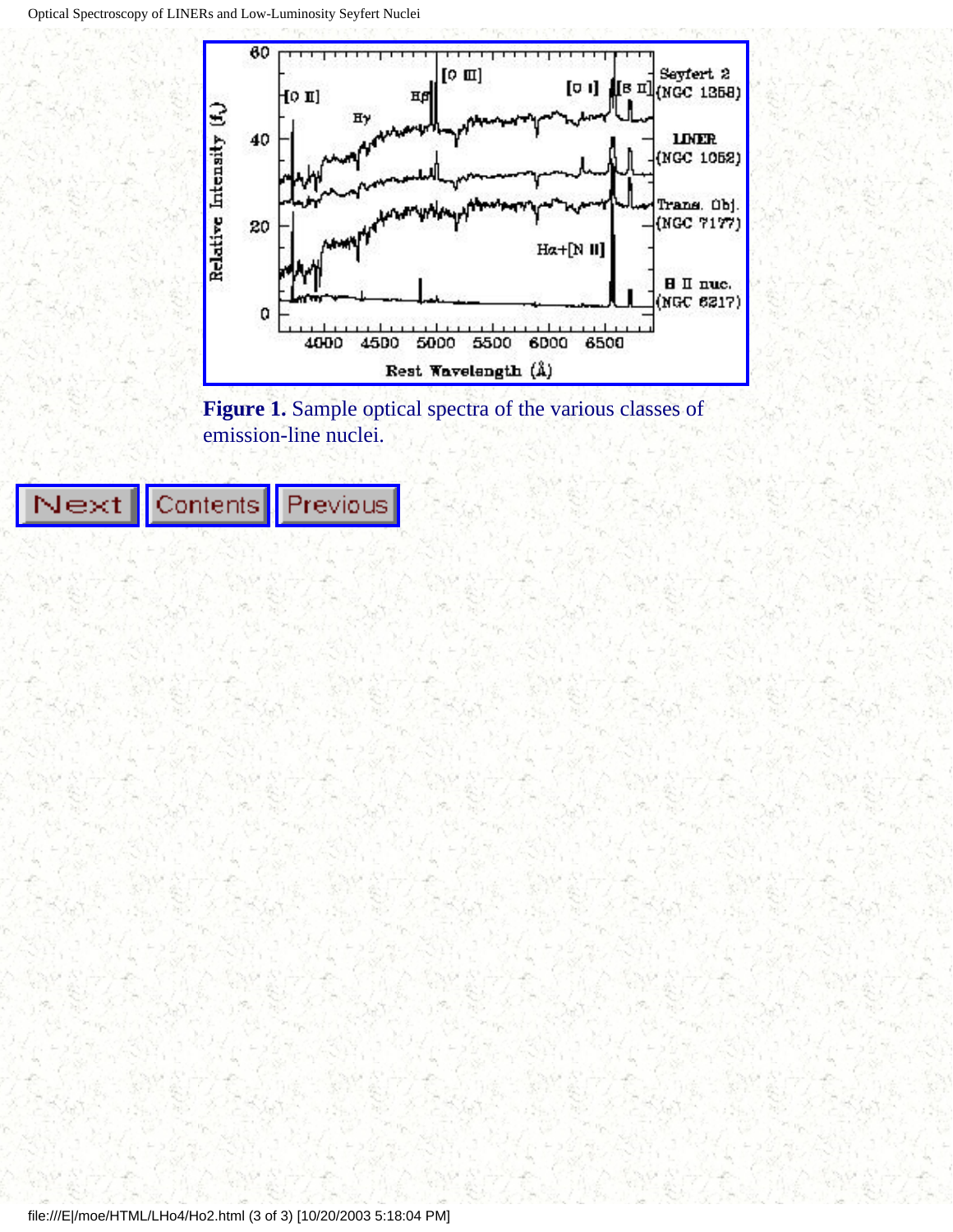

**Figure 1.** Sample optical spectra of the various classes of emission-line nuclei.

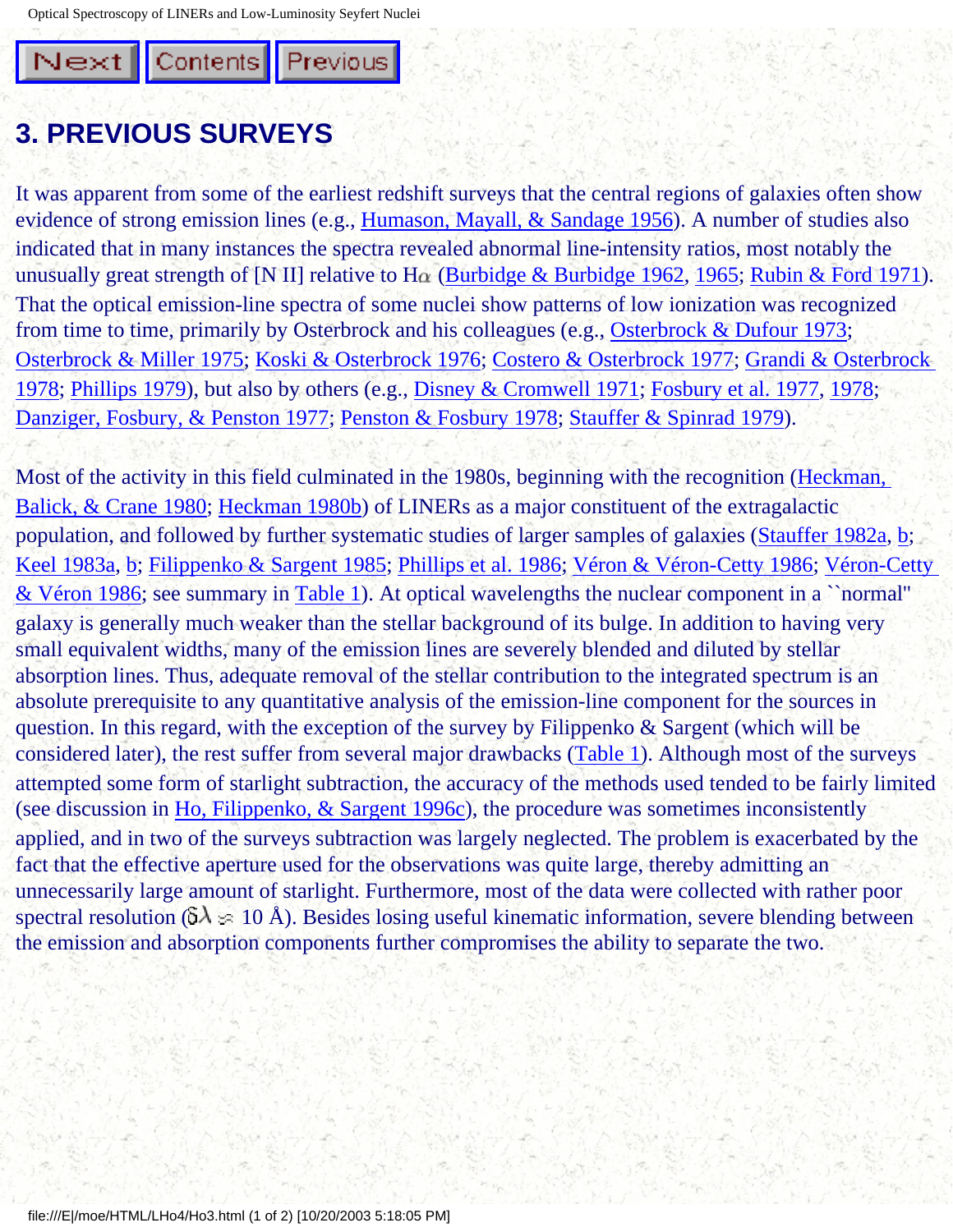### <span id="page-6-0"></span>**3. PREVIOUS SURVEYS**

It was apparent from some of the earliest redshift surveys that the central regions of galaxies often show evidence of strong emission lines (e.g., [Humason, Mayall, & Sandage 1956\)](#page-37-7). A number of studies also indicated that in many instances the spectra revealed abnormal line-intensity ratios, most notably the unusually great strength of [N II] relative to  $Ha$  (Burbidge & Burbidge 1962, 1965; [Rubin & Ford 1971](#page-38-3)). That the optical emission-line spectra of some nuclei show patterns of low ionization was recognized from time to time, primarily by Osterbrock and his colleagues (e.g., [Osterbrock & Dufour 1973](#page-38-4); [Osterbrock & Miller 1975;](#page-38-5) [Koski & Osterbrock 1976](#page-38-6); Costero & Osterbrock 1977; Grandi & Osterbrock 1978; [Phillips 1979\)](#page-38-7), but also by others (e.g., Disney & Cromwell 1971; Fosbury et al. 1977, 1978; Danziger, Fosbury, & Penston 1977; [Penston & Fosbury 1978](#page-38-8); [Stauffer & Spinrad 1979\)](#page-38-9).

Most of the activity in this field culminated in the 1980s, beginning with the recognition (Heckman, [Balick, & Crane 1980;](#page-37-8) [Heckman 1980b](#page-37-0)) of LINERs as a major constituent of the extragalactic population, and followed by further systematic studies of larger samples of galaxies [\(Stauffer 1982a,](#page-38-10) [b;](#page-38-11) [Keel 1983a](#page-37-9), [b](#page-37-3); Filippenko & Sargent 1985; [Phillips et al. 1986;](#page-38-1) Véron & Véron-Cetty 1986; Véron-Cetty & Véron 1986; see summary in [Table 1](#page-6-0)). At optical wavelengths the nuclear component in a ``normal'' galaxy is generally much weaker than the stellar background of its bulge. In addition to having very small equivalent widths, many of the emission lines are severely blended and diluted by stellar absorption lines. Thus, adequate removal of the stellar contribution to the integrated spectrum is an absolute prerequisite to any quantitative analysis of the emission-line component for the sources in question. In this regard, with the exception of the survey by Filippenko & Sargent (which will be considered later), the rest suffer from several major drawbacks [\(Table 1\)](#page-6-0). Although most of the surveys attempted some form of starlight subtraction, the accuracy of the methods used tended to be fairly limited (see discussion in Ho, Filippenko,  $& Sargent 1996c$ ), the procedure was sometimes inconsistently applied, and in two of the surveys subtraction was largely neglected. The problem is exacerbated by the fact that the effective aperture used for the observations was quite large, thereby admitting an unnecessarily large amount of starlight. Furthermore, most of the data were collected with rather poor spectral resolution ( $6\lambda \approx 10 \text{ Å}$ ). Besides losing useful kinematic information, severe blending between the emission and absorption components further compromises the ability to separate the two.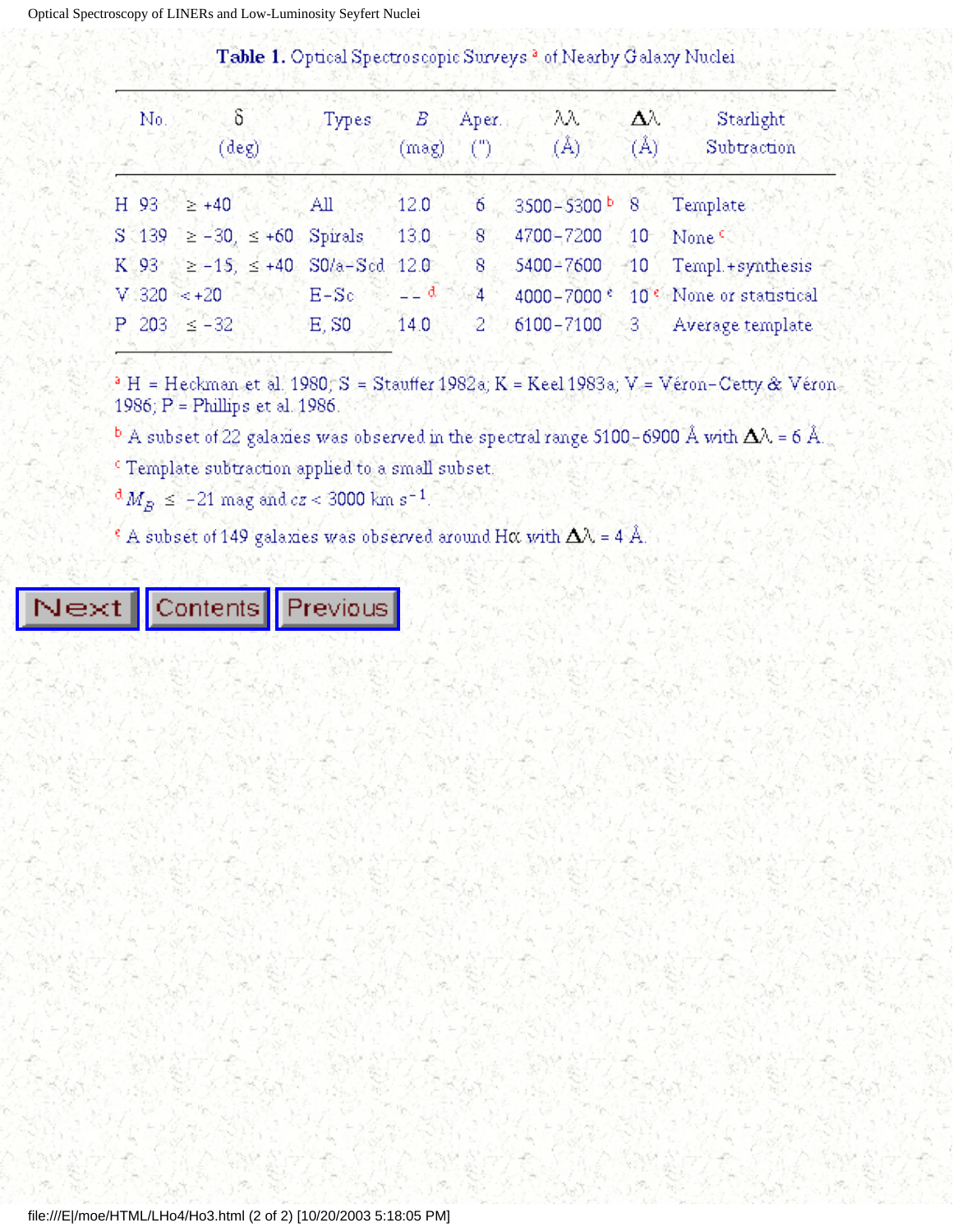Table 1. Optical Spectroscopic Surveys<sup>3</sup> of Nearby Galaxy Nuclei

| No.  | δ<br>$(\text{deg})$                      | Types  | B<br>(max) | Aper.<br>0 | λλ<br>(A)                | Δλ<br>(A)   | Starlight<br>Subtraction            |
|------|------------------------------------------|--------|------------|------------|--------------------------|-------------|-------------------------------------|
| H 93 | $\ge +40$                                | AЩ     | 12.0       | 6.         | 3500-5300 <sup>b</sup> 8 |             | Template                            |
|      | S 139 $\ge -30$ , $\le +60$ Spirals      |        | 13.0       | 8          | 4700-7200                | 10          | None <sup>c</sup>                   |
|      | K 93 $\ge -15$ , $\le +40$ S0/a-Sed 12.0 |        |            | 8          | 5400-7600                | 10          | Templ.+synthesis                    |
|      | $V$ 320 < +20                            | $E-Sc$ | 21 d       | 4          | 4000-7000 e              |             | 10 <sup>e</sup> None or statistical |
|      | <b>P</b> 203 $\leq -32$                  | E, SO  | 14.0       | 2          | 6100-7100                | $3^{\circ}$ | Average template                    |
|      |                                          |        |            |            |                          |             |                                     |

<sup>a</sup> H = Heckman et al. 1980; S = Stauffer 1982a; K = Keel 1983a; V = Véron-Cetty & Véron-1986; P = Phillips et al. 1986.

 $b$  A subset of 22 galaxies was observed in the spectral range 5100-6900 Å with  $\Delta\lambda$  = 6 Å.

<sup>c</sup> Template subtraction applied to a small subset.

 $d M_B \le -21$  mag and  $cz < 3000$  km s<sup>-1</sup>.

A subset of 149 galaxies was observed around H $\alpha$  with  $\Delta \lambda = 4$  Å.

### Next Contents Previous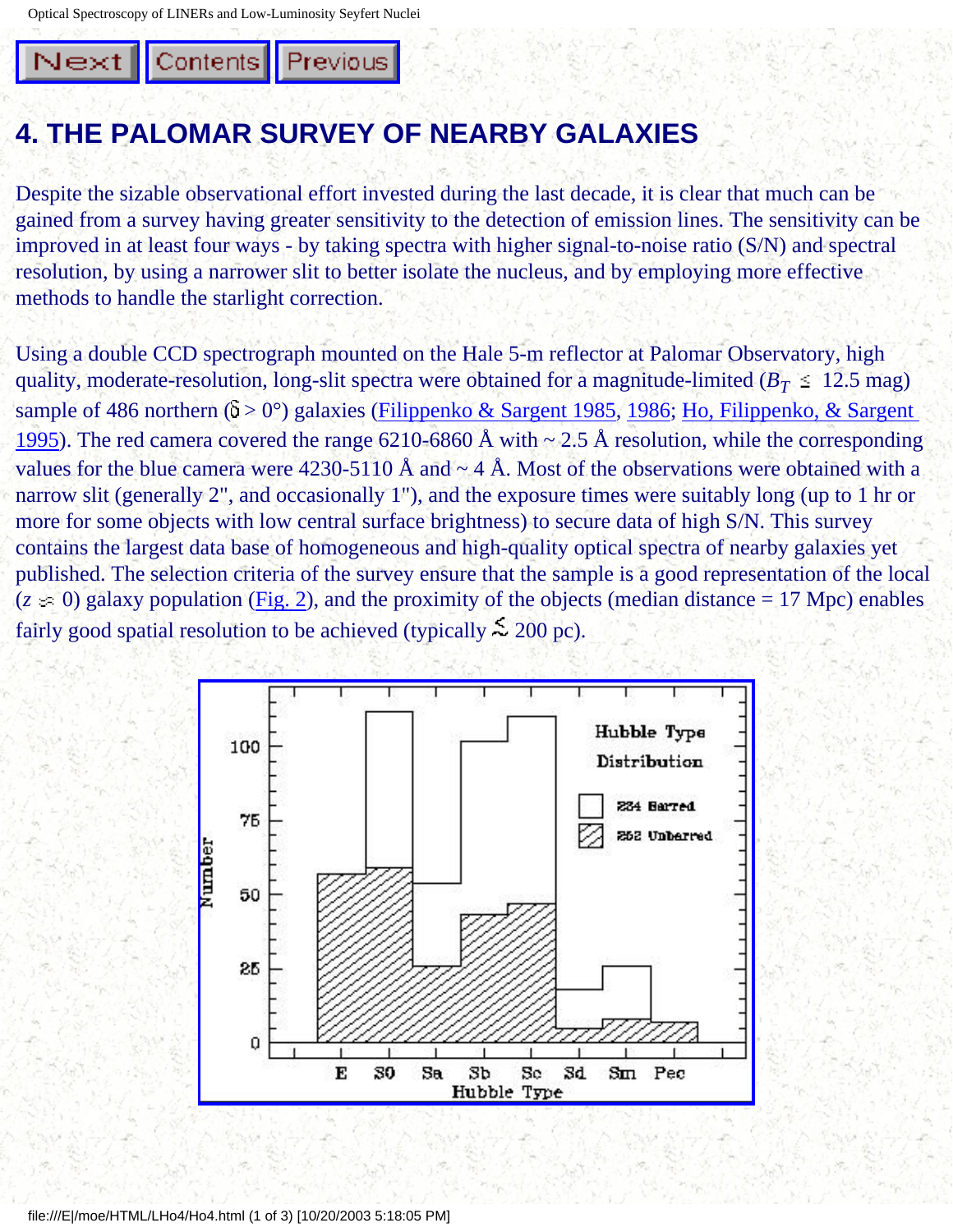### <span id="page-8-0"></span>**4. THE PALOMAR SURVEY OF NEARBY GALAXIES**

Despite the sizable observational effort invested during the last decade, it is clear that much can be gained from a survey having greater sensitivity to the detection of emission lines. The sensitivity can be improved in at least four ways - by taking spectra with higher signal-to-noise ratio (S/N) and spectral resolution, by using a narrower slit to better isolate the nucleus, and by employing more effective methods to handle the starlight correction.

Using a double CCD spectrograph mounted on the Hale 5-m reflector at Palomar Observatory, high quality, moderate-resolution, long-slit spectra were obtained for a magnitude-limited ( $B_T \leq 12.5$  mag) sample of 486 northern ( $\delta > 0^{\circ}$ ) galaxies (Filippenko & Sargent 1985, 1986; [Ho, Filippenko, & Sargent](#page-37-11) [1995](#page-37-11)). The red camera covered the range 6210-6860 Å with  $\sim 2.5$  Å resolution, while the corresponding values for the blue camera were 4230-5110  $\AA$  and  $\sim$  4  $\AA$ . Most of the observations were obtained with a narrow slit (generally 2", and occasionally 1"), and the exposure times were suitably long (up to 1 hr or more for some objects with low central surface brightness) to secure data of high S/N. This survey contains the largest data base of homogeneous and high-quality optical spectra of nearby galaxies yet published. The selection criteria of the survey ensure that the sample is a good representation of the local  $(z = 0)$  galaxy population (Fig. 2), and the proximity of the objects (median distance = 17 Mpc) enables fairly good spatial resolution to be achieved (typically  $\geq 200$  pc).

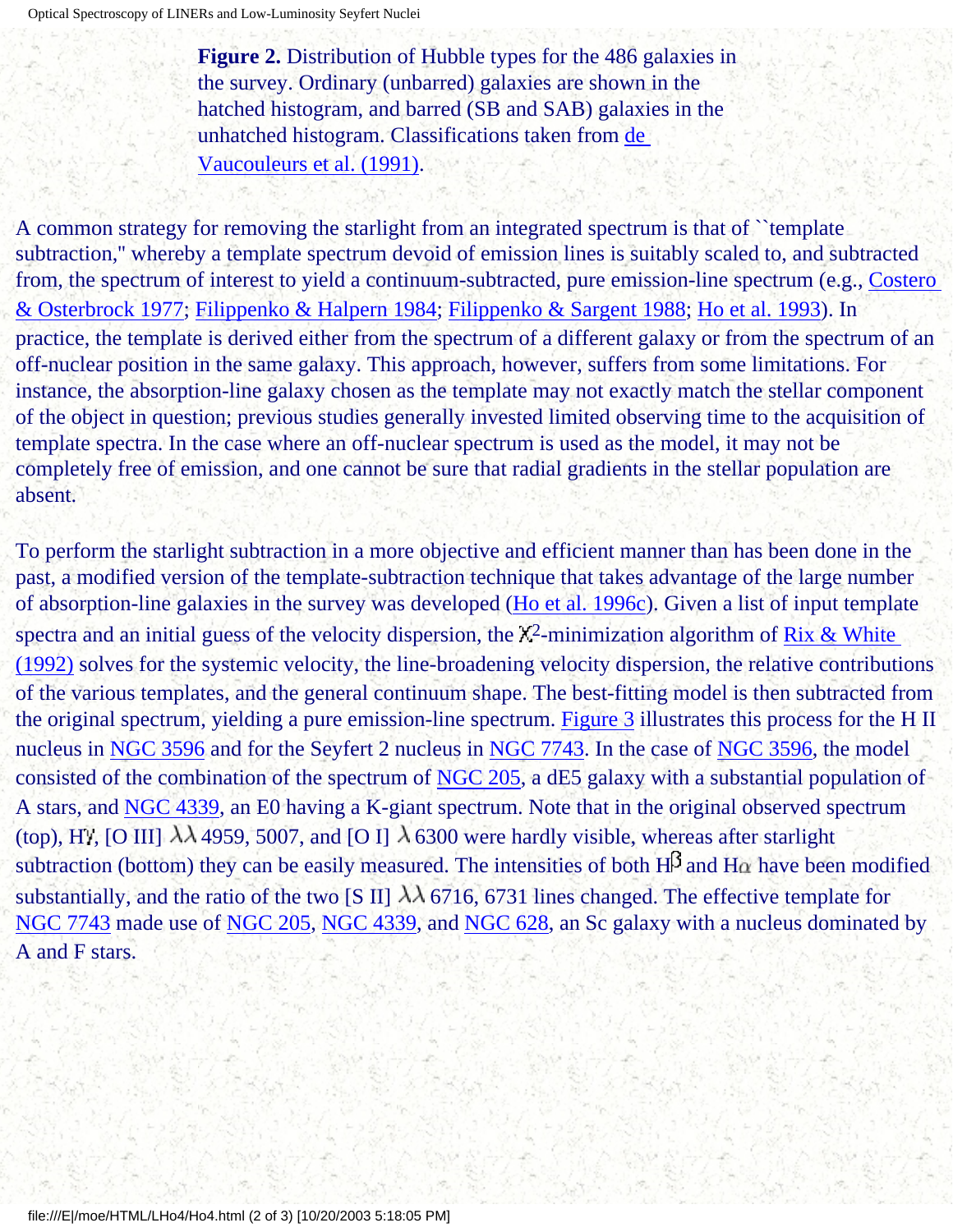**Figure 2.** Distribution of Hubble types for the 486 galaxies in the survey. Ordinary (unbarred) galaxies are shown in the hatched histogram, and barred (SB and SAB) galaxies in the unhatched histogram. Classifications taken from de Vaucouleurs et al. (1991).

A common strategy for removing the starlight from an integrated spectrum is that of ``template subtraction,'' whereby a template spectrum devoid of emission lines is suitably scaled to, and subtracted from, the spectrum of interest to yield a continuum-subtracted, pure emission-line spectrum (e.g., Costero & Osterbrock 1977; Filippenko & Halpern 1984; Filippenko & Sargent 1988; [Ho et al. 1993\)](#page-37-6). In practice, the template is derived either from the spectrum of a different galaxy or from the spectrum of an off-nuclear position in the same galaxy. This approach, however, suffers from some limitations. For instance, the absorption-line galaxy chosen as the template may not exactly match the stellar component of the object in question; previous studies generally invested limited observing time to the acquisition of template spectra. In the case where an off-nuclear spectrum is used as the model, it may not be completely free of emission, and one cannot be sure that radial gradients in the stellar population are absent.

To perform the starlight subtraction in a more objective and efficient manner than has been done in the past, a modified version of the template-subtraction technique that takes advantage of the large number of absorption-line galaxies in the survey was developed ([Ho et al. 1996c](#page-37-10)). Given a list of input template spectra and an initial guess of the velocity dispersion, the  $X^2$ -minimization algorithm of Rix & White [\(1992\)](#page-38-12) solves for the systemic velocity, the line-broadening velocity dispersion, the relative contributions of the various templates, and the general continuum shape. The best-fitting model is then subtracted from the original spectrum, yielding a pure emission-line spectrum. Figure 3 illustrates this process for the H II nucleus in [NGC 3596](http://nedwww.ipac.caltech.edu/cgi-bin/nph-objsearch?objname=NGC+3596&extend=no&out_csys=Equatorial&out_equinox=J2000.0&obj_sort=RA+or+Longitude&zv_breaker=30000.0&list_limit=5&img_stamp=YES) and for the Seyfert 2 nucleus in [NGC 7743.](http://nedwww.ipac.caltech.edu/cgi-bin/nph-objsearch?objname=NGC+7743&extend=no&out_csys=Equatorial&out_equinox=J2000.0&obj_sort=RA+or+Longitude&zv_breaker=30000.0&list_limit=5&img_stamp=YES) In the case of [NGC 3596](http://nedwww.ipac.caltech.edu/cgi-bin/nph-objsearch?objname=NGC+3596&extend=no&out_csys=Equatorial&out_equinox=J2000.0&obj_sort=RA+or+Longitude&zv_breaker=30000.0&list_limit=5&img_stamp=YES), the model consisted of the combination of the spectrum of [NGC 205,](http://nedwww.ipac.caltech.edu/cgi-bin/nph-objsearch?objname=NGC+205&extend=no&out_csys=Equatorial&out_equinox=J2000.0&obj_sort=RA+or+Longitude&zv_breaker=30000.0&list_limit=5&img_stamp=YES) a dE5 galaxy with a substantial population of A stars, and [NGC 4339](http://nedwww.ipac.caltech.edu/cgi-bin/nph-objsearch?objname=NGC+4339&extend=no&out_csys=Equatorial&out_equinox=J2000.0&obj_sort=RA+or+Longitude&zv_breaker=30000.0&list_limit=5&img_stamp=YES), an E0 having a K-giant spectrum. Note that in the original observed spectrum (top), H<sub>1</sub>, [O III]  $\lambda\lambda$  4959, 5007, and [O I]  $\lambda$  6300 were hardly visible, whereas after starlight subtraction (bottom) they can be easily measured. The intensities of both  $H^3$  and  $H\alpha$  have been modified substantially, and the ratio of the two [S II]  $\lambda\lambda$  6716, 6731 lines changed. The effective template for [NGC 7743](http://nedwww.ipac.caltech.edu/cgi-bin/nph-objsearch?objname=NGC+7743&extend=no&out_csys=Equatorial&out_equinox=J2000.0&obj_sort=RA+or+Longitude&zv_breaker=30000.0&list_limit=5&img_stamp=YES) made use of [NGC 205,](http://nedwww.ipac.caltech.edu/cgi-bin/nph-objsearch?objname=NGC+205&extend=no&out_csys=Equatorial&out_equinox=J2000.0&obj_sort=RA+or+Longitude&zv_breaker=30000.0&list_limit=5&img_stamp=YES) [NGC 4339,](http://nedwww.ipac.caltech.edu/cgi-bin/nph-objsearch?objname=NGC+4339&extend=no&out_csys=Equatorial&out_equinox=J2000.0&obj_sort=RA+or+Longitude&zv_breaker=30000.0&list_limit=5&img_stamp=YES) and [NGC 628,](http://nedwww.ipac.caltech.edu/cgi-bin/nph-objsearch?objname=NGC+628&extend=no&out_csys=Equatorial&out_equinox=J2000.0&obj_sort=RA+or+Longitude&zv_breaker=30000.0&list_limit=5&img_stamp=YES) an Sc galaxy with a nucleus dominated by A and F stars.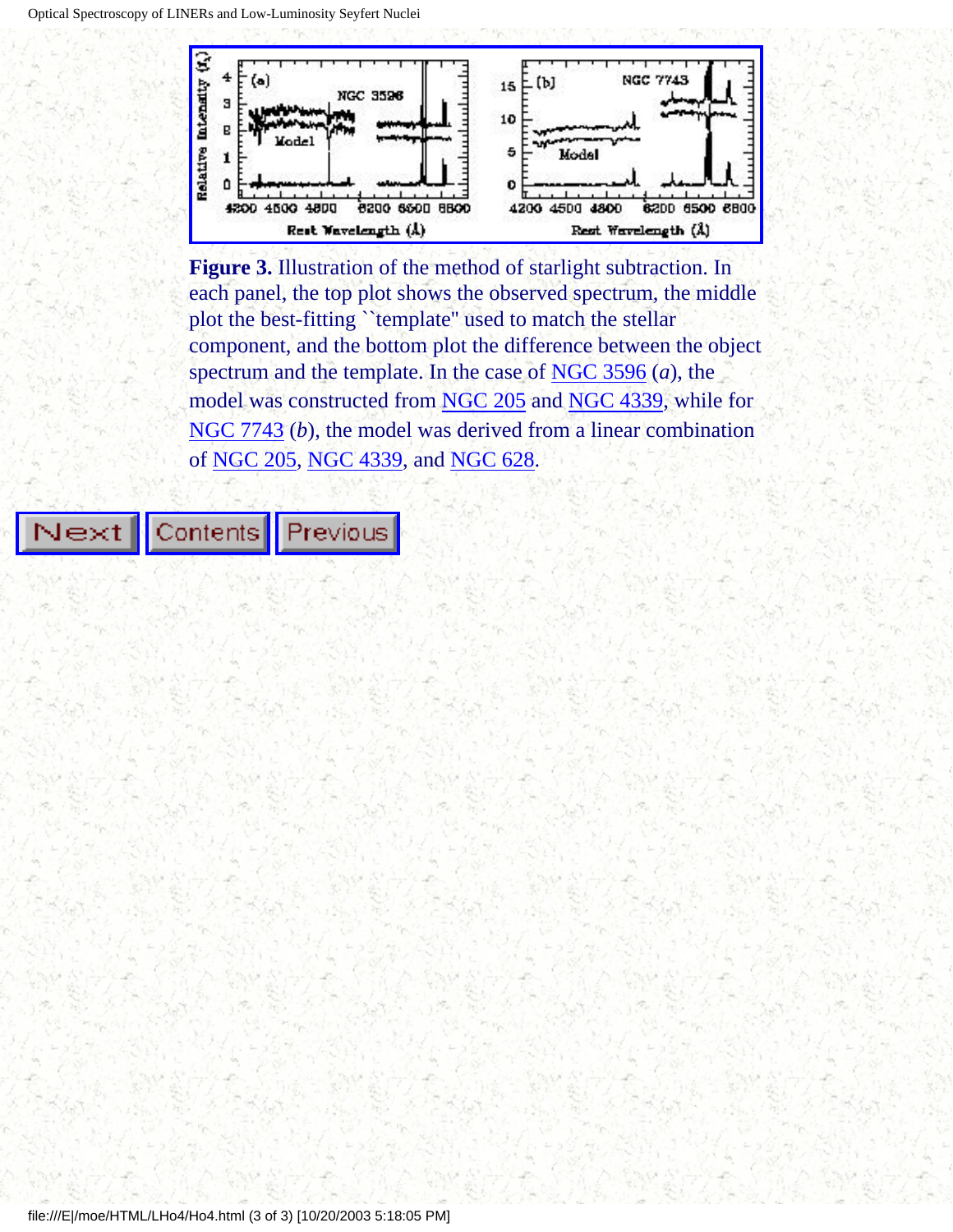

**Figure 3.** Illustration of the method of starlight subtraction. In each panel, the top plot shows the observed spectrum, the middle plot the best-fitting ``template'' used to match the stellar component, and the bottom plot the difference between the object spectrum and the template. In the case of [NGC 3596](http://nedwww.ipac.caltech.edu/cgi-bin/nph-objsearch?objname=NGC+3596&extend=no&out_csys=Equatorial&out_equinox=J2000.0&obj_sort=RA+or+Longitude&zv_breaker=30000.0&list_limit=5&img_stamp=YES) (*a*), the model was constructed from [NGC 205](http://nedwww.ipac.caltech.edu/cgi-bin/nph-objsearch?objname=NGC+205&extend=no&out_csys=Equatorial&out_equinox=J2000.0&obj_sort=RA+or+Longitude&zv_breaker=30000.0&list_limit=5&img_stamp=YES) and [NGC 4339](http://nedwww.ipac.caltech.edu/cgi-bin/nph-objsearch?objname=NGC+4339&extend=no&out_csys=Equatorial&out_equinox=J2000.0&obj_sort=RA+or+Longitude&zv_breaker=30000.0&list_limit=5&img_stamp=YES), while for [NGC 7743](http://nedwww.ipac.caltech.edu/cgi-bin/nph-objsearch?objname=NGC+7743&extend=no&out_csys=Equatorial&out_equinox=J2000.0&obj_sort=RA+or+Longitude&zv_breaker=30000.0&list_limit=5&img_stamp=YES) (*b*), the model was derived from a linear combination of [NGC 205,](http://nedwww.ipac.caltech.edu/cgi-bin/nph-objsearch?objname=NGC+205&extend=no&out_csys=Equatorial&out_equinox=J2000.0&obj_sort=RA+or+Longitude&zv_breaker=30000.0&list_limit=5&img_stamp=YES) [NGC 4339,](http://nedwww.ipac.caltech.edu/cgi-bin/nph-objsearch?objname=NGC+4339&extend=no&out_csys=Equatorial&out_equinox=J2000.0&obj_sort=RA+or+Longitude&zv_breaker=30000.0&list_limit=5&img_stamp=YES) and [NGC 628.](http://nedwww.ipac.caltech.edu/cgi-bin/nph-objsearch?objname=NGC+628&extend=no&out_csys=Equatorial&out_equinox=J2000.0&obj_sort=RA+or+Longitude&zv_breaker=30000.0&list_limit=5&img_stamp=YES)

 $Next$ Contents Previous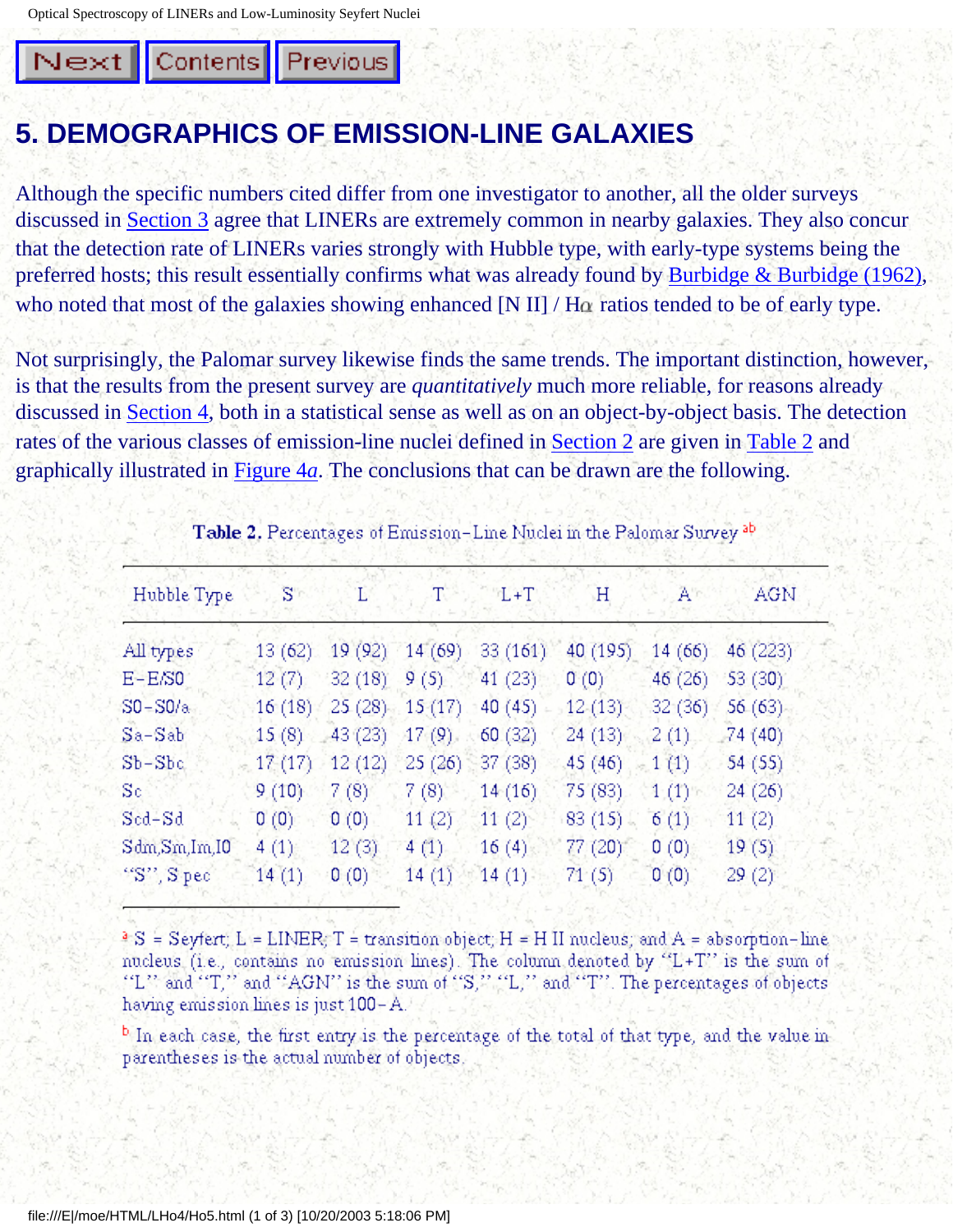<span id="page-11-0"></span>Contents Previous Next]

### **5. DEMOGRAPHICS OF EMISSION-LINE GALAXIES**

Although the specific numbers cited differ from one investigator to another, all the older surveys discussed in [Section 3](#page-6-0) agree that LINERs are extremely common in nearby galaxies. They also concur that the detection rate of LINERs varies strongly with Hubble type, with early-type systems being the preferred hosts; this result essentially confirms what was already found by Burbidge & Burbidge (1962), who noted that most of the galaxies showing enhanced  $[N II] / H\alpha$  ratios tended to be of early type.

Not surprisingly, the Palomar survey likewise finds the same trends. The important distinction, however, is that the results from the present survey are *quantitatively* much more reliable, for reasons already discussed in [Section 4](#page-8-0), both in a statistical sense as well as on an object-by-object basis. The detection rates of the various classes of emission-line nuclei defined in [Section 2](#page-3-0) are given in [Table 2](#page-11-0) and graphically illustrated in Figure 4*a*. The conclusions that can be drawn are the following.

| Hubble Type   | s       | L       | т       | $L+T$    | н        | A       | AGN      |
|---------------|---------|---------|---------|----------|----------|---------|----------|
| All types     | 13 (62) | 19 (92) | 14 (69) | 33 (161) | 40 (195) | 14 (66) | 46 (223) |
| $E - E/S0$    | 12(7)   | 32(18)  | 9(5)    | 41 (23)  | 0(0)     | 46 (26) | 53 (30)  |
| $SO-S0/a$     | 16 (18) | 25(28)  | 15(17)  | 40 (45)  | 12(13)   | 32 (36) | 56 (63)  |
| $Sa-Sab$      | 15(8)   | 43 (23) | 17 (9)  | 60(32)   | 24 (13)  | 2(1)    | 74 (40)  |
| $Sb-Sbc$      | 17 (17) | 12 (12) | 25(26)  | 37 (38)  | 45 (46)  | 1(1)    | 54 (55)  |
| $_{\rm Sc}$   | 9(10)   | 7(8)    | 7(8)    | 14 (16)  | 75 (83)  | 1(1)    | 24 (26)  |
| $Scd-Sd$      | 0(0)    | 0(0)    | 11(2)   | 11(2)    | 83 (15)  | 6(1)    | 11(2)    |
| Sdm, Sm,Im,IO | 4(1)    | 12(3)   | 4(1)    | 16(4)    | 77(20)   | 0(0)    | 19(5)    |
| "S", S pec    | 14 (1)  | 0(0)    | 14 (1)  | 14(1)    | 71(5)    | 0(0)    | 29(2)    |
|               |         |         |         |          |          |         |          |

Table 2. Percentages of Emission–Line Nuclei in the Palomar Survey<sup>ab</sup>

 $\texttt{a}$  S = Seyfert; L = LINER; T = transition object; H = H II nucleus; and A = absorption-line nucleus (i.e., contains no emission lines). The column denoted by "L+T" is the sum of "L" and "T," and "AGN" is the sum of "S," "L," and "T". The percentages of objects having emission lines is just 100-A.

<sup>b</sup> In each case, the first entry is the percentage of the total of that type, and the value in parentheses is the actual number of objects.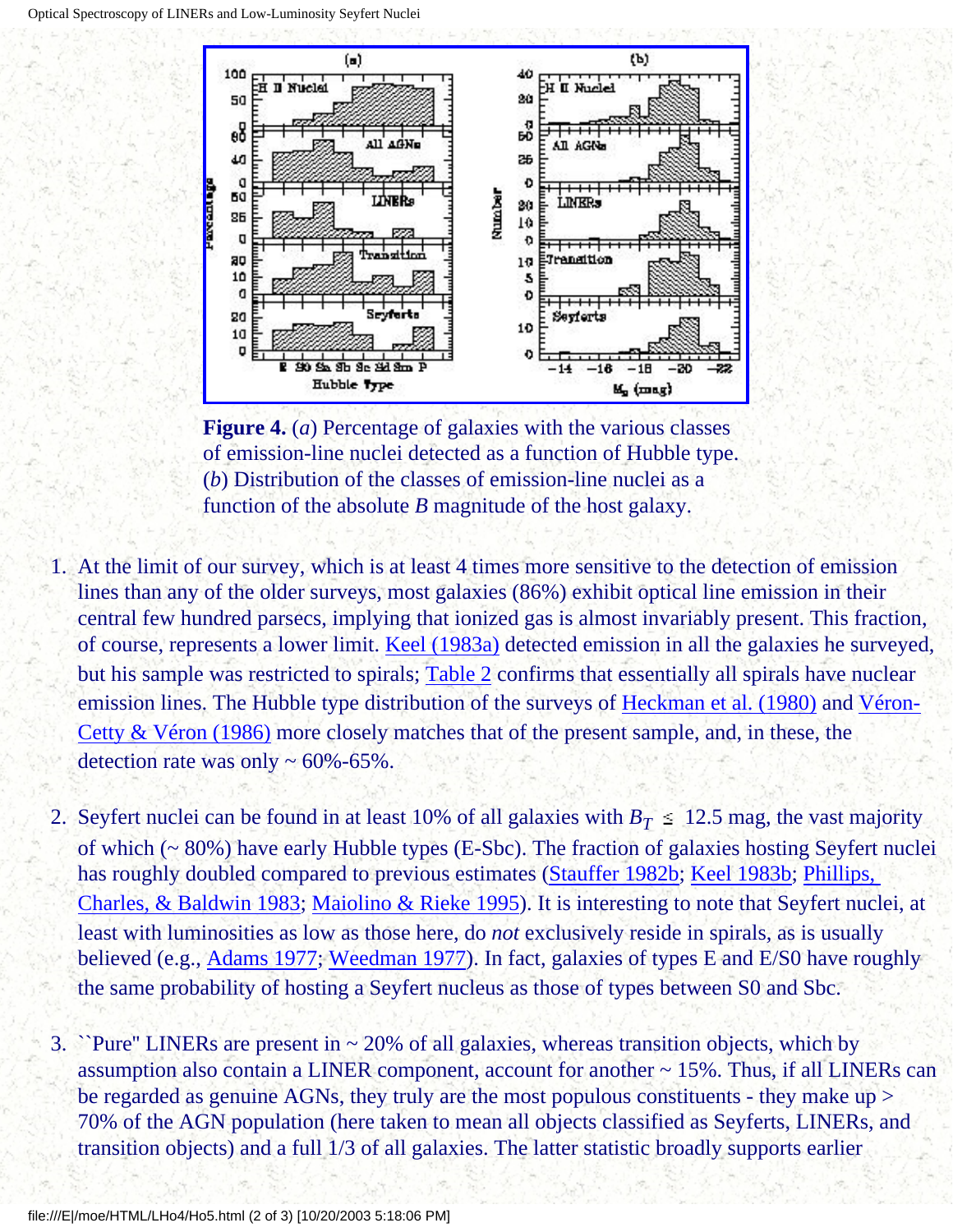

**Figure 4.** (*a*) Percentage of galaxies with the various classes of emission-line nuclei detected as a function of Hubble type. (*b*) Distribution of the classes of emission-line nuclei as a function of the absolute *B* magnitude of the host galaxy.

- 1. At the limit of our survey, which is at least 4 times more sensitive to the detection of emission lines than any of the older surveys, most galaxies (86%) exhibit optical line emission in their central few hundred parsecs, implying that ionized gas is almost invariably present. This fraction, of course, represents a lower limit. [Keel \(1983a\)](#page-37-9) detected emission in all the galaxies he surveyed, but his sample was restricted to spirals; [Table 2](#page-11-0) confirms that essentially all spirals have nuclear emission lines. The Hubble type distribution of the surveys of [Heckman et al. \(1980\)](#page-37-8) and Véron-Cetty & Véron (1986) more closely matches that of the present sample, and, in these, the detection rate was only  $\sim 60\%$ -65%.
- 2. Seyfert nuclei can be found in at least 10% of all galaxies with  $B_T \le 12.5$  mag, the vast majority of which (~ 80%) have early Hubble types (E-Sbc). The fraction of galaxies hosting Seyfert nuclei has roughly doubled compared to previous estimates ([Stauffer 1982b](#page-38-11); [Keel 1983b;](#page-37-3) [Phillips,](#page-38-13)  [Charles, & Baldwin 1983](#page-38-13); [Maiolino & Rieke 1995\)](#page-38-14). It is interesting to note that Seyfert nuclei, at least with luminosities as low as those here, do *not* exclusively reside in spirals, as is usually believed (e.g., Adams 1977; Weedman 1977). In fact, galaxies of types E and E/S0 have roughly the same probability of hosting a Seyfert nucleus as those of types between S0 and Sbc.
- 3. ``Pure'' LINERs are present in  $\sim$  20% of all galaxies, whereas transition objects, which by assumption also contain a LINER component, account for another  $\sim$  15%. Thus, if all LINERs can be regarded as genuine AGNs, they truly are the most populous constituents - they make up > 70% of the AGN population (here taken to mean all objects classified as Seyferts, LINERs, and transition objects) and a full 1/3 of all galaxies. The latter statistic broadly supports earlier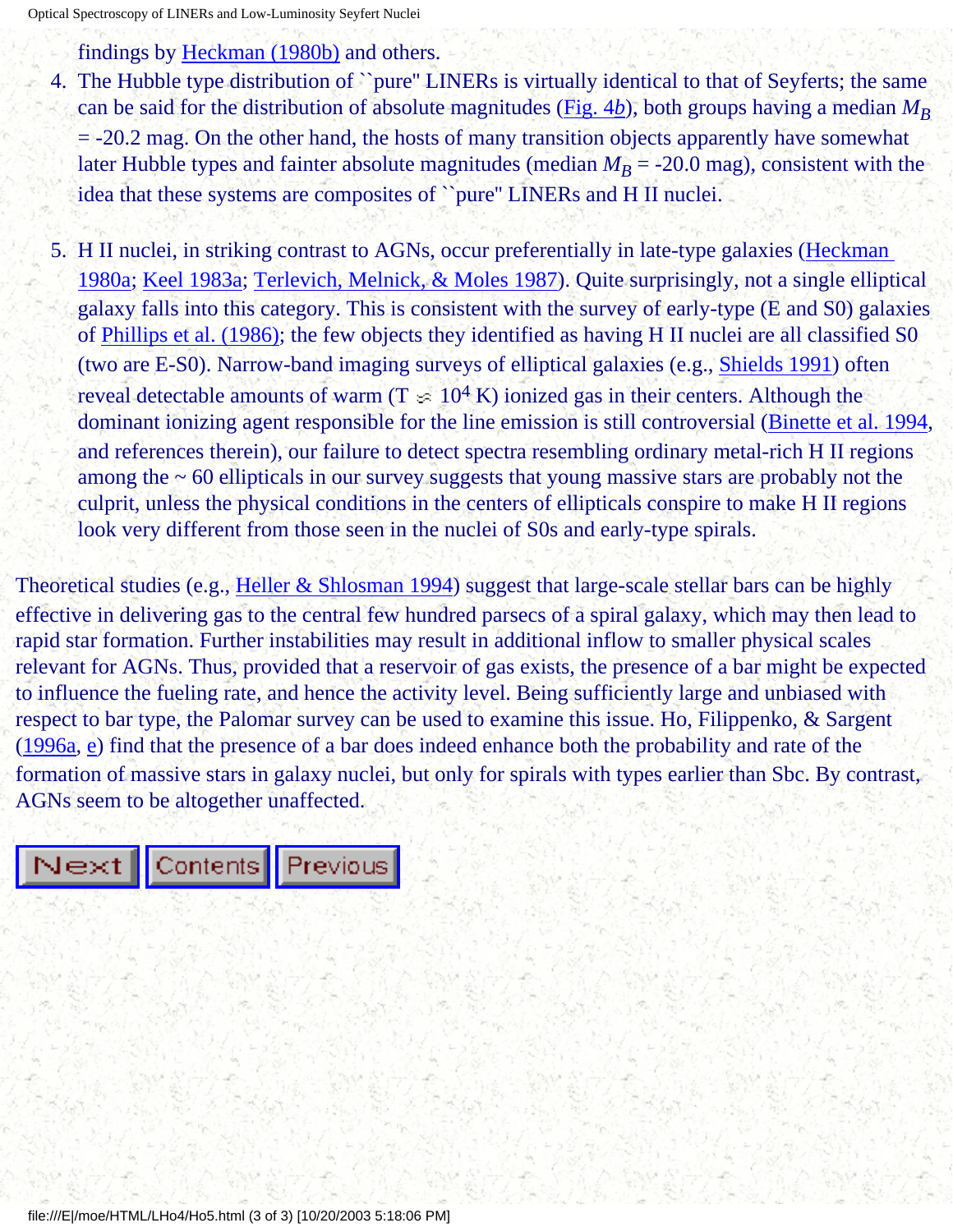findings by [Heckman \(1980b\)](#page-37-0) and others.

- 4. The Hubble type distribution of ``pure'' LINERs is virtually identical to that of Seyferts; the same can be said for the distribution of absolute magnitudes (Fig.  $4b$ ), both groups having a median  $M_B$  $= -20.2$  mag. On the other hand, the hosts of many transition objects apparently have somewhat later Hubble types and fainter absolute magnitudes (median  $M_B = -20.0$  mag), consistent with the idea that these systems are composites of ``pure'' LINERs and H II nuclei.
- 5. H II nuclei, in striking contrast to AGNs, occur preferentially in late-type galaxies (Heckman 1980a; [Keel 1983a;](#page-37-9) Terlevich, Melnick, & Moles 1987). Quite surprisingly, not a single elliptical galaxy falls into this category. This is consistent with the survey of early-type (E and S0) galaxies of [Phillips et al. \(1986\);](#page-38-1) the few objects they identified as having H II nuclei are all classified S0 (two are E-S0). Narrow-band imaging surveys of elliptical galaxies (e.g., [Shields 1991\)](#page-38-15) often reveal detectable amounts of warm  $(T = 10^4 \text{ K})$  ionized gas in their centers. Although the dominant ionizing agent responsible for the line emission is still controversial ([Binette et al. 1994](#page-36-2), and references therein), our failure to detect spectra resembling ordinary metal-rich H II regions among the  $\sim 60$  ellipticals in our survey suggests that young massive stars are probably not the culprit, unless the physical conditions in the centers of ellipticals conspire to make H II regions look very different from those seen in the nuclei of S0s and early-type spirals.

Theoretical studies (e.g., [Heller & Shlosman 1994](#page-37-12)) suggest that large-scale stellar bars can be highly effective in delivering gas to the central few hundred parsecs of a spiral galaxy, which may then lead to rapid star formation. Further instabilities may result in additional inflow to smaller physical scales relevant for AGNs. Thus, provided that a reservoir of gas exists, the presence of a bar might be expected to influence the fueling rate, and hence the activity level. Being sufficiently large and unbiased with respect to bar type, the Palomar survey can be used to examine this issue. Ho, Filippenko, & Sargent ([1996a,](#page-37-13) [e](#page-37-14)) find that the presence of a bar does indeed enhance both the probability and rate of the formation of massive stars in galaxy nuclei, but only for spirals with types earlier than Sbc. By contrast, AGNs seem to be altogether unaffected.

# Next Contents Previous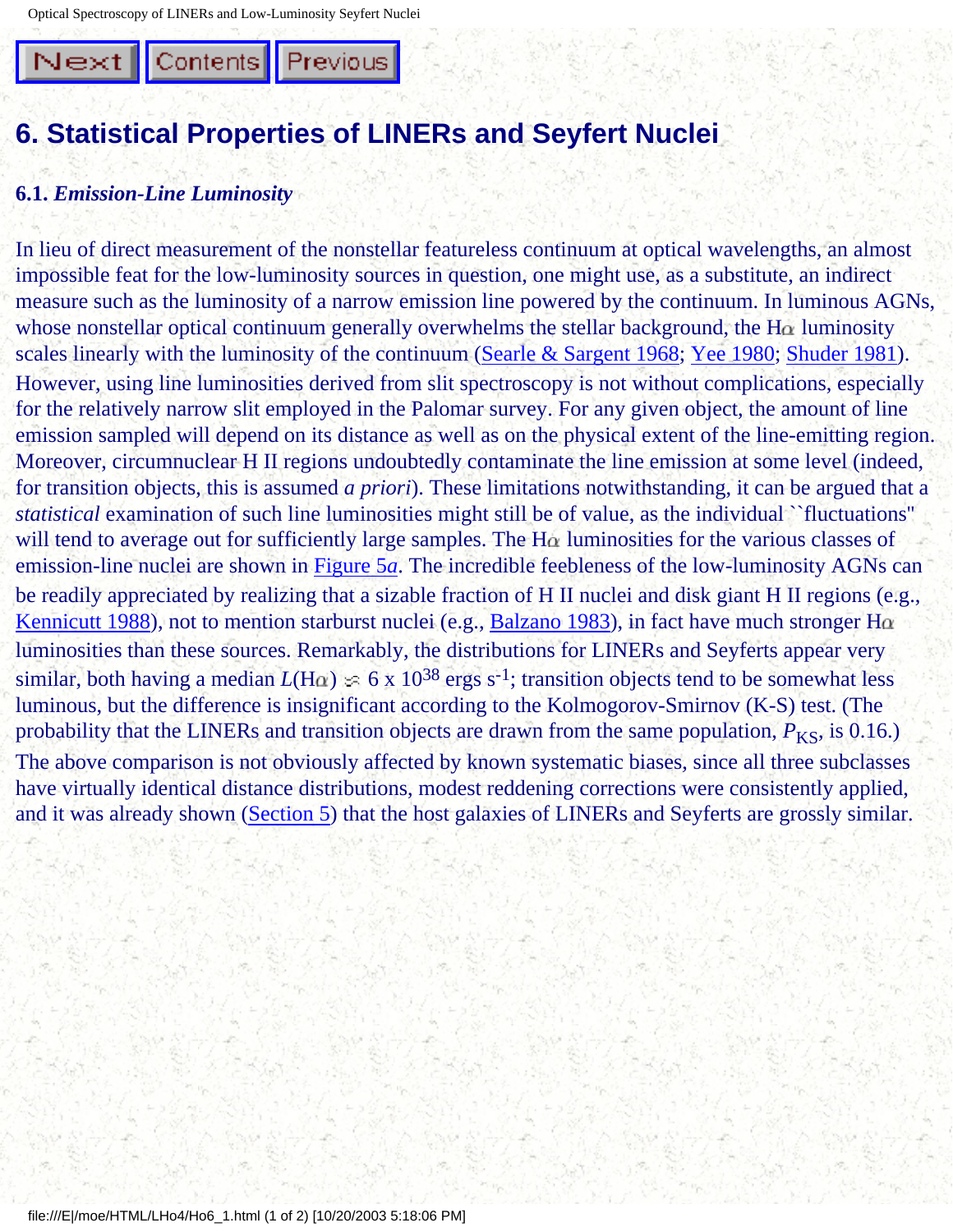### <span id="page-14-0"></span>**6. Statistical Properties of LINERs and Seyfert Nuclei**

#### **6.1.** *Emission-Line Luminosity*

In lieu of direct measurement of the nonstellar featureless continuum at optical wavelengths, an almost impossible feat for the low-luminosity sources in question, one might use, as a substitute, an indirect measure such as the luminosity of a narrow emission line powered by the continuum. In luminous AGNs, whose nonstellar optical continuum generally overwhelms the stellar background, the  $H\alpha$  luminosity scales linearly with the luminosity of the continuum [\(Searle & Sargent 1968;](#page-38-16) Yee 1980; [Shuder 1981\)](#page-38-17). However, using line luminosities derived from slit spectroscopy is not without complications, especially for the relatively narrow slit employed in the Palomar survey. For any given object, the amount of line emission sampled will depend on its distance as well as on the physical extent of the line-emitting region. Moreover, circumnuclear H II regions undoubtedly contaminate the line emission at some level (indeed, for transition objects, this is assumed *a priori*). These limitations notwithstanding, it can be argued that a *statistical* examination of such line luminosities might still be of value, as the individual ``fluctuations'' will tend to average out for sufficiently large samples. The H $\alpha$  luminosities for the various classes of emission-line nuclei are shown in [Figure 5](#page-15-0)*a*. The incredible feebleness of the low-luminosity AGNs can be readily appreciated by realizing that a sizable fraction of H II nuclei and disk giant H II regions (e.g., [Kennicutt 1988\)](#page-37-15), not to mention starburst nuclei (e.g., [Balzano 1983](#page-36-3)), in fact have much stronger  $H\alpha$ luminosities than these sources. Remarkably, the distributions for LINERs and Seyferts appear very similar, both having a median  $L(H_{\alpha}) = 6 \times 10^{38}$  ergs s<sup>-1</sup>; transition objects tend to be somewhat less luminous, but the difference is insignificant according to the Kolmogorov-Smirnov (K-S) test. (The probability that the LINERs and transition objects are drawn from the same population,  $P_{KS}$ , is 0.16.) The above comparison is not obviously affected by known systematic biases, since all three subclasses have virtually identical distance distributions, modest reddening corrections were consistently applied, and it was already shown ([Section 5](#page-11-0)) that the host galaxies of LINERs and Seyferts are grossly similar.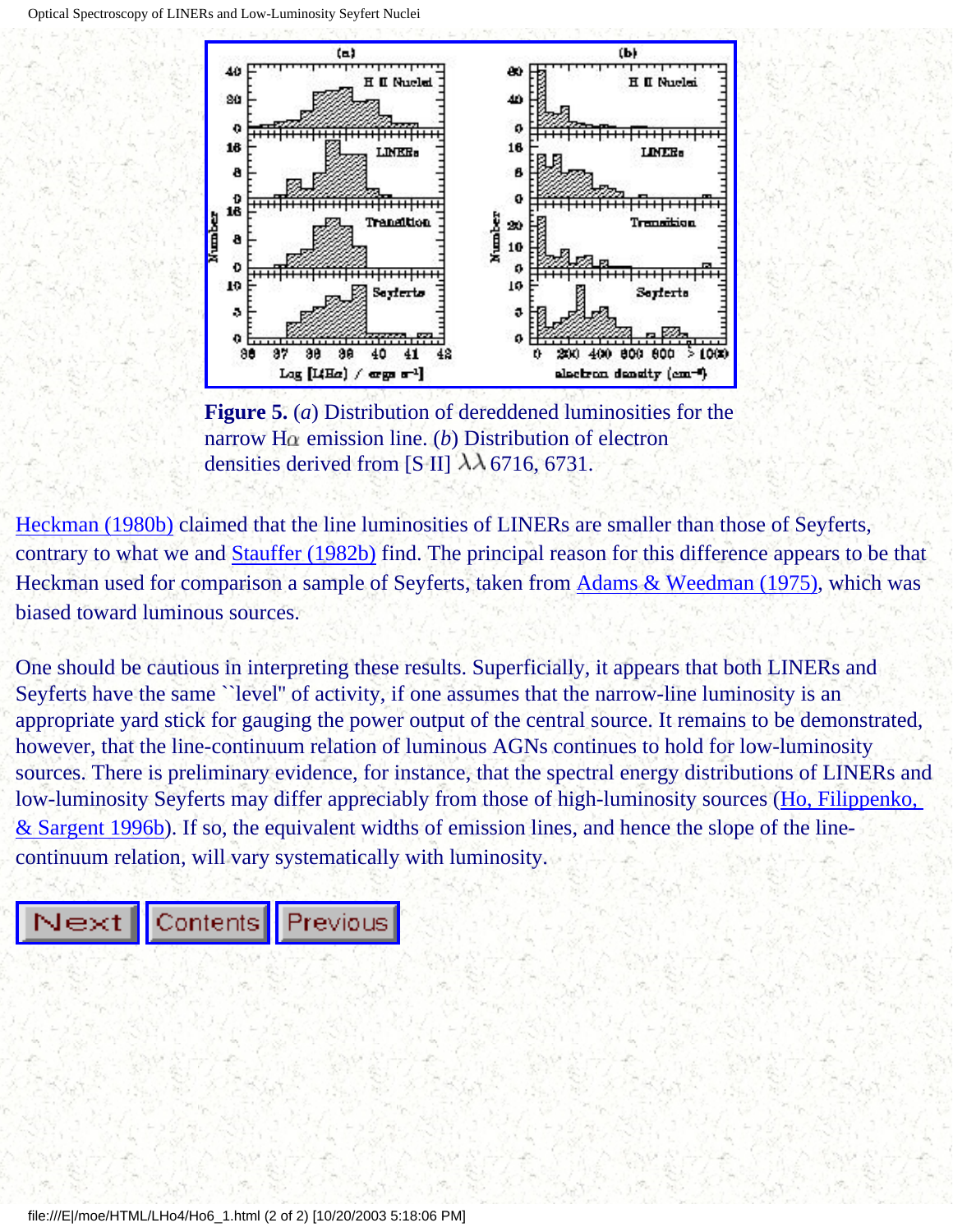

**Figure 5.** (*a*) Distribution of dereddened luminosities for the narrow  $H<sub>0</sub>$  emission line. (*b*) Distribution of electron densities derived from [S II]  $\lambda\lambda$  6716, 6731.

<span id="page-15-0"></span>[Heckman \(1980b\)](#page-37-0) claimed that the line luminosities of LINERs are smaller than those of Seyferts, contrary to what we and [Stauffer \(1982b\)](#page-38-11) find. The principal reason for this difference appears to be that Heckman used for comparison a sample of Seyferts, taken from Adams & Weedman (1975), which was biased toward luminous sources.

One should be cautious in interpreting these results. Superficially, it appears that both LINERs and Seyferts have the same ``level'' of activity, if one assumes that the narrow-line luminosity is an appropriate yard stick for gauging the power output of the central source. It remains to be demonstrated, however, that the line-continuum relation of luminous AGNs continues to hold for low-luminosity sources. There is preliminary evidence, for instance, that the spectral energy distributions of LINERs and low-luminosity Seyferts may differ appreciably from those of high-luminosity sources (Ho, Filippenko, [& Sargent 1996b\)](#page-37-16). If so, the equivalent widths of emission lines, and hence the slope of the linecontinuum relation, will vary systematically with luminosity.

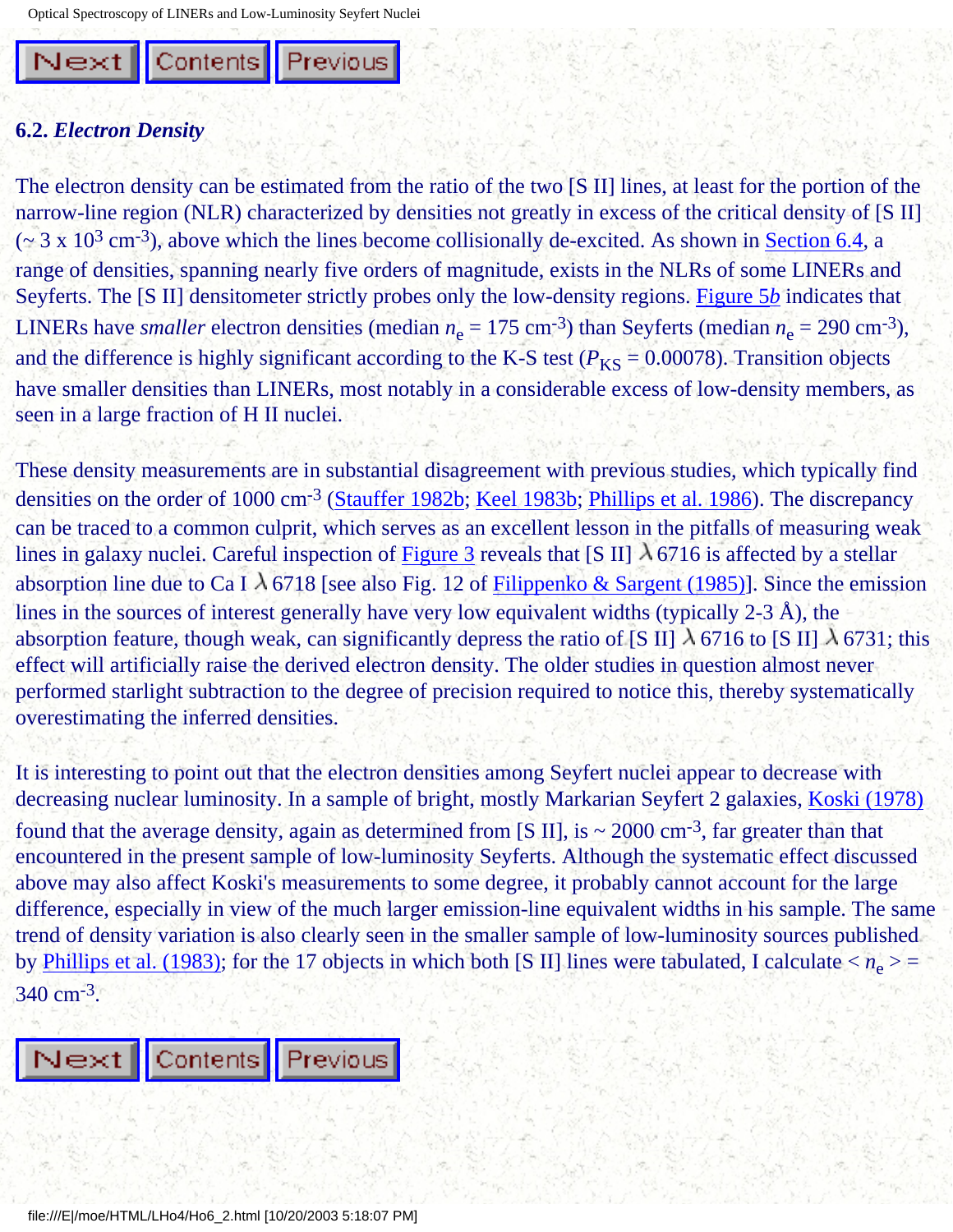#### <span id="page-16-0"></span>**6.2.** *Electron Density*

The electron density can be estimated from the ratio of the two [S II] lines, at least for the portion of the narrow-line region (NLR) characterized by densities not greatly in excess of the critical density of [S II]  $({\sim} 3 \times 10^3 \text{ cm}^{-3})$ , above which the lines become collisionally de-excited. As shown in [Section 6.4,](#page-19-0) a range of densities, spanning nearly five orders of magnitude, exists in the NLRs of some LINERs and Seyferts. The [S II] densitometer strictly probes only the low-density regions. [Figure 5](#page-15-0)*b* indicates that LINERs have *smaller* electron densities (median  $n_e = 175$  cm<sup>-3</sup>) than Seyferts (median  $n_e = 290$  cm<sup>-3</sup>), and the difference is highly significant according to the K-S test ( $P_{KS} = 0.00078$ ). Transition objects have smaller densities than LINERs, most notably in a considerable excess of low-density members, as seen in a large fraction of H II nuclei.

These density measurements are in substantial disagreement with previous studies, which typically find densities on the order of 1000 cm-3 ([Stauffer 1982b;](#page-38-11) [Keel 1983b;](#page-37-3) [Phillips et al. 1986](#page-38-1)). The discrepancy can be traced to a common culprit, which serves as an excellent lesson in the pitfalls of measuring weak lines in galaxy nuclei. Careful inspection of Figure 3 reveals that [S II]  $\lambda$  6716 is affected by a stellar absorption line due to Ca I  $\lambda$  6718 [see also Fig. 12 of Filippenko & Sargent (1985)]. Since the emission lines in the sources of interest generally have very low equivalent widths (typically 2-3 Å), the absorption feature, though weak, can significantly depress the ratio of [S II]  $\lambda$  6716 to [S II]  $\lambda$  6731; this effect will artificially raise the derived electron density. The older studies in question almost never performed starlight subtraction to the degree of precision required to notice this, thereby systematically overestimating the inferred densities.

It is interesting to point out that the electron densities among Seyfert nuclei appear to decrease with decreasing nuclear luminosity. In a sample of bright, mostly Markarian Seyfert 2 galaxies, [Koski \(1978\)](#page-37-17) found that the average density, again as determined from [S II], is  $\sim 2000$  cm<sup>-3</sup>, far greater than that encountered in the present sample of low-luminosity Seyferts. Although the systematic effect discussed above may also affect Koski's measurements to some degree, it probably cannot account for the large difference, especially in view of the much larger emission-line equivalent widths in his sample. The same trend of density variation is also clearly seen in the smaller sample of low-luminosity sources published by [Phillips et al. \(1983\);](#page-38-13) for the 17 objects in which both [S II] lines were tabulated, I calculate  $\langle n_e \rangle$  =  $340 \text{ cm}^{-3}$ .

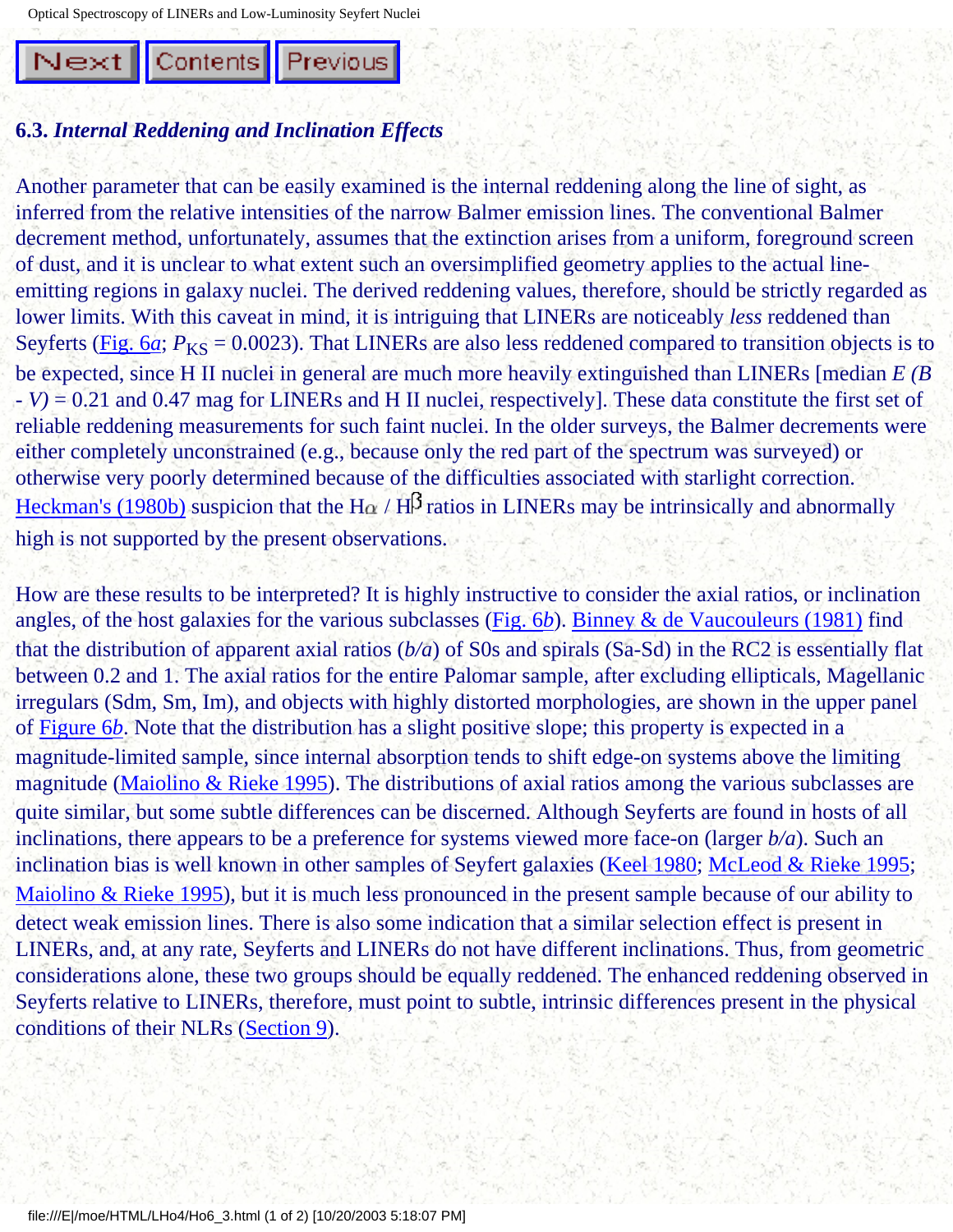#### <span id="page-17-0"></span>**6.3.** *Internal Reddening and Inclination Effects*

Another parameter that can be easily examined is the internal reddening along the line of sight, as inferred from the relative intensities of the narrow Balmer emission lines. The conventional Balmer decrement method, unfortunately, assumes that the extinction arises from a uniform, foreground screen of dust, and it is unclear to what extent such an oversimplified geometry applies to the actual lineemitting regions in galaxy nuclei. The derived reddening values, therefore, should be strictly regarded as lower limits. With this caveat in mind, it is intriguing that LINERs are noticeably *less* reddened than Seyferts (Fig.  $6a$ ;  $P_{KS} = 0.0023$ ). That LINERs are also less reddened compared to transition objects is to be expected, since H II nuclei in general are much more heavily extinguished than LINERs [median *E (B - V)* = 0.21 and 0.47 mag for LINERs and H II nuclei, respectively]. These data constitute the first set of reliable reddening measurements for such faint nuclei. In the older surveys, the Balmer decrements were either completely unconstrained (e.g., because only the red part of the spectrum was surveyed) or otherwise very poorly determined because of the difficulties associated with starlight correction. [Heckman's \(1980b\)](#page-37-0) suspicion that the H $\alpha$  /H<sup>B</sup> ratios in LINERs may be intrinsically and abnormally high is not supported by the present observations.

How are these results to be interpreted? It is highly instructive to consider the axial ratios, or inclination angles, of the host galaxies for the various subclasses (Fig. 6*b*). [Binney & de Vaucouleurs \(1981\)](#page-36-4) find that the distribution of apparent axial ratios (*b/a*) of S0s and spirals (Sa-Sd) in the RC2 is essentially flat between 0.2 and 1. The axial ratios for the entire Palomar sample, after excluding ellipticals, Magellanic irregulars (Sdm, Sm, Im), and objects with highly distorted morphologies, are shown in the upper panel of Figure 6*b*. Note that the distribution has a slight positive slope; this property is expected in a magnitude-limited sample, since internal absorption tends to shift edge-on systems above the limiting magnitude [\(Maiolino & Rieke 1995\)](#page-38-14). The distributions of axial ratios among the various subclasses are quite similar, but some subtle differences can be discerned. Although Seyferts are found in hosts of all inclinations, there appears to be a preference for systems viewed more face-on (larger *b/a*). Such an inclination bias is well known in other samples of Seyfert galaxies ([Keel 1980;](#page-37-18) [McLeod & Rieke 1995;](#page-38-18) [Maiolino & Rieke 1995](#page-38-14)), but it is much less pronounced in the present sample because of our ability to detect weak emission lines. There is also some indication that a similar selection effect is present in LINERs, and, at any rate, Seyferts and LINERs do not have different inclinations. Thus, from geometric considerations alone, these two groups should be equally reddened. The enhanced reddening observed in Seyferts relative to LINERs, therefore, must point to subtle, intrinsic differences present in the physical conditions of their NLRs ([Section 9](#page-29-0)).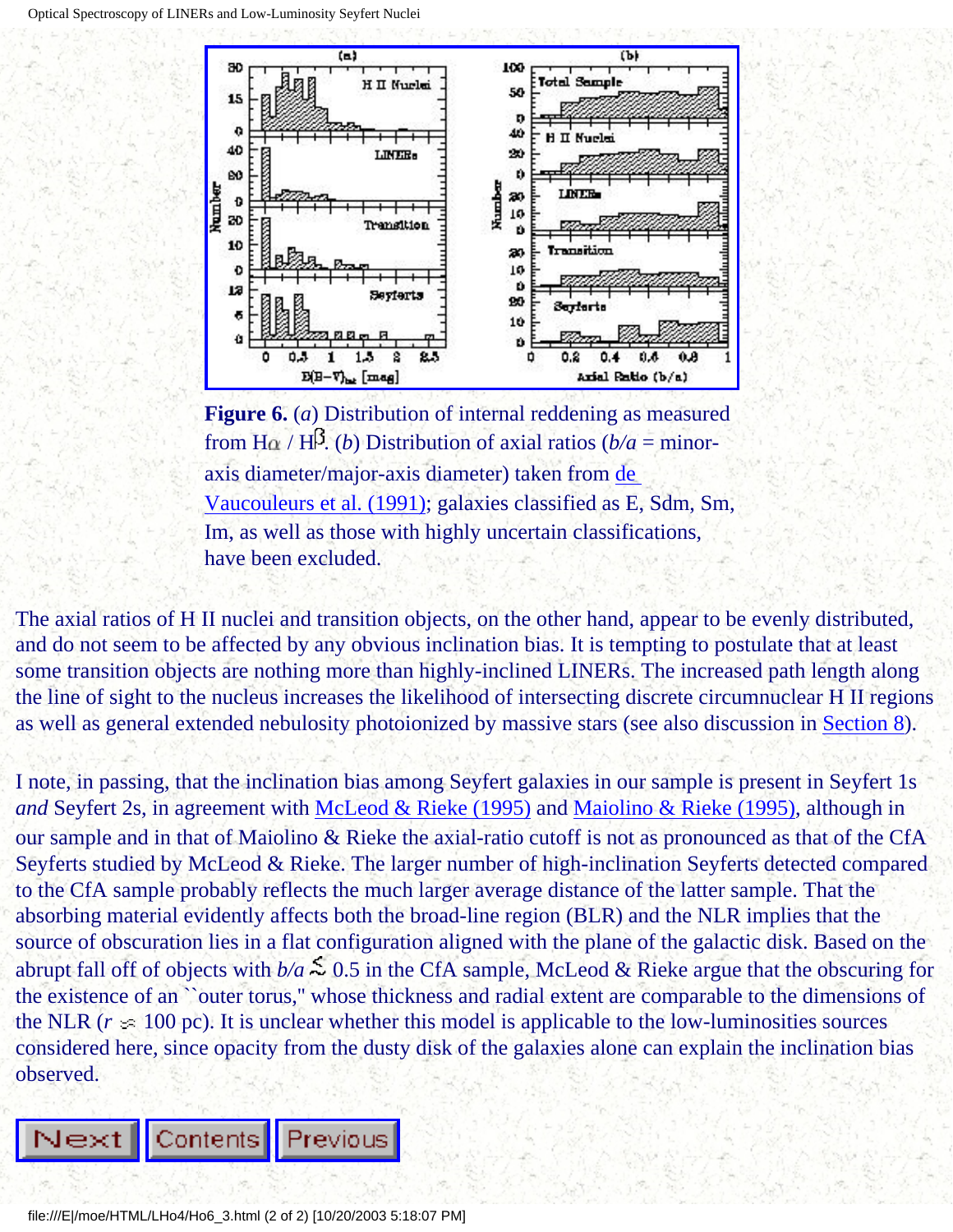

**Figure 6.** (*a*) Distribution of internal reddening as measured from H $\alpha$  / H<sup> $\beta$ </sup>. (*b*) Distribution of axial ratios (*b*/*a* = minoraxis diameter/major-axis diameter) taken from de Vaucouleurs et al. (1991); galaxies classified as E, Sdm, Sm, Im, as well as those with highly uncertain classifications, have been excluded.

The axial ratios of H II nuclei and transition objects, on the other hand, appear to be evenly distributed, and do not seem to be affected by any obvious inclination bias. It is tempting to postulate that at least some transition objects are nothing more than highly-inclined LINERs. The increased path length along the line of sight to the nucleus increases the likelihood of intersecting discrete circumnuclear H II regions as well as general extended nebulosity photoionized by massive stars (see also discussion in [Section 8](#page-27-0)).

I note, in passing, that the inclination bias among Seyfert galaxies in our sample is present in Seyfert 1s *and* Seyfert 2s, in agreement with [McLeod & Rieke \(1995\)](#page-38-18) and [Maiolino & Rieke \(1995\)](#page-38-14), although in our sample and in that of Maiolino & Rieke the axial-ratio cutoff is not as pronounced as that of the CfA Seyferts studied by McLeod & Rieke. The larger number of high-inclination Seyferts detected compared to the CfA sample probably reflects the much larger average distance of the latter sample. That the absorbing material evidently affects both the broad-line region (BLR) and the NLR implies that the source of obscuration lies in a flat configuration aligned with the plane of the galactic disk. Based on the abrupt fall off of objects with  $b/a = 0.5$  in the CfA sample, McLeod & Rieke argue that the obscuring for the existence of an ``outer torus,'' whose thickness and radial extent are comparable to the dimensions of the NLR  $(r = 100 \text{ pc})$ . It is unclear whether this model is applicable to the low-luminosities sources considered here, since opacity from the dusty disk of the galaxies alone can explain the inclination bias observed.

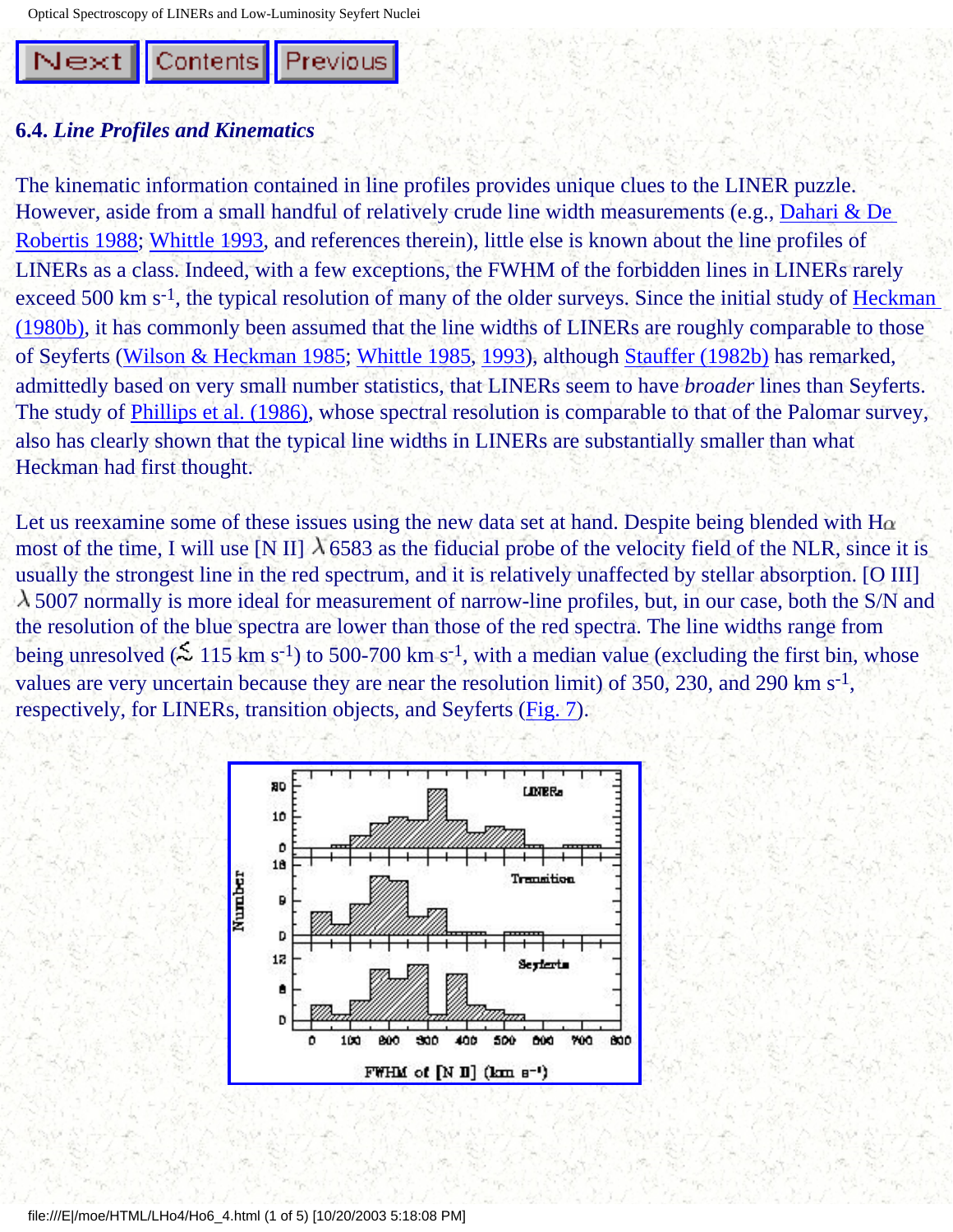#### <span id="page-19-0"></span>**6.4.** *Line Profiles and Kinematics*

The kinematic information contained in line profiles provides unique clues to the LINER puzzle. However, aside from a small handful of relatively crude line width measurements (e.g., Dahari & De Robertis 1988; Whittle 1993, and references therein), little else is known about the line profiles of LINERs as a class. Indeed, with a few exceptions, the FWHM of the forbidden lines in LINERs rarely exceed 500 km s<sup>-1</sup>, the typical resolution of many of the older surveys. Since the initial study of Heckman [\(1980b\)](#page-37-0), it has commonly been assumed that the line widths of LINERs are roughly comparable to those of Seyferts (Wilson & Heckman 1985; Whittle 1985, 1993), although [Stauffer \(1982b\)](#page-38-11) has remarked, admittedly based on very small number statistics, that LINERs seem to have *broader* lines than Seyferts. The study of [Phillips et al. \(1986\)](#page-38-1), whose spectral resolution is comparable to that of the Palomar survey, also has clearly shown that the typical line widths in LINERs are substantially smaller than what Heckman had first thought.

Let us reexamine some of these issues using the new data set at hand. Despite being blended with  $H\alpha$ most of the time, I will use [N II]  $\lambda$  6583 as the fiducial probe of the velocity field of the NLR, since it is usually the strongest line in the red spectrum, and it is relatively unaffected by stellar absorption. [O III]  $\lambda$  5007 normally is more ideal for measurement of narrow-line profiles, but, in our case, both the S/N and the resolution of the blue spectra are lower than those of the red spectra. The line widths range from being unresolved ( $\lesssim 115$  km s<sup>-1</sup>) to 500-700 km s<sup>-1</sup>, with a median value (excluding the first bin, whose values are very uncertain because they are near the resolution limit) of 350, 230, and 290 km  $s^{-1}$ , respectively, for LINERs, transition objects, and Seyferts (Fig. 7).

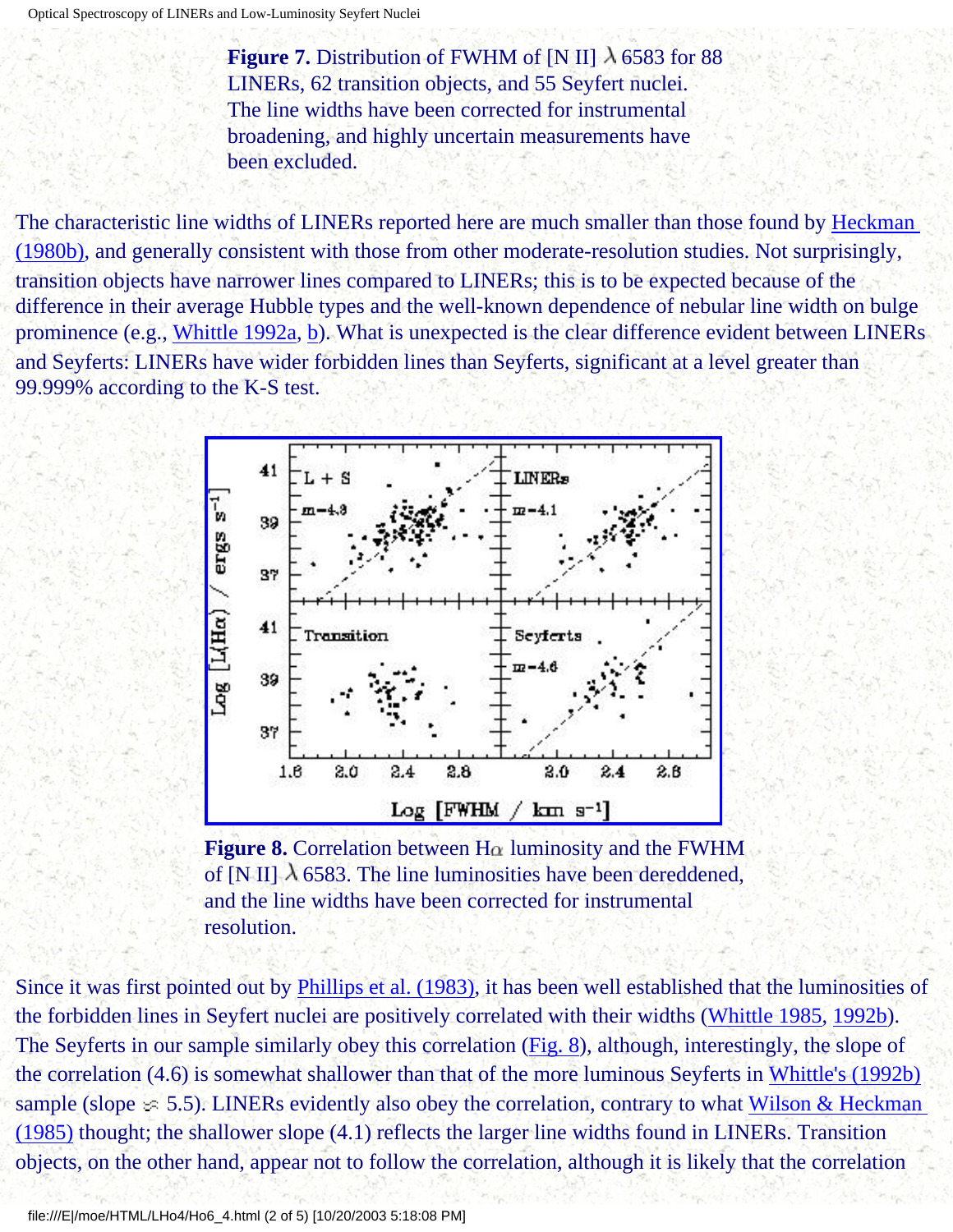**Figure 7.** Distribution of FWHM of [N II]  $\lambda$  6583 for 88 LINERs, 62 transition objects, and 55 Seyfert nuclei. The line widths have been corrected for instrumental broadening, and highly uncertain measurements have been excluded.

The characteristic line widths of LINERs reported here are much smaller than those found by [Heckman](#page-37-0)  [\(1980b\)](#page-37-0), and generally consistent with those from other moderate-resolution studies. Not surprisingly, transition objects have narrower lines compared to LINERs; this is to be expected because of the difference in their average Hubble types and the well-known dependence of nebular line width on bulge prominence (e.g., Whittle 1992a, b). What is unexpected is the clear difference evident between LINERs and Seyferts: LINERs have wider forbidden lines than Seyferts, significant at a level greater than 99.999% according to the K-S test.



**Figure 8.** Correlation between  $H\alpha$  luminosity and the FWHM of [N II]  $\lambda$  6583. The line luminosities have been dereddened, and the line widths have been corrected for instrumental resolution.

Since it was first pointed out by *Phillips et al.* (1983), it has been well established that the luminosities of the forbidden lines in Seyfert nuclei are positively correlated with their widths (Whittle 1985, 1992b). The Seyferts in our sample similarly obey this correlation (Fig. 8), although, interestingly, the slope of the correlation (4.6) is somewhat shallower than that of the more luminous Seyferts in Whittle's (1992b) sample (slope  $\leq$  5.5). LINERs evidently also obey the correlation, contrary to what Wilson & Heckman (1985) thought; the shallower slope (4.1) reflects the larger line widths found in LINERs. Transition objects, on the other hand, appear not to follow the correlation, although it is likely that the correlation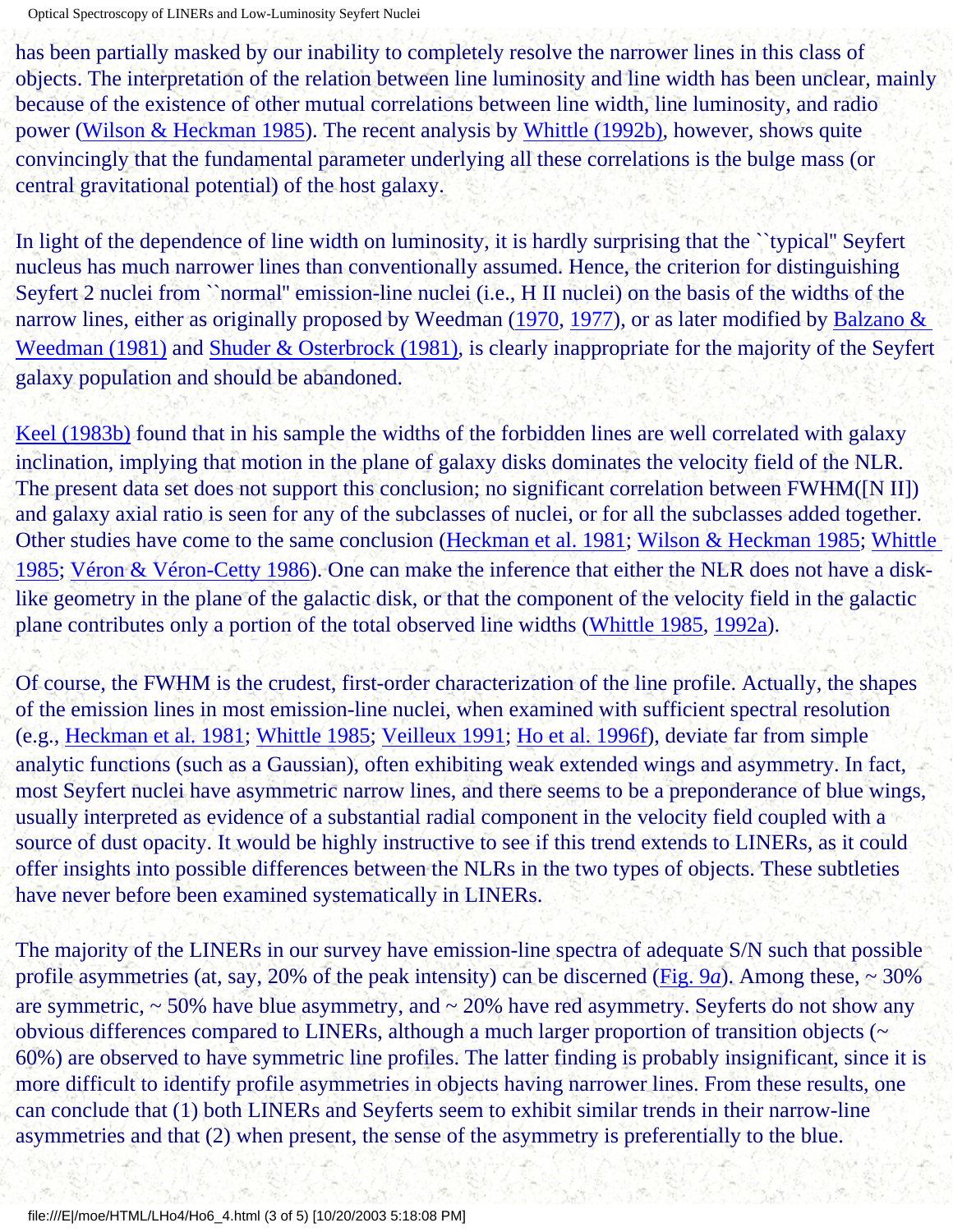```
Optical Spectroscopy of LINERs and Low-Luminosity Seyfert Nuclei
```
has been partially masked by our inability to completely resolve the narrower lines in this class of objects. The interpretation of the relation between line luminosity and line width has been unclear, mainly because of the existence of other mutual correlations between line width, line luminosity, and radio power (Wilson & Heckman 1985). The recent analysis by Whittle (1992b), however, shows quite convincingly that the fundamental parameter underlying all these correlations is the bulge mass (or central gravitational potential) of the host galaxy.

In light of the dependence of line width on luminosity, it is hardly surprising that the ``typical'' Seyfert nucleus has much narrower lines than conventionally assumed. Hence, the criterion for distinguishing Seyfert 2 nuclei from ``normal'' emission-line nuclei (i.e., H II nuclei) on the basis of the widths of the narrow lines, either as originally proposed by Weedman (1970, 1977), or as later modified by Balzano & [Weedman \(1981\)](#page-36-5) and [Shuder & Osterbrock \(1981\)](#page-38-19), is clearly inappropriate for the majority of the Seyfert galaxy population and should be abandoned.

[Keel \(1983b\)](#page-37-3) found that in his sample the widths of the forbidden lines are well correlated with galaxy inclination, implying that motion in the plane of galaxy disks dominates the velocity field of the NLR. The present data set does not support this conclusion; no significant correlation between FWHM([N II]) and galaxy axial ratio is seen for any of the subclasses of nuclei, or for all the subclasses added together. Other studies have come to the same conclusion ([Heckman et al. 1981](#page-37-19); Wilson & Heckman 1985; Whittle 1985; Véron & Véron-Cetty 1986). One can make the inference that either the NLR does not have a disklike geometry in the plane of the galactic disk, or that the component of the velocity field in the galactic plane contributes only a portion of the total observed line widths (Whittle 1985, 1992a).

Of course, the FWHM is the crudest, first-order characterization of the line profile. Actually, the shapes of the emission lines in most emission-line nuclei, when examined with sufficient spectral resolution (e.g., [Heckman et al. 1981](#page-37-19); Whittle 1985; Veilleux 1991; [Ho et al. 1996f\)](#page-37-20), deviate far from simple analytic functions (such as a Gaussian), often exhibiting weak extended wings and asymmetry. In fact, most Seyfert nuclei have asymmetric narrow lines, and there seems to be a preponderance of blue wings, usually interpreted as evidence of a substantial radial component in the velocity field coupled with a source of dust opacity. It would be highly instructive to see if this trend extends to LINERs, as it could offer insights into possible differences between the NLRs in the two types of objects. These subtleties have never before been examined systematically in LINERs.

The majority of the LINERs in our survey have emission-line spectra of adequate S/N such that possible profile asymmetries (at, say, 20% of the peak intensity) can be discerned (Fig. 9*a*). Among these,  $\sim$  30% are symmetric,  $\sim$  50% have blue asymmetry, and  $\sim$  20% have red asymmetry. Seyferts do not show any obvious differences compared to LINERs, although a much larger proportion of transition objects (~ 60%) are observed to have symmetric line profiles. The latter finding is probably insignificant, since it is more difficult to identify profile asymmetries in objects having narrower lines. From these results, one can conclude that (1) both LINERs and Seyferts seem to exhibit similar trends in their narrow-line asymmetries and that (2) when present, the sense of the asymmetry is preferentially to the blue.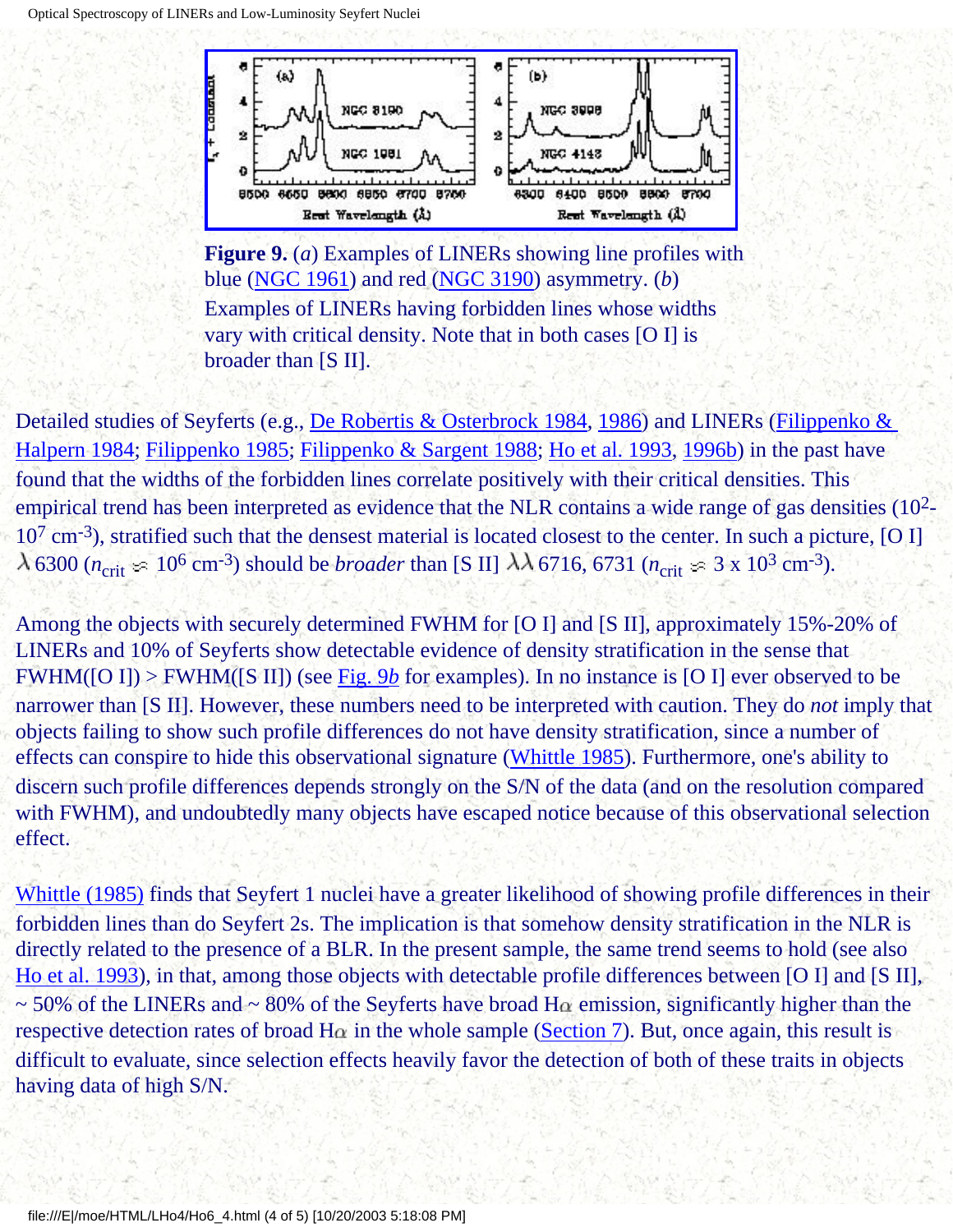

**Figure 9.** (*a*) Examples of LINERs showing line profiles with blue ([NGC 1961](http://nedwww.ipac.caltech.edu/cgi-bin/nph-objsearch?objname=NGC+1961&extend=no&out_csys=Equatorial&out_equinox=J2000.0&obj_sort=RA+or+Longitude&zv_breaker=30000.0&list_limit=5&img_stamp=YES)) and red [\(NGC 3190](http://nedwww.ipac.caltech.edu/cgi-bin/nph-objsearch?objname=NGC+3190&extend=no&out_csys=Equatorial&out_equinox=J2000.0&obj_sort=RA+or+Longitude&zv_breaker=30000.0&list_limit=5&img_stamp=YES)) asymmetry. (*b*) Examples of LINERs having forbidden lines whose widths vary with critical density. Note that in both cases [O I] is broader than [S II].

Detailed studies of Seyferts (e.g., De Robertis & Osterbrock 1984, 1986) and LINERs (Filippenko & Halpern 1984; Filippenko 1985; Filippenko & Sargent 1988; [Ho et al. 1993,](#page-37-6) [1996b\)](#page-37-16) in the past have found that the widths of the forbidden lines correlate positively with their critical densities. This empirical trend has been interpreted as evidence that the NLR contains a wide range of gas densities (102-  $10<sup>7</sup>$  cm<sup>-3</sup>), stratified such that the densest material is located closest to the center. In such a picture, [O I]  $\lambda$  6300 ( $n_{\text{crit}} = 10^6 \text{ cm}^{-3}$ ) should be *broader* than [S II]  $\lambda \lambda$  6716, 6731 ( $n_{\text{crit}} = 3 \times 10^3 \text{ cm}^{-3}$ ).

Among the objects with securely determined FWHM for [O I] and [S II], approximately 15%-20% of LINERs and 10% of Seyferts show detectable evidence of density stratification in the sense that FWHM([O I]) > FWHM([S II]) (see Fig. 9*b* for examples). In no instance is [O I] ever observed to be narrower than [S II]. However, these numbers need to be interpreted with caution. They do *not* imply that objects failing to show such profile differences do not have density stratification, since a number of effects can conspire to hide this observational signature (Whittle 1985). Furthermore, one's ability to discern such profile differences depends strongly on the S/N of the data (and on the resolution compared with FWHM), and undoubtedly many objects have escaped notice because of this observational selection effect.

Whittle (1985) finds that Seyfert 1 nuclei have a greater likelihood of showing profile differences in their forbidden lines than do Seyfert 2s. The implication is that somehow density stratification in the NLR is directly related to the presence of a BLR. In the present sample, the same trend seems to hold (see also [Ho et al. 1993](#page-37-6)), in that, among those objects with detectable profile differences between [O I] and [S II],  $\sim$  50% of the LINERs and  $\sim$  80% of the Seyferts have broad H $\alpha$  emission, significantly higher than the respective detection rates of broad  $H_{\alpha}$  in the whole sample ([Section 7\)](#page-24-0). But, once again, this result is difficult to evaluate, since selection effects heavily favor the detection of both of these traits in objects having data of high S/N.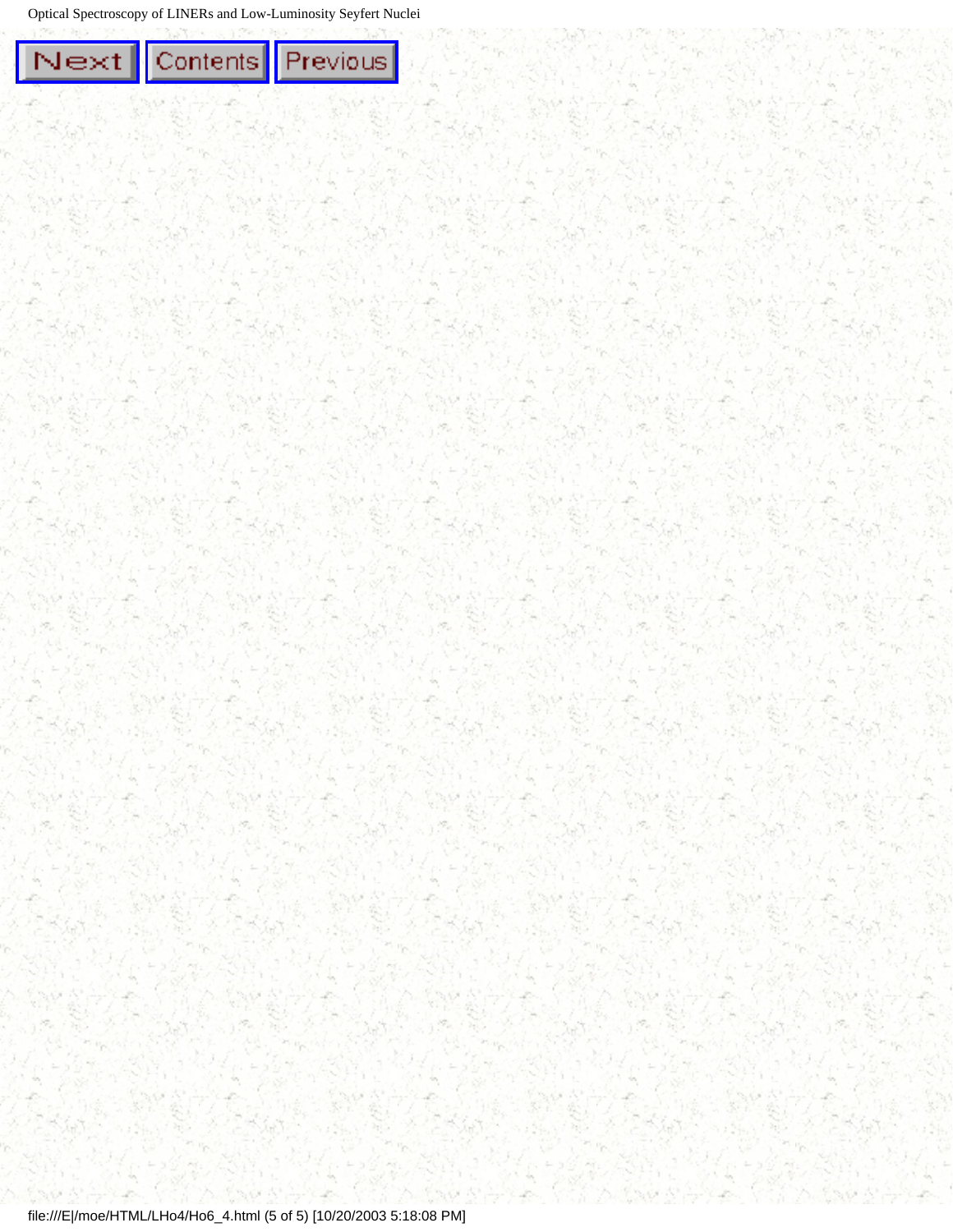

心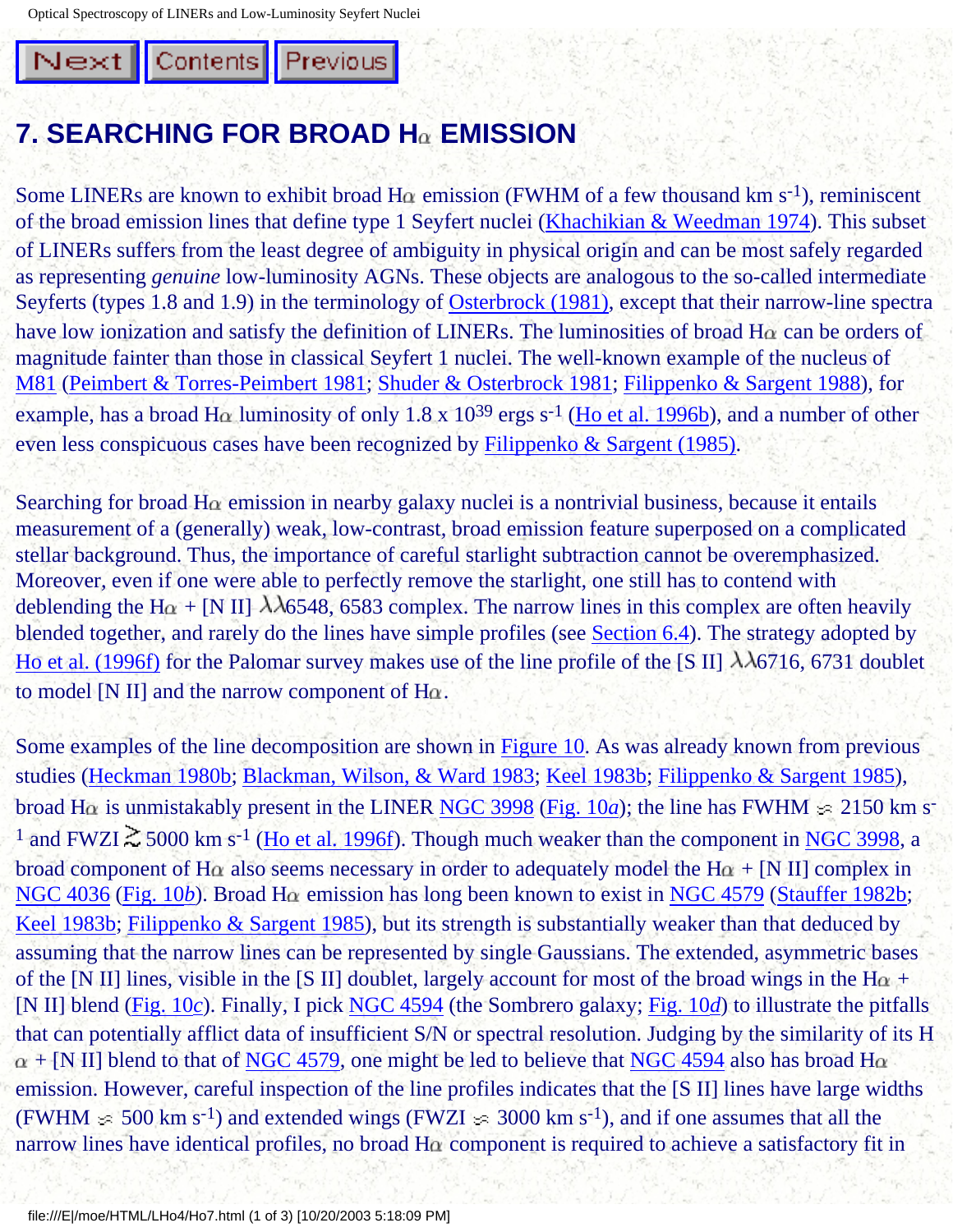### <span id="page-24-0"></span>**7. SEARCHING FOR BROAD Ha EMISSION**

Some LINERs are known to exhibit broad H $\alpha$  emission (FWHM of a few thousand km s<sup>-1</sup>), reminiscent of the broad emission lines that define type 1 Seyfert nuclei [\(Khachikian & Weedman 1974\)](#page-37-21). This subset of LINERs suffers from the least degree of ambiguity in physical origin and can be most safely regarded as representing *genuine* low-luminosity AGNs. These objects are analogous to the so-called intermediate Seyferts (types 1.8 and 1.9) in the terminology of [Osterbrock \(1981\)](#page-38-20), except that their narrow-line spectra have low ionization and satisfy the definition of LINERs. The luminosities of broad  $H\alpha$  can be orders of magnitude fainter than those in classical Seyfert 1 nuclei. The well-known example of the nucleus of [M81](http://nedwww.ipac.caltech.edu/cgi-bin/nph-objsearch?objname=M81&extend=no&out_csys=Equatorial&out_equinox=J2000.0&obj_sort=RA+or+Longitude&zv_breaker=30000.0&list_limit=5&img_stamp=YES) [\(Peimbert & Torres-Peimbert 1981](#page-38-21); [Shuder & Osterbrock 1981;](#page-38-19) Filippenko & Sargent 1988), for example, has a broad H $\alpha$  luminosity of only 1.8 x 10<sup>39</sup> ergs s<sup>-1</sup> ([Ho et al. 1996b\)](#page-37-16), and a number of other even less conspicuous cases have been recognized by **Filippenko & Sargent (1985)**.

Searching for broad  $H\alpha$  emission in nearby galaxy nuclei is a nontrivial business, because it entails measurement of a (generally) weak, low-contrast, broad emission feature superposed on a complicated stellar background. Thus, the importance of careful starlight subtraction cannot be overemphasized. Moreover, even if one were able to perfectly remove the starlight, one still has to contend with deblending the H $\alpha$  + [N II]  $\lambda\lambda$ 6548, 6583 complex. The narrow lines in this complex are often heavily blended together, and rarely do the lines have simple profiles (see [Section 6.4](#page-19-0)). The strategy adopted by [Ho et al. \(1996f\)](#page-37-20) for the Palomar survey makes use of the line profile of the [S II]  $\lambda\lambda$ 6716, 6731 doublet to model [N II] and the narrow component of  $H<sub>0</sub>$ .

Some examples of the line decomposition are shown in Figure 10. As was already known from previous studies ([Heckman 1980b;](#page-37-0) [Blackman, Wilson, & Ward 1983;](#page-36-6) [Keel 1983b;](#page-37-3) Filippenko & Sargent 1985), broad H $\alpha$  is unmistakably present in the LINER [NGC 3998](http://nedwww.ipac.caltech.edu/cgi-bin/nph-objsearch?objname=NGC+3998&extend=no&out_csys=Equatorial&out_equinox=J2000.0&obj_sort=RA+or+Longitude&zv_breaker=30000.0&list_limit=5&img_stamp=YES) (Fig. 10*a*); the line has FWHM  $\approx$  2150 km s-<sup>1</sup> and FWZI  $\gtrsim$  5000 km s<sup>-1</sup> [\(Ho et al. 1996f\)](#page-37-20). Though much weaker than the component in [NGC 3998](http://nedwww.ipac.caltech.edu/cgi-bin/nph-objsearch?objname=NGC+3998&extend=no&out_csys=Equatorial&out_equinox=J2000.0&obj_sort=RA+or+Longitude&zv_breaker=30000.0&list_limit=5&img_stamp=YES), a broad component of H $\alpha$  also seems necessary in order to adequately model the H $\alpha$  + [N II] complex in [NGC 4036](http://nedwww.ipac.caltech.edu/cgi-bin/nph-objsearch?objname=NGC+4036&extend=no&out_csys=Equatorial&out_equinox=J2000.0&obj_sort=RA+or+Longitude&zv_breaker=30000.0&list_limit=5&img_stamp=YES) (Fig. 10*b*). Broad H<sub>Q</sub> emission has long been known to exist in [NGC 4579](http://nedwww.ipac.caltech.edu/cgi-bin/nph-objsearch?objname=NGC+4579&extend=no&out_csys=Equatorial&out_equinox=J2000.0&obj_sort=RA+or+Longitude&zv_breaker=30000.0&list_limit=5&img_stamp=YES) [\(Stauffer 1982b;](#page-38-11) [Keel 1983b;](#page-37-3) Filippenko & Sargent 1985), but its strength is substantially weaker than that deduced by assuming that the narrow lines can be represented by single Gaussians. The extended, asymmetric bases of the [N II] lines, visible in the [S II] doublet, largely account for most of the broad wings in the  $H_0 +$ [N II] blend (Fig. 10*c*). Finally, I pick [NGC 4594](http://nedwww.ipac.caltech.edu/cgi-bin/nph-objsearch?objname=NGC+4594&extend=no&out_csys=Equatorial&out_equinox=J2000.0&obj_sort=RA+or+Longitude&zv_breaker=30000.0&list_limit=5&img_stamp=YES) (the Sombrero galaxy; Fig. 10*d*) to illustrate the pitfalls that can potentially afflict data of insufficient S/N or spectral resolution. Judging by the similarity of its H  $\alpha$  + [N II] blend to that of [NGC 4579,](http://nedwww.ipac.caltech.edu/cgi-bin/nph-objsearch?objname=NGC+4579&extend=no&out_csys=Equatorial&out_equinox=J2000.0&obj_sort=RA+or+Longitude&zv_breaker=30000.0&list_limit=5&img_stamp=YES) one might be led to believe that [NGC 4594](http://nedwww.ipac.caltech.edu/cgi-bin/nph-objsearch?objname=NGC+4594&extend=no&out_csys=Equatorial&out_equinox=J2000.0&obj_sort=RA+or+Longitude&zv_breaker=30000.0&list_limit=5&img_stamp=YES) also has broad H $\alpha$ emission. However, careful inspection of the line profiles indicates that the [S II] lines have large widths (FWHM  $\leq 500$  km s<sup>-1</sup>) and extended wings (FWZI  $\leq 3000$  km s<sup>-1</sup>), and if one assumes that all the narrow lines have identical profiles, no broad  $H\alpha$  component is required to achieve a satisfactory fit in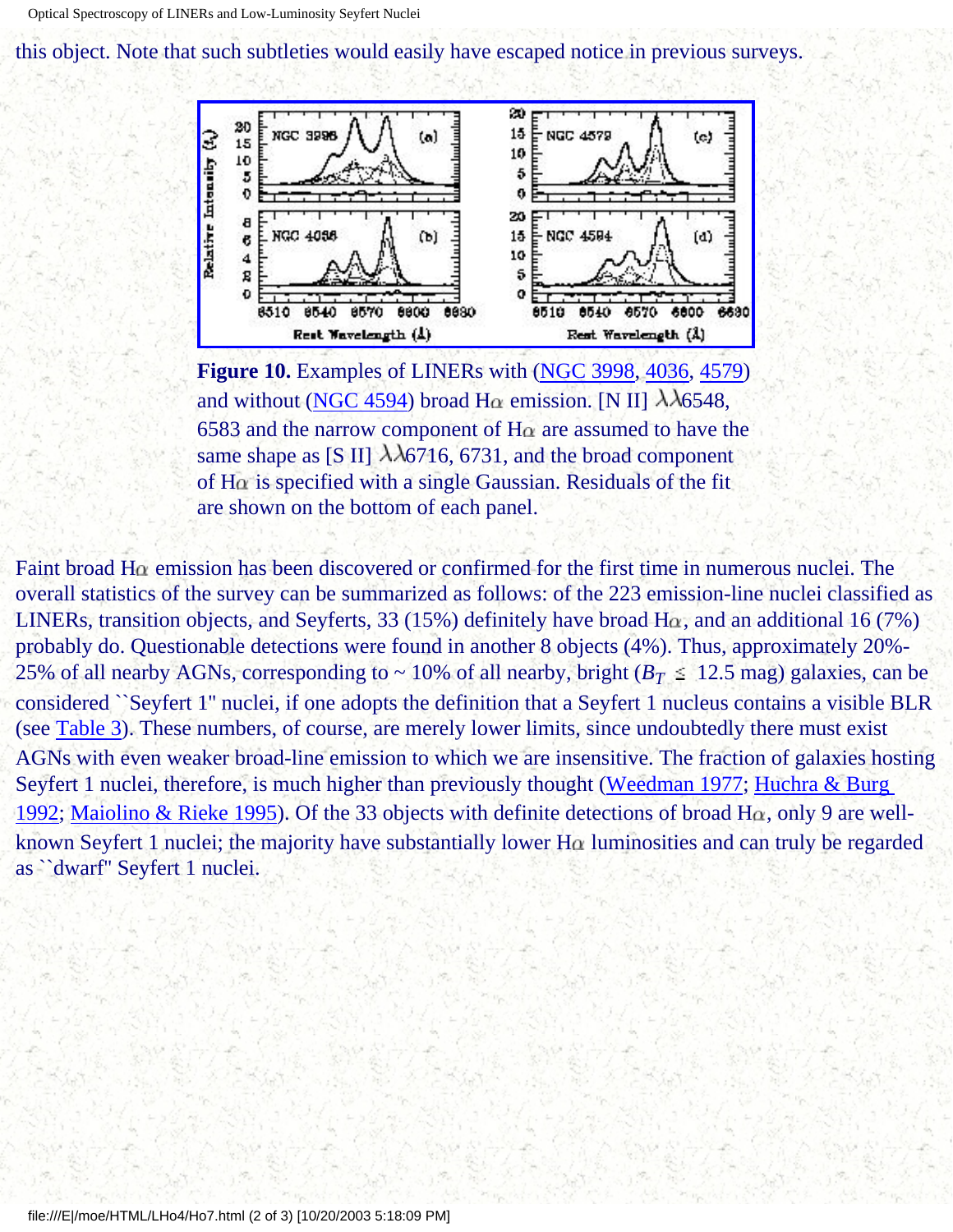this object. Note that such subtleties would easily have escaped notice in previous surveys.



**Figure 10.** Examples of LINERs with [\(NGC 3998,](http://nedwww.ipac.caltech.edu/cgi-bin/nph-objsearch?objname=NGC+3998&extend=no&out_csys=Equatorial&out_equinox=J2000.0&obj_sort=RA+or+Longitude&zv_breaker=30000.0&list_limit=5&img_stamp=YES) [4036,](http://nedwww.ipac.caltech.edu/cgi-bin/nph-objsearch?objname=NGC+4036&extend=no&out_csys=Equatorial&out_equinox=J2000.0&obj_sort=RA+or+Longitude&zv_breaker=30000.0&list_limit=5&img_stamp=YES) [4579\)](http://nedwww.ipac.caltech.edu/cgi-bin/nph-objsearch?objname=NGC+4579&extend=no&out_csys=Equatorial&out_equinox=J2000.0&obj_sort=RA+or+Longitude&zv_breaker=30000.0&list_limit=5&img_stamp=YES) and without [\(NGC 4594\)](http://nedwww.ipac.caltech.edu/cgi-bin/nph-objsearch?objname=NGC+4594&extend=no&out_csys=Equatorial&out_equinox=J2000.0&obj_sort=RA+or+Longitude&zv_breaker=30000.0&list_limit=5&img_stamp=YES) broad H $\alpha$  emission. [N II]  $\lambda\lambda$ 6548, 6583 and the narrow component of  $Ha$  are assumed to have the same shape as [S II]  $\lambda\lambda$ 6716, 6731, and the broad component of  $H<sub>0</sub>$  is specified with a single Gaussian. Residuals of the fit are shown on the bottom of each panel.

Faint broad  $Ha$  emission has been discovered or confirmed for the first time in numerous nuclei. The overall statistics of the survey can be summarized as follows: of the 223 emission-line nuclei classified as LINERs, transition objects, and Seyferts, 33 (15%) definitely have broad  $H_{\alpha}$ , and an additional 16 (7%) probably do. Questionable detections were found in another 8 objects (4%). Thus, approximately 20%- 25% of all nearby AGNs, corresponding to  $\sim$  10% of all nearby, bright ( $B_T \leq 12.5$  mag) galaxies, can be considered ``Seyfert 1'' nuclei, if one adopts the definition that a Seyfert 1 nucleus contains a visible BLR (see [Table 3](#page-24-0)). These numbers, of course, are merely lower limits, since undoubtedly there must exist AGNs with even weaker broad-line emission to which we are insensitive. The fraction of galaxies hosting Seyfert 1 nuclei, therefore, is much higher than previously thought (Weedman 1977; Huchra & Burg [1992;](#page-37-22) [Maiolino & Rieke 1995](#page-38-14)). Of the 33 objects with definite detections of broad H $\alpha$ , only 9 are wellknown Seyfert 1 nuclei; the majority have substantially lower  $H\alpha$  luminosities and can truly be regarded as ``dwarf'' Seyfert 1 nuclei.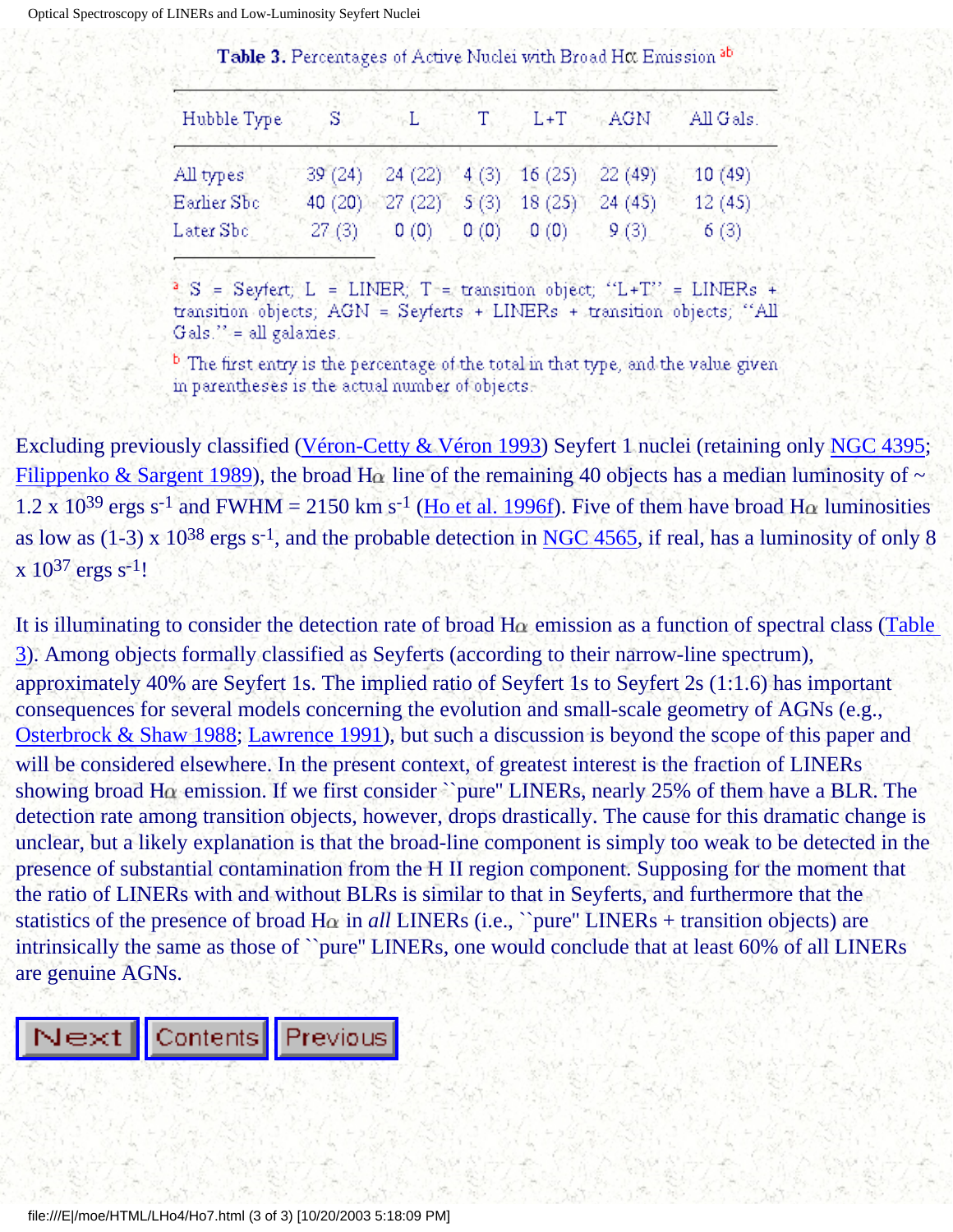| Hubble Type | s       | 'nЕ  |      | $L+T$                    | <b>AGN</b> | All Gals. |
|-------------|---------|------|------|--------------------------|------------|-----------|
| All types   | 39(24)  |      |      | $24(22)$ 4 (3) 16 (25)   | 22(49)     | 10(49)    |
| Earlier Sbc | 40 (20) |      |      | $27(22)$ $5(3)$ $18(25)$ | 24(45)     | 12(45)    |
| Later Sbc.  | 27(3)   | 0(0) | 0(0) | 0(0)                     | 9(3)       | 6(3)      |

Table 3. Percentages of Active Nuclei with Broad Ho Emission <sup>ab</sup>

 $3 S =$  Seyfert; L = LINER; T = transition object;  $(L+T)' =$  LINERs + transition objects; AGN = Seyferts + LINERs + transition objects; "All Gals." = all galaxies.

<sup>b</sup> The first entry is the percentage of the total in that type, and the value given in parentheses is the actual number of objects.

Excluding previously classified (Véron-Cetty & Véron 1993) Seyfert 1 nuclei (retaining only [NGC 4395;](http://nedwww.ipac.caltech.edu/cgi-bin/nph-objsearch?objname=NGC+4395&extend=no&out_csys=Equatorial&out_equinox=J2000.0&obj_sort=RA+or+Longitude&zv_breaker=30000.0&list_limit=5&img_stamp=YES) Filippenko & Sargent 1989), the broad H $\alpha$  line of the remaining 40 objects has a median luminosity of  $\sim$ 1.2 x  $10^{39}$  ergs s<sup>-1</sup> and FWHM = 2150 km s<sup>-1</sup> [\(Ho et al. 1996f\)](#page-37-20). Five of them have broad H $\alpha$  luminosities as low as (1-3) x  $10^{38}$  ergs s<sup>-1</sup>, and the probable detection in [NGC 4565,](http://nedwww.ipac.caltech.edu/cgi-bin/nph-objsearch?objname=NGC+4565&extend=no&out_csys=Equatorial&out_equinox=J2000.0&obj_sort=RA+or+Longitude&zv_breaker=30000.0&list_limit=5&img_stamp=YES) if real, has a luminosity of only 8  $x 10^{37}$  ergs s<sup>-1</sup>!

It is illuminating to consider the detection rate of broad  $H\alpha$  emission as a function of spectral class (Table [3\)](#page-24-0). Among objects formally classified as Seyferts (according to their narrow-line spectrum), approximately 40% are Seyfert 1s. The implied ratio of Seyfert 1s to Seyfert 2s (1:1.6) has important consequences for several models concerning the evolution and small-scale geometry of AGNs (e.g., [Osterbrock & Shaw 1988](#page-38-22); [Lawrence 1991\)](#page-38-23), but such a discussion is beyond the scope of this paper and will be considered elsewhere. In the present context, of greatest interest is the fraction of LINERs showing broad H $\alpha$  emission. If we first consider "pure" LINERs, nearly 25% of them have a BLR. The detection rate among transition objects, however, drops drastically. The cause for this dramatic change is unclear, but a likely explanation is that the broad-line component is simply too weak to be detected in the presence of substantial contamination from the H II region component. Supposing for the moment that the ratio of LINERs with and without BLRs is similar to that in Seyferts, and furthermore that the statistics of the presence of broad H $\alpha$  in *all* LINERs (i.e., ``pure'' LINERs + transition objects) are intrinsically the same as those of "pure" LINERs, one would conclude that at least 60% of all LINERs are genuine AGNs.

# Next Contents Previous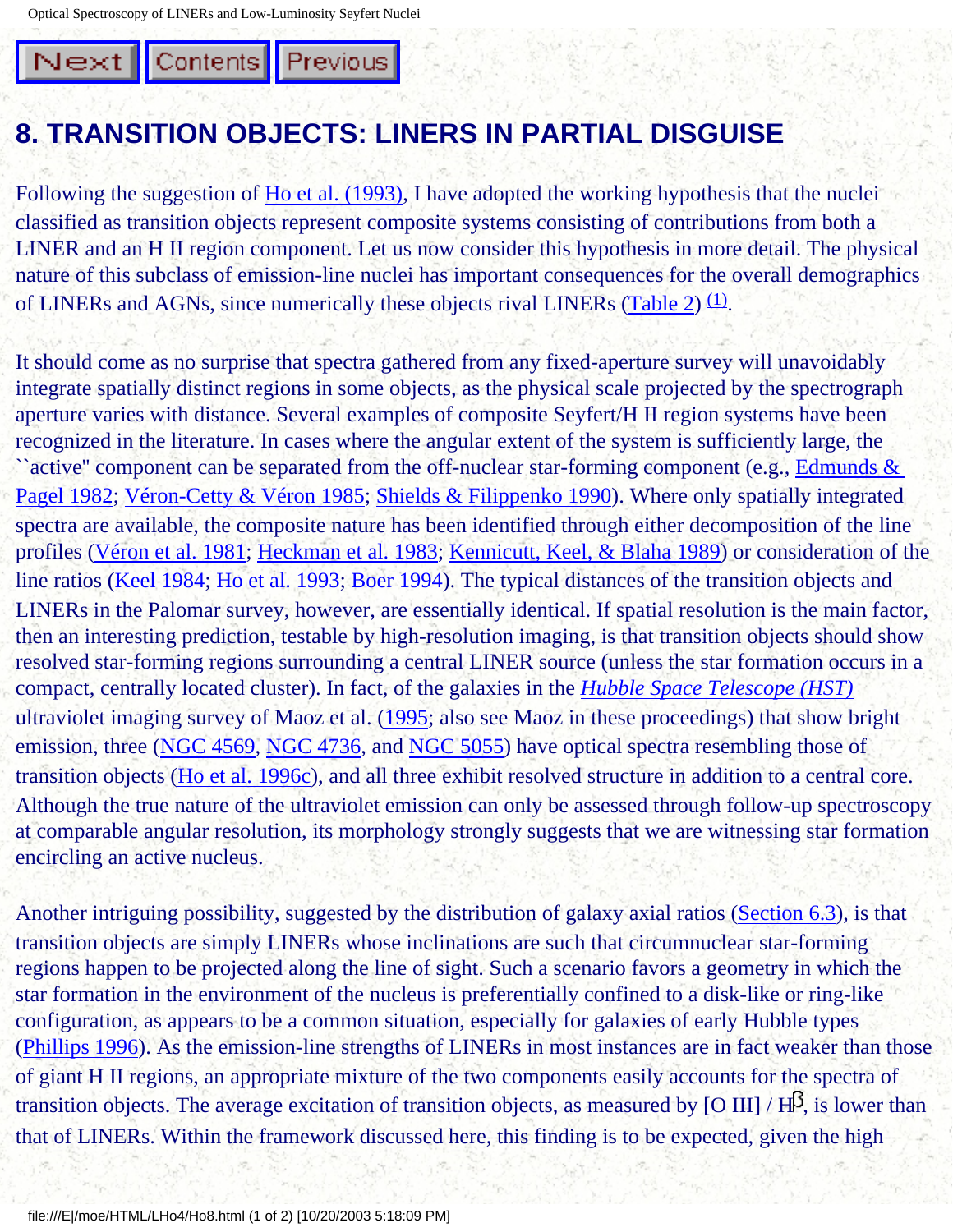<span id="page-27-0"></span>Next Contents Previous

### **8. TRANSITION OBJECTS: LINERS IN PARTIAL DISGUISE**

Following the suggestion of [Ho et al. \(1993\),](#page-37-6) I have adopted the working hypothesis that the nuclei classified as transition objects represent composite systems consisting of contributions from both a LINER and an H II region component. Let us now consider this hypothesis in more detail. The physical nature of this subclass of emission-line nuclei has important consequences for the overall demographics of LINERs and AGNs, since numerically these objects rival LINERs ([Table 2](#page-11-0))  $(1)$ .

<span id="page-27-1"></span>It should come as no surprise that spectra gathered from any fixed-aperture survey will unavoidably integrate spatially distinct regions in some objects, as the physical scale projected by the spectrograph aperture varies with distance. Several examples of composite Seyfert/H II region systems have been recognized in the literature. In cases where the angular extent of the system is sufficiently large, the Cactive" component can be separated from the off-nuclear star-forming component (e.g., Edmunds  $\&$ Pagel 1982; Véron-Cetty & Véron 1985; [Shields & Filippenko 1990](#page-38-24)). Where only spatially integrated spectra are available, the composite nature has been identified through either decomposition of the line profiles (Véron et al. 1981; [Heckman et al. 1983](#page-37-23); [Kennicutt, Keel, & Blaha 1989\)](#page-37-24) or consideration of the line ratios ([Keel 1984;](#page-37-25) [Ho et al. 1993](#page-37-6); Boer 1994). The typical distances of the transition objects and LINERs in the Palomar survey, however, are essentially identical. If spatial resolution is the main factor, then an interesting prediction, testable by high-resolution imaging, is that transition objects should show resolved star-forming regions surrounding a central LINER source (unless the star formation occurs in a compact, centrally located cluster). In fact, of the galaxies in the *[Hubble Space Telescope \(HST\)](http://www.stsci/edu/)* ultraviolet imaging survey of Maoz et al. [\(1995](#page-38-25); also see Maoz in these proceedings) that show bright emission, three ([NGC 4569,](http://nedwww.ipac.caltech.edu/cgi-bin/nph-objsearch?objname=NGC+4569&extend=no&out_csys=Equatorial&out_equinox=J2000.0&obj_sort=RA+or+Longitude&zv_breaker=30000.0&list_limit=5&img_stamp=YES) [NGC 4736](http://nedwww.ipac.caltech.edu/cgi-bin/nph-objsearch?objname=NGC+4736&extend=no&out_csys=Equatorial&out_equinox=J2000.0&obj_sort=RA+or+Longitude&zv_breaker=30000.0&list_limit=5&img_stamp=YES), and [NGC 5055\)](http://nedwww.ipac.caltech.edu/cgi-bin/nph-objsearch?objname=NGC+5055&extend=no&out_csys=Equatorial&out_equinox=J2000.0&obj_sort=RA+or+Longitude&zv_breaker=30000.0&list_limit=5&img_stamp=YES) have optical spectra resembling those of transition objects [\(Ho et al. 1996c\)](#page-37-10), and all three exhibit resolved structure in addition to a central core. Although the true nature of the ultraviolet emission can only be assessed through follow-up spectroscopy at comparable angular resolution, its morphology strongly suggests that we are witnessing star formation encircling an active nucleus.

Another intriguing possibility, suggested by the distribution of galaxy axial ratios [\(Section 6.3](#page-17-0)), is that transition objects are simply LINERs whose inclinations are such that circumnuclear star-forming regions happen to be projected along the line of sight. Such a scenario favors a geometry in which the star formation in the environment of the nucleus is preferentially confined to a disk-like or ring-like configuration, as appears to be a common situation, especially for galaxies of early Hubble types ([Phillips 1996\)](#page-38-26). As the emission-line strengths of LINERs in most instances are in fact weaker than those of giant H II regions, an appropriate mixture of the two components easily accounts for the spectra of transition objects. The average excitation of transition objects, as measured by [O III] /  $\text{H}^3$ , is lower than that of LINERs. Within the framework discussed here, this finding is to be expected, given the high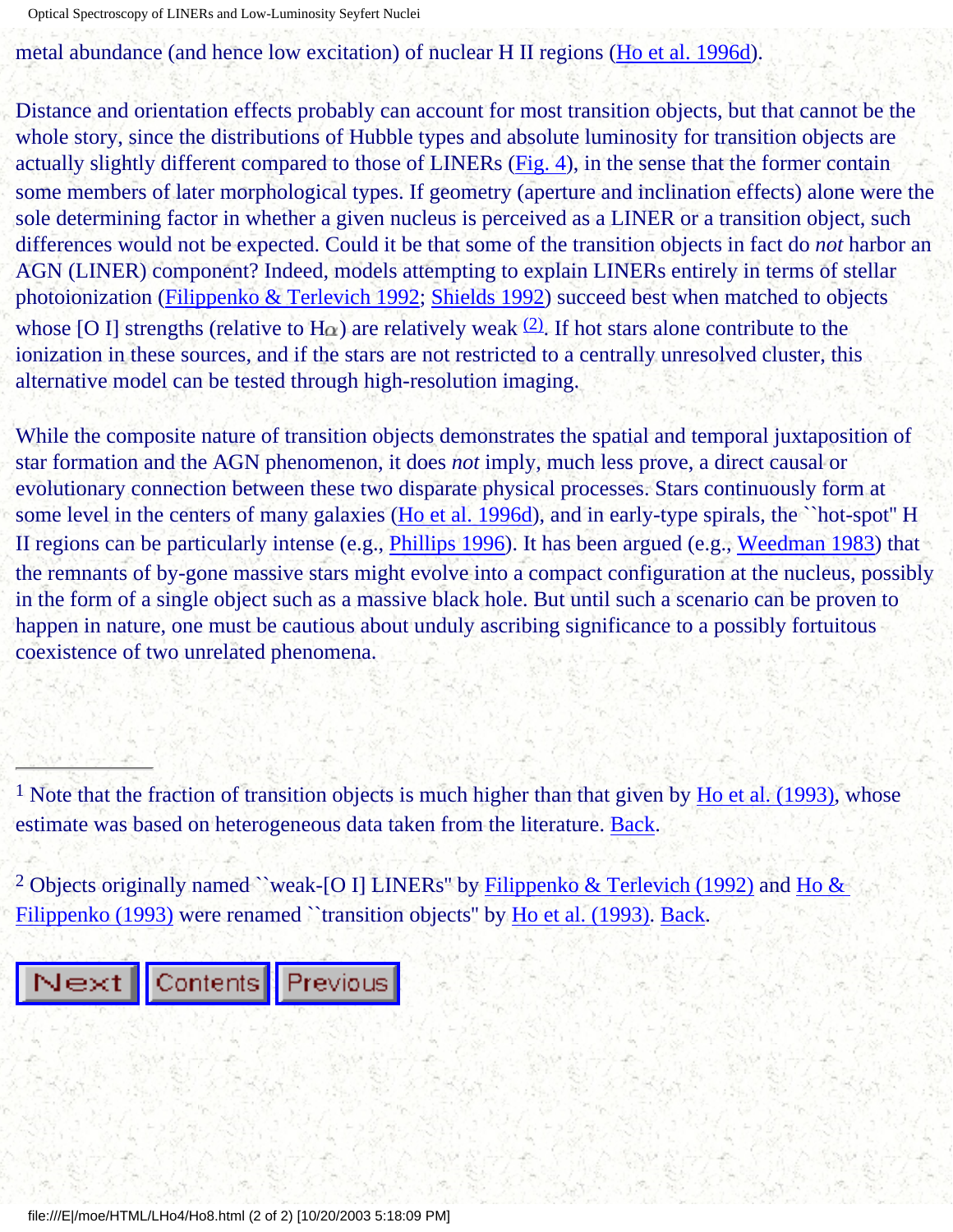metal abundance (and hence low excitation) of nuclear H II regions [\(Ho et al. 1996d](#page-37-5)).

Distance and orientation effects probably can account for most transition objects, but that cannot be the whole story, since the distributions of Hubble types and absolute luminosity for transition objects are actually slightly different compared to those of LINERs (Fig. 4), in the sense that the former contain some members of later morphological types. If geometry (aperture and inclination effects) alone were the sole determining factor in whether a given nucleus is perceived as a LINER or a transition object, such differences would not be expected. Could it be that some of the transition objects in fact do *not* harbor an AGN (LINER) component? Indeed, models attempting to explain LINERs entirely in terms of stellar photoionization (Filippenko & Terlevich 1992; [Shields 1992\)](#page-38-27) succeed best when matched to objects whose [O I] strengths (relative to  $H_{\alpha}$ ) are relatively weak  $(2)$ . If hot stars alone contribute to the ionization in these sources, and if the stars are not restricted to a centrally unresolved cluster, this alternative model can be tested through high-resolution imaging.

<span id="page-28-2"></span>While the composite nature of transition objects demonstrates the spatial and temporal juxtaposition of star formation and the AGN phenomenon, it does *not* imply, much less prove, a direct causal or evolutionary connection between these two disparate physical processes. Stars continuously form at some level in the centers of many galaxies ([Ho et al. 1996d](#page-37-5)), and in early-type spirals, the ``hot-spot" H II regions can be particularly intense (e.g., [Phillips 1996\)](#page-38-26). It has been argued (e.g., Weedman 1983) that the remnants of by-gone massive stars might evolve into a compact configuration at the nucleus, possibly in the form of a single object such as a massive black hole. But until such a scenario can be proven to happen in nature, one must be cautious about unduly ascribing significance to a possibly fortuitous coexistence of two unrelated phenomena.

<span id="page-28-0"></span><sup>1</sup> Note that the fraction of transition objects is much higher than that given by [Ho et al. \(1993\)](#page-37-6), whose estimate was based on heterogeneous data taken from the literature. [Back.](#page-27-1)

<span id="page-28-1"></span><sup>2</sup> Objects originally named ``weak-[O I] LINERs" by Filippenko & Terlevich (1992) and [Ho &](#page-37-26) [Filippenko \(1993\)](#page-37-26) were renamed ``transition objects'' by [Ho et al. \(1993\)](#page-37-6). [Back](#page-28-2).

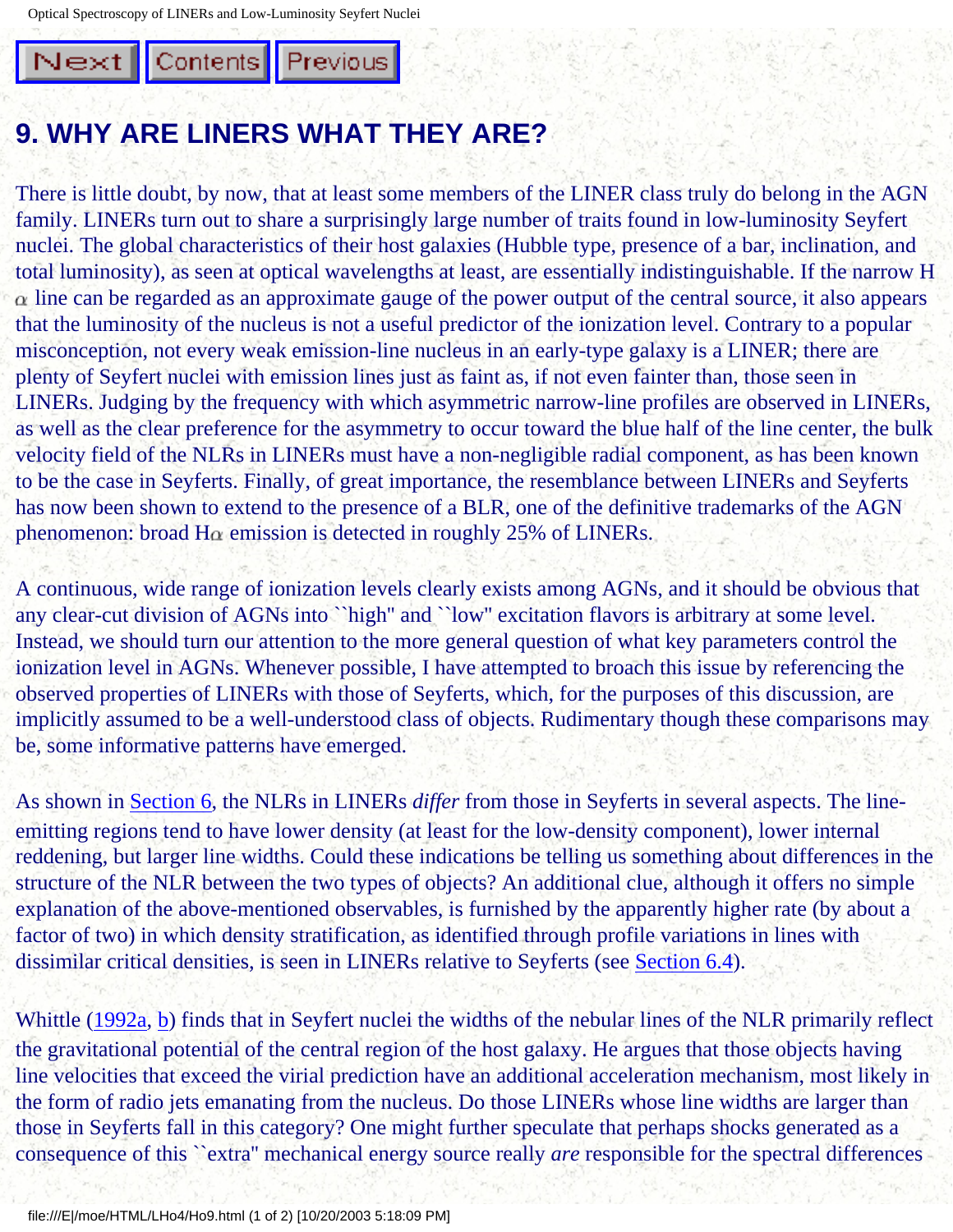### <span id="page-29-0"></span>**9. WHY ARE LINERS WHAT THEY ARE?**

There is little doubt, by now, that at least some members of the LINER class truly do belong in the AGN family. LINERs turn out to share a surprisingly large number of traits found in low-luminosity Seyfert nuclei. The global characteristics of their host galaxies (Hubble type, presence of a bar, inclination, and total luminosity), as seen at optical wavelengths at least, are essentially indistinguishable. If the narrow H  $\alpha$  line can be regarded as an approximate gauge of the power output of the central source, it also appears that the luminosity of the nucleus is not a useful predictor of the ionization level. Contrary to a popular misconception, not every weak emission-line nucleus in an early-type galaxy is a LINER; there are plenty of Seyfert nuclei with emission lines just as faint as, if not even fainter than, those seen in LINERs. Judging by the frequency with which asymmetric narrow-line profiles are observed in LINERs, as well as the clear preference for the asymmetry to occur toward the blue half of the line center, the bulk velocity field of the NLRs in LINERs must have a non-negligible radial component, as has been known to be the case in Seyferts. Finally, of great importance, the resemblance between LINERs and Seyferts has now been shown to extend to the presence of a BLR, one of the definitive trademarks of the AGN phenomenon: broad  $H\alpha$  emission is detected in roughly 25% of LINERs.

A continuous, wide range of ionization levels clearly exists among AGNs, and it should be obvious that any clear-cut division of AGNs into ``high'' and ``low'' excitation flavors is arbitrary at some level. Instead, we should turn our attention to the more general question of what key parameters control the ionization level in AGNs. Whenever possible, I have attempted to broach this issue by referencing the observed properties of LINERs with those of Seyferts, which, for the purposes of this discussion, are implicitly assumed to be a well-understood class of objects. Rudimentary though these comparisons may be, some informative patterns have emerged.

As shown in [Section 6](#page-14-0), the NLRs in LINERs *differ* from those in Seyferts in several aspects. The lineemitting regions tend to have lower density (at least for the low-density component), lower internal reddening, but larger line widths. Could these indications be telling us something about differences in the structure of the NLR between the two types of objects? An additional clue, although it offers no simple explanation of the above-mentioned observables, is furnished by the apparently higher rate (by about a factor of two) in which density stratification, as identified through profile variations in lines with dissimilar critical densities, is seen in LINERs relative to Seyferts (see [Section 6.4](#page-19-0)).

Whittle (1992a, b) finds that in Seyfert nuclei the widths of the nebular lines of the NLR primarily reflect the gravitational potential of the central region of the host galaxy. He argues that those objects having line velocities that exceed the virial prediction have an additional acceleration mechanism, most likely in the form of radio jets emanating from the nucleus. Do those LINERs whose line widths are larger than those in Seyferts fall in this category? One might further speculate that perhaps shocks generated as a consequence of this ``extra'' mechanical energy source really *are* responsible for the spectral differences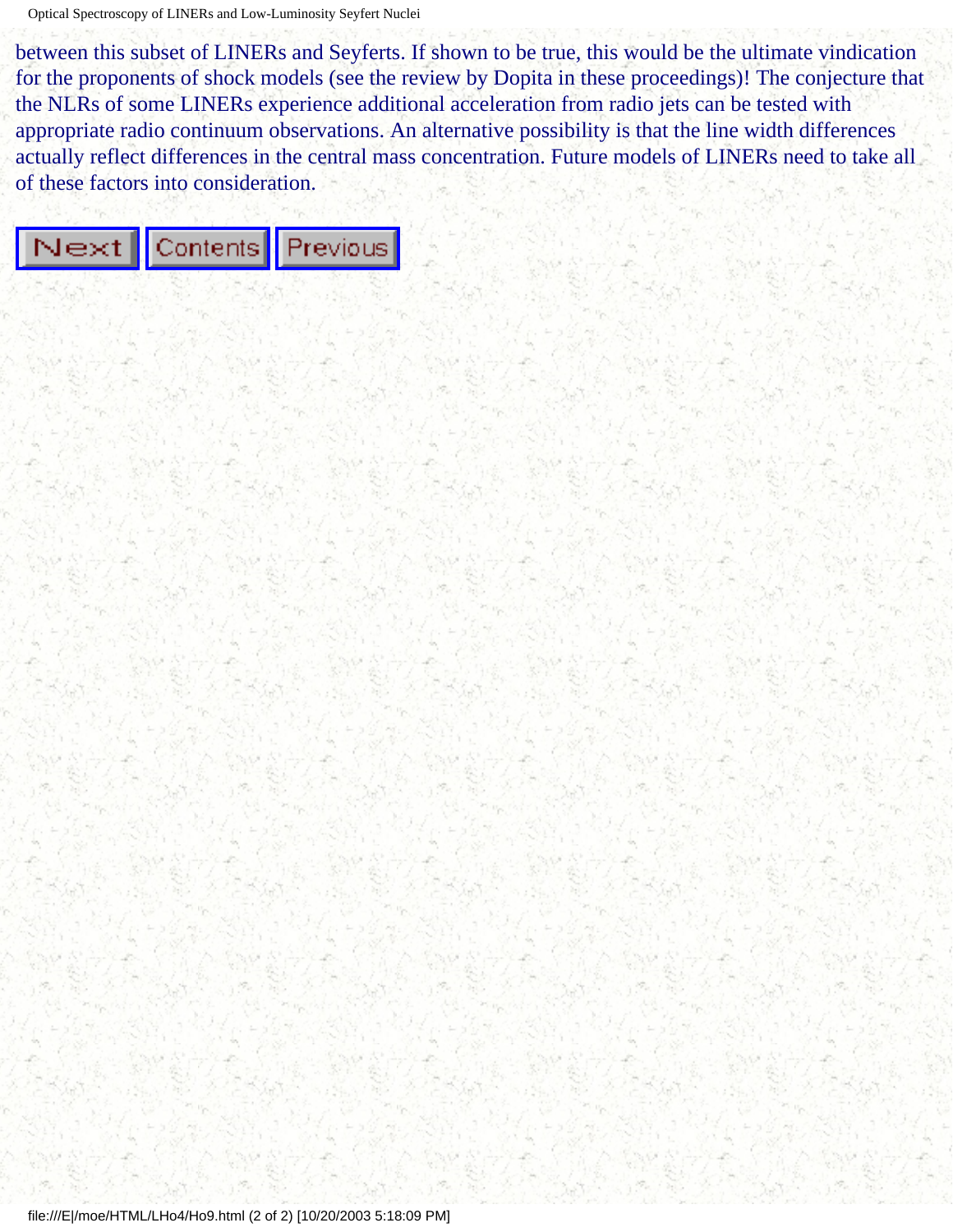between this subset of LINERs and Seyferts. If shown to be true, this would be the ultimate vindication for the proponents of shock models (see the review by Dopita in these proceedings)! The conjecture that the NLRs of some LINERs experience additional acceleration from radio jets can be tested with appropriate radio continuum observations. An alternative possibility is that the line width differences actually reflect differences in the central mass concentration. Future models of LINERs need to take all of these factors into consideration.

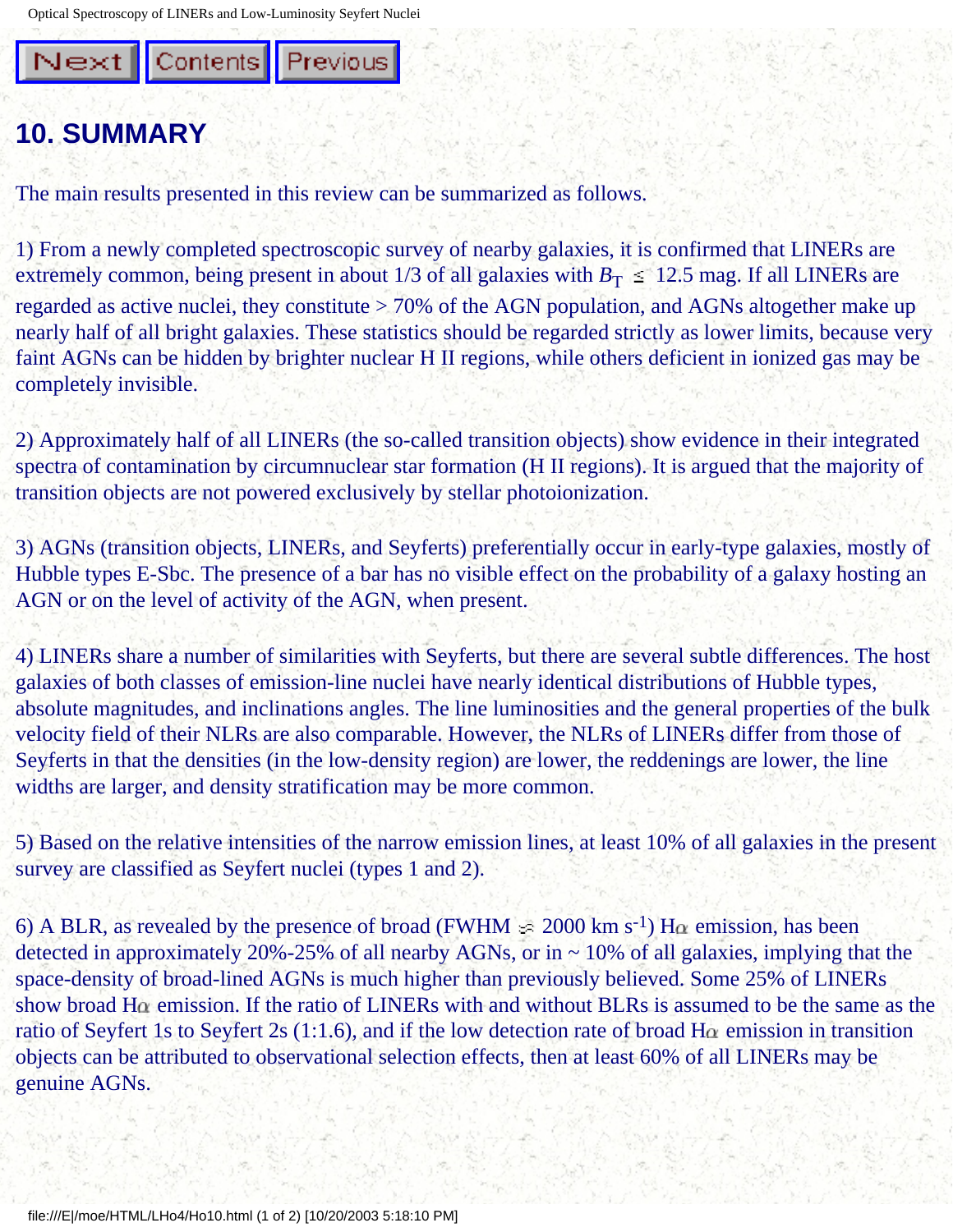### <span id="page-31-0"></span>**10. SUMMARY**

The main results presented in this review can be summarized as follows.

1) From a newly completed spectroscopic survey of nearby galaxies, it is confirmed that LINERs are extremely common, being present in about 1/3 of all galaxies with  $B_T \le 12.5$  mag. If all LINERs are regarded as active nuclei, they constitute > 70% of the AGN population, and AGNs altogether make up nearly half of all bright galaxies. These statistics should be regarded strictly as lower limits, because very faint AGNs can be hidden by brighter nuclear H II regions, while others deficient in ionized gas may be completely invisible.

2) Approximately half of all LINERs (the so-called transition objects) show evidence in their integrated spectra of contamination by circumnuclear star formation (H II regions). It is argued that the majority of transition objects are not powered exclusively by stellar photoionization.

3) AGNs (transition objects, LINERs, and Seyferts) preferentially occur in early-type galaxies, mostly of Hubble types E-Sbc. The presence of a bar has no visible effect on the probability of a galaxy hosting an AGN or on the level of activity of the AGN, when present.

4) LINERs share a number of similarities with Seyferts, but there are several subtle differences. The host galaxies of both classes of emission-line nuclei have nearly identical distributions of Hubble types, absolute magnitudes, and inclinations angles. The line luminosities and the general properties of the bulk velocity field of their NLRs are also comparable. However, the NLRs of LINERs differ from those of Seyferts in that the densities (in the low-density region) are lower, the reddenings are lower, the line widths are larger, and density stratification may be more common.

5) Based on the relative intensities of the narrow emission lines, at least 10% of all galaxies in the present survey are classified as Seyfert nuclei (types 1 and 2).

6) A BLR, as revealed by the presence of broad (FWHM  $\approx 2000 \text{ km s}^{-1}$ ) H $\alpha$  emission, has been detected in approximately 20%-25% of all nearby AGNs, or in ~ 10% of all galaxies, implying that the space-density of broad-lined AGNs is much higher than previously believed. Some 25% of LINERs show broad  $Ha$  emission. If the ratio of LINERs with and without BLRs is assumed to be the same as the ratio of Seyfert 1s to Seyfert 2s (1:1.6), and if the low detection rate of broad H $\alpha$  emission in transition objects can be attributed to observational selection effects, then at least 60% of all LINERs may be genuine AGNs.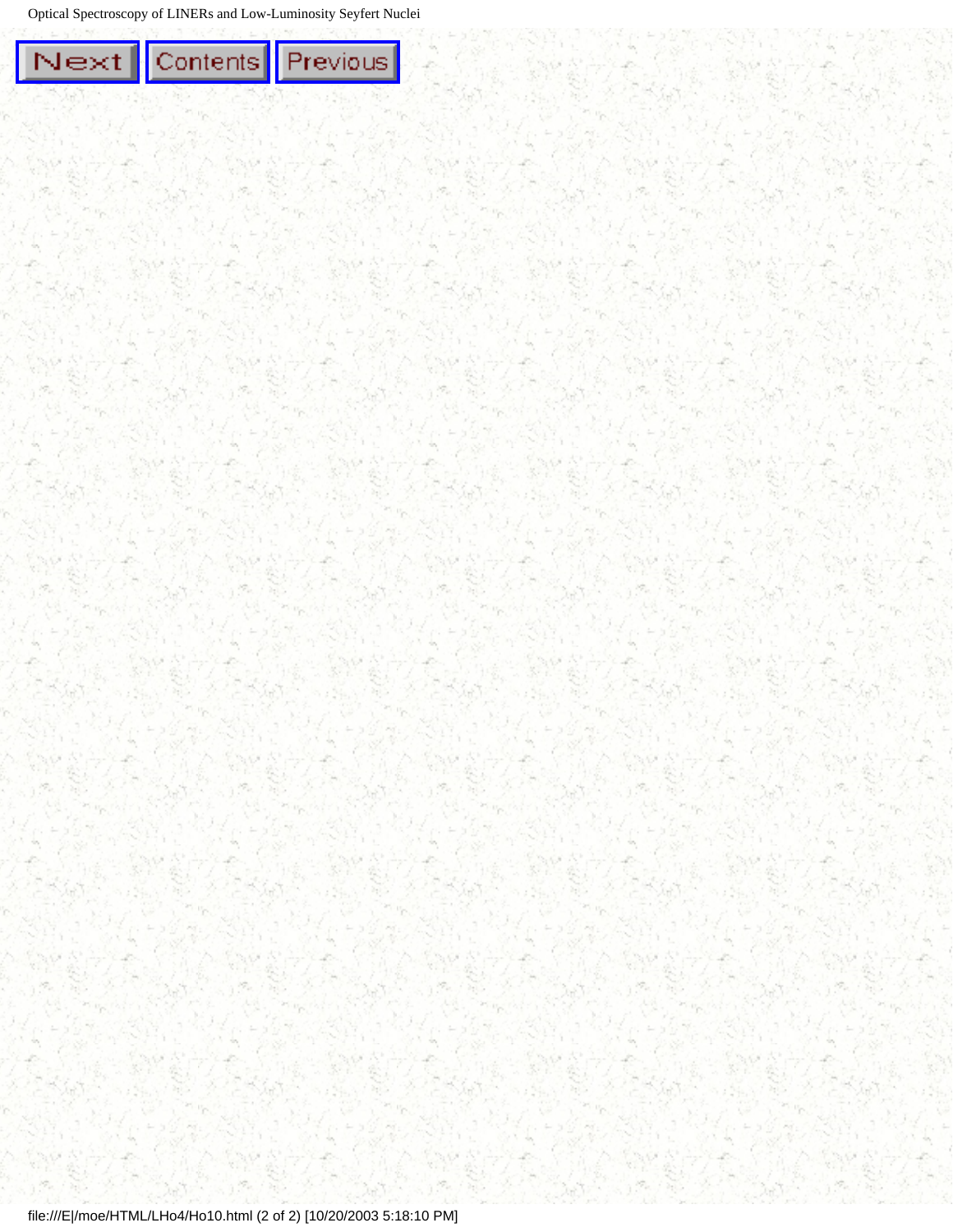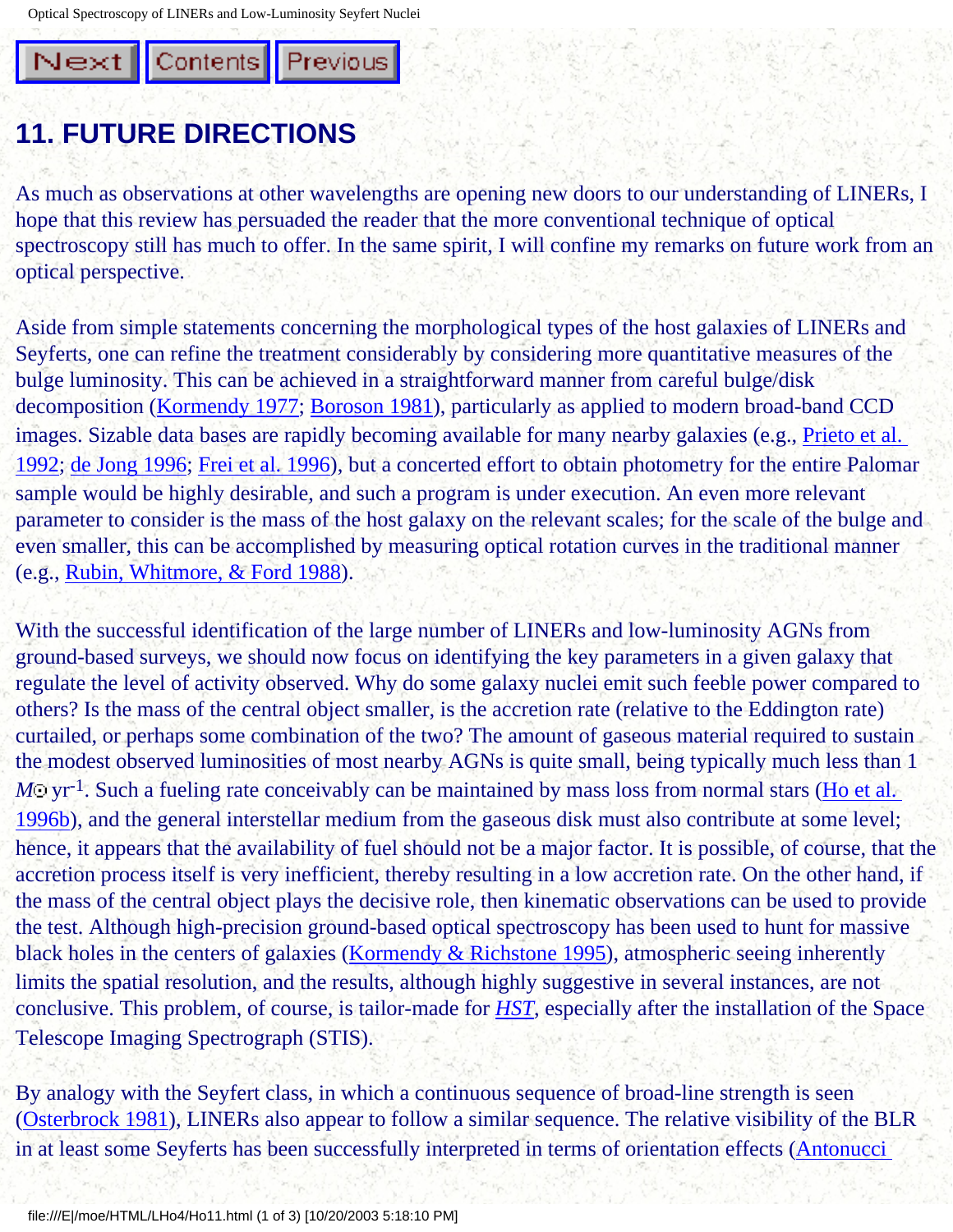### <span id="page-33-0"></span>**11. FUTURE DIRECTIONS**

As much as observations at other wavelengths are opening new doors to our understanding of LINERs, I hope that this review has persuaded the reader that the more conventional technique of optical spectroscopy still has much to offer. In the same spirit, I will confine my remarks on future work from an optical perspective.

Aside from simple statements concerning the morphological types of the host galaxies of LINERs and Seyferts, one can refine the treatment considerably by considering more quantitative measures of the bulge luminosity. This can be achieved in a straightforward manner from careful bulge/disk decomposition ([Kormendy 1977;](#page-37-27) Boroson 1981), particularly as applied to modern broad-band CCD images. Sizable data bases are rapidly becoming available for many nearby galaxies (e.g., [Prieto et al.](#page-38-28)  [1992](#page-38-28); de Jong 1996; Frei et al. 1996), but a concerted effort to obtain photometry for the entire Palomar sample would be highly desirable, and such a program is under execution. An even more relevant parameter to consider is the mass of the host galaxy on the relevant scales; for the scale of the bulge and even smaller, this can be accomplished by measuring optical rotation curves in the traditional manner (e.g., [Rubin, Whitmore, & Ford 1988](#page-38-29)).

With the successful identification of the large number of LINERs and low-luminosity AGNs from ground-based surveys, we should now focus on identifying the key parameters in a given galaxy that regulate the level of activity observed. Why do some galaxy nuclei emit such feeble power compared to others? Is the mass of the central object smaller, is the accretion rate (relative to the Eddington rate) curtailed, or perhaps some combination of the two? The amount of gaseous material required to sustain the modest observed luminosities of most nearby AGNs is quite small, being typically much less than 1  $M\text{O}$  yr<sup>-1</sup>. Such a fueling rate conceivably can be maintained by mass loss from normal stars ([Ho et al.](#page-37-16) [1996b](#page-37-16)), and the general interstellar medium from the gaseous disk must also contribute at some level; hence, it appears that the availability of fuel should not be a major factor. It is possible, of course, that the accretion process itself is very inefficient, thereby resulting in a low accretion rate. On the other hand, if the mass of the central object plays the decisive role, then kinematic observations can be used to provide the test. Although high-precision ground-based optical spectroscopy has been used to hunt for massive black holes in the centers of galaxies [\(Kormendy & Richstone 1995](#page-37-28)), atmospheric seeing inherently limits the spatial resolution, and the results, although highly suggestive in several instances, are not conclusive. This problem, of course, is tailor-made for *[HST](http://www.stsci.edu/)*, especially after the installation of the Space Telescope Imaging Spectrograph (STIS).

By analogy with the Seyfert class, in which a continuous sequence of broad-line strength is seen ([Osterbrock 1981](#page-38-20)), LINERs also appear to follow a similar sequence. The relative visibility of the BLR in at least some Seyferts has been successfully interpreted in terms of orientation effects (Antonucci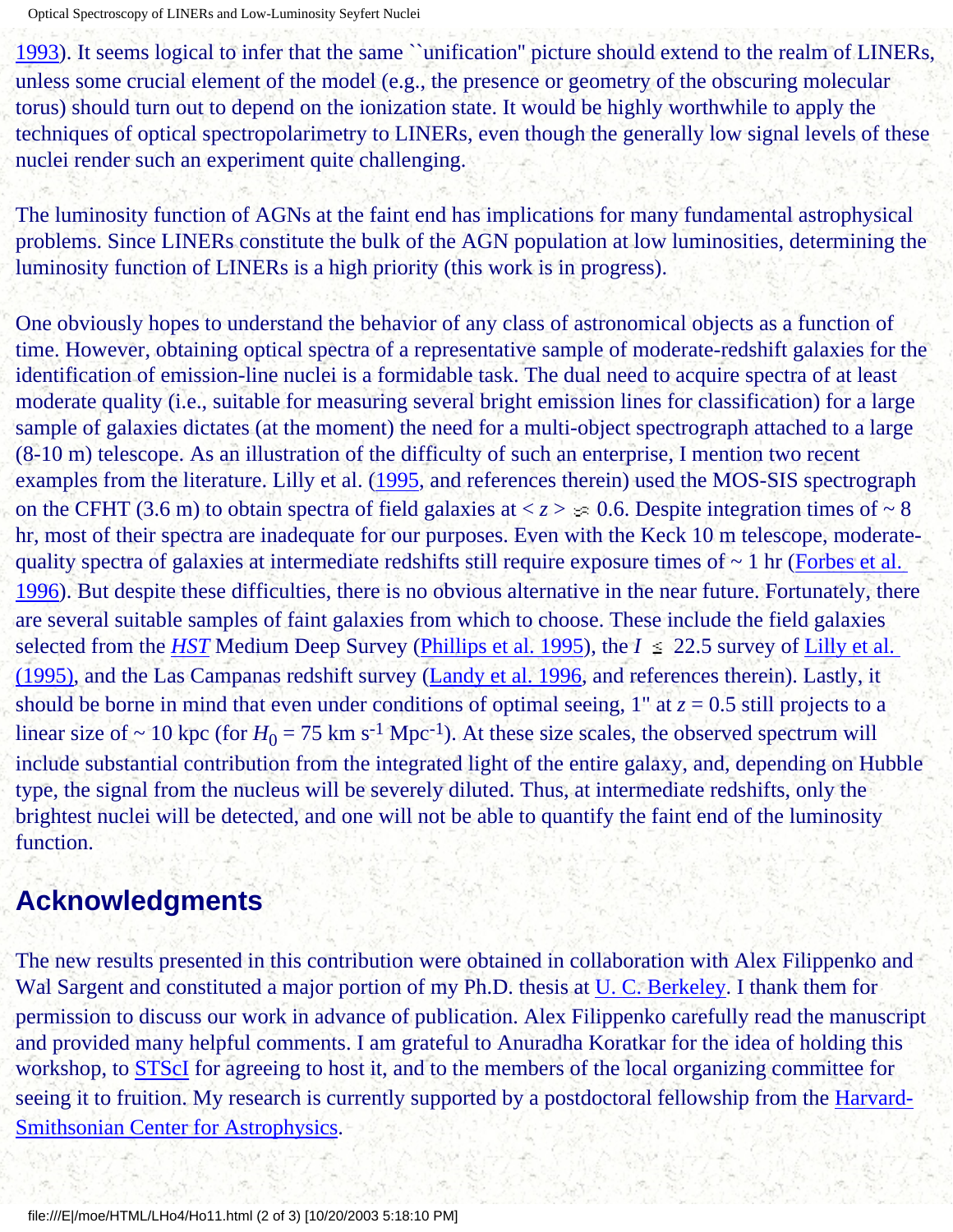1993). It seems logical to infer that the same ``unification'' picture should extend to the realm of LINERs, unless some crucial element of the model (e.g., the presence or geometry of the obscuring molecular torus) should turn out to depend on the ionization state. It would be highly worthwhile to apply the techniques of optical spectropolarimetry to LINERs, even though the generally low signal levels of these nuclei render such an experiment quite challenging.

The luminosity function of AGNs at the faint end has implications for many fundamental astrophysical problems. Since LINERs constitute the bulk of the AGN population at low luminosities, determining the luminosity function of LINERs is a high priority (this work is in progress).

One obviously hopes to understand the behavior of any class of astronomical objects as a function of time. However, obtaining optical spectra of a representative sample of moderate-redshift galaxies for the identification of emission-line nuclei is a formidable task. The dual need to acquire spectra of at least moderate quality (i.e., suitable for measuring several bright emission lines for classification) for a large sample of galaxies dictates (at the moment) the need for a multi-object spectrograph attached to a large (8-10 m) telescope. As an illustration of the difficulty of such an enterprise, I mention two recent examples from the literature. Lilly et al. [\(1995](#page-38-30), and references therein) used the MOS-SIS spectrograph on the CFHT (3.6 m) to obtain spectra of field galaxies at  $\langle z \rangle$   $\approx$  0.6. Despite integration times of  $\sim$  8 hr, most of their spectra are inadequate for our purposes. Even with the Keck 10 m telescope, moderatequality spectra of galaxies at intermediate redshifts still require exposure times of  $\sim 1$  hr (Forbes et al. 1996). But despite these difficulties, there is no obvious alternative in the near future. Fortunately, there are several suitable samples of faint galaxies from which to choose. These include the field galaxies selected from the *[HST](http://www.stsci.edu/)* Medium Deep Survey [\(Phillips et al. 1995](#page-38-31)), the  $I \le 22.5$  survey of Lilly et al. [\(1995\)](#page-38-30), and the Las Campanas redshift survey ([Landy et al. 1996,](#page-38-32) and references therein). Lastly, it should be borne in mind that even under conditions of optimal seeing,  $1''$  at  $z = 0.5$  still projects to a linear size of  $\sim 10$  kpc (for  $H_0 = 75$  km s<sup>-1</sup> Mpc<sup>-1</sup>). At these size scales, the observed spectrum will include substantial contribution from the integrated light of the entire galaxy, and, depending on Hubble type, the signal from the nucleus will be severely diluted. Thus, at intermediate redshifts, only the brightest nuclei will be detected, and one will not be able to quantify the faint end of the luminosity function.

### **Acknowledgments**

The new results presented in this contribution were obtained in collaboration with Alex Filippenko and Wal Sargent and constituted a major portion of my Ph.D. thesis at [U. C. Berkeley.](http://www.berkeley.edu/) I thank them for permission to discuss our work in advance of publication. Alex Filippenko carefully read the manuscript and provided many helpful comments. I am grateful to Anuradha Koratkar for the idea of holding this workshop, to **STScI** for agreeing to host it, and to the members of the local organizing committee for seeing it to fruition. My research is currently supported by a postdoctoral fellowship from the [Harvard-](http://cfa-www.harvard.edu/)[Smithsonian Center for Astrophysics](http://cfa-www.harvard.edu/).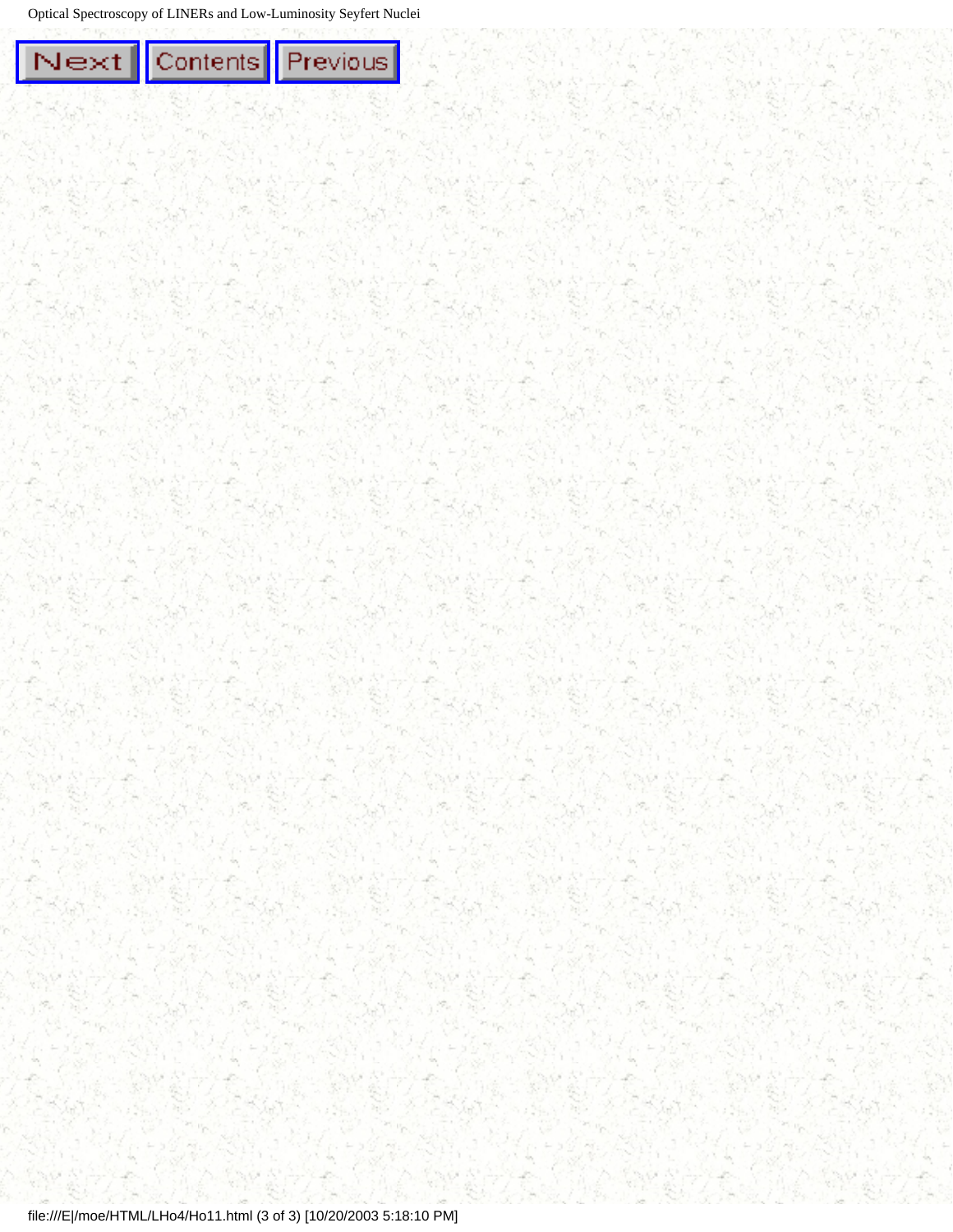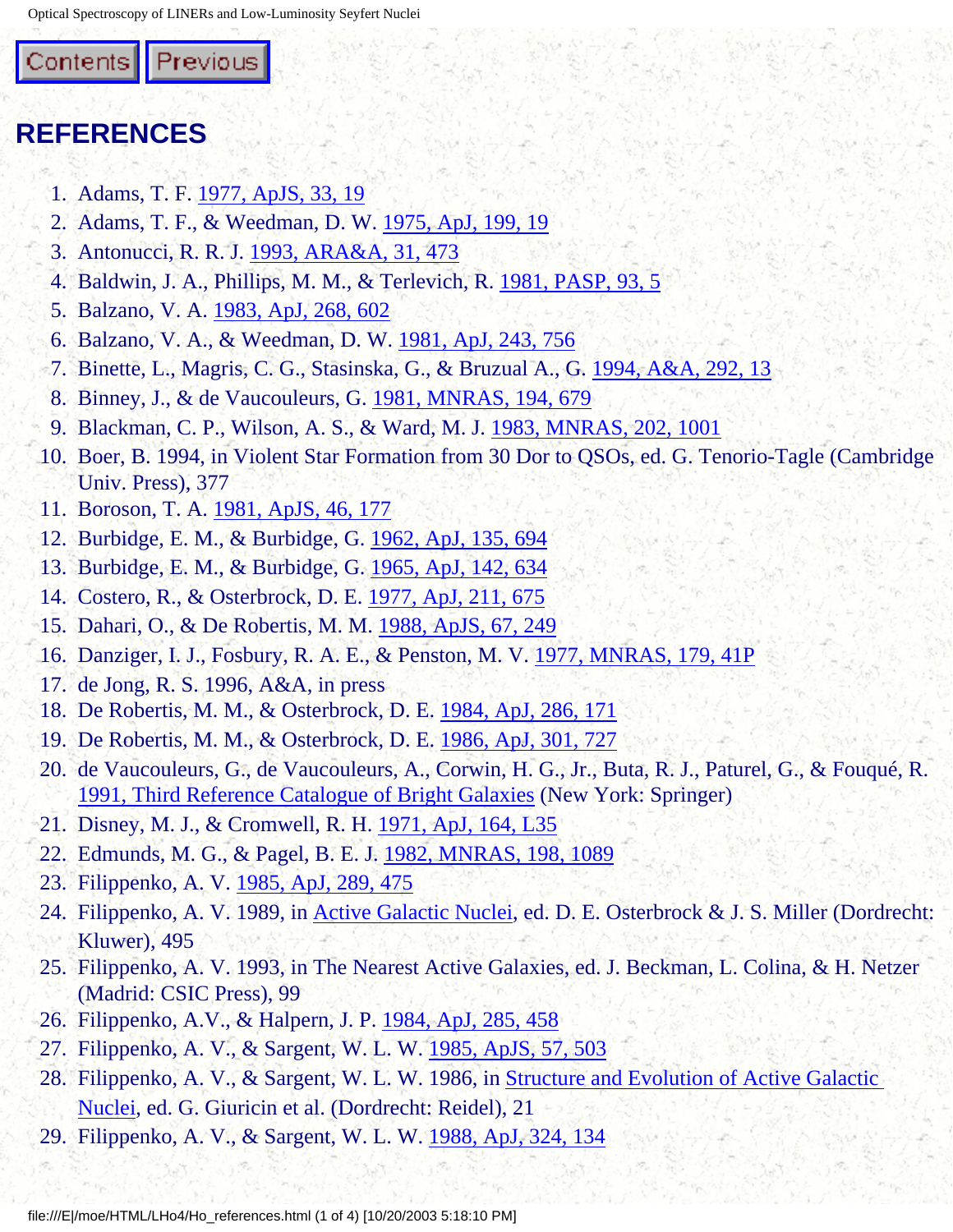<span id="page-36-0"></span>Contents Previous

### **REFERENCES**

- 1. Adams, T. F. [1977, ApJS, 33, 19](http://nedwww.ipac.caltech.edu./cgi-bin/nph-ex_refcode?refcode=1977ApJS...33...19A)
- 2. Adams, T. F., & Weedman, D. W. [1975, ApJ, 199, 19](http://nedwww.ipac.caltech.edu./cgi-bin/nph-ex_refcode?refcode=1975ApJ...199...19A)
- <span id="page-36-1"></span>3. Antonucci, R. R. J. [1993, ARA&A, 31, 473](http://adsabs.harvard.edu/cgi-bin/bib_query?1993ARA&A..31..473A)
- 4. Baldwin, J. A., Phillips, M. M., & Terlevich, R. [1981, PASP, 93, 5](http://nedwww.ipac.caltech.edu./cgi-bin/nph-ex_refcode?refcode=1981PASP...93....5B)
- <span id="page-36-5"></span><span id="page-36-3"></span>5. Balzano, V. A. [1983, ApJ, 268, 602](http://nedwww.ipac.caltech.edu./cgi-bin/nph-ex_refcode?refcode=1983ApJ...268..602B)
- 6. Balzano, V. A., & Weedman, D. W. [1981, ApJ, 243, 756](http://nedwww.ipac.caltech.edu./cgi-bin/nph-ex_refcode?refcode=1981ApJ...243..756B)
- <span id="page-36-4"></span><span id="page-36-2"></span>7. Binette, L., Magris, C. G., Stasinska, G., & Bruzual A., G. [1994, A&A, 292, 13](http://nedwww.ipac.caltech.edu./cgi-bin/nph-ex_refcode?refcode=1994A&A...292...13B)
- 8. Binney, J., & de Vaucouleurs, G. [1981, MNRAS, 194, 679](http://adsabs.harvard.edu/cgi-bin/bib_query?1981MNRAS.194..679B)
- <span id="page-36-6"></span>9. Blackman, C. P., Wilson, A. S., & Ward, M. J. [1983, MNRAS, 202, 1001](http://nedwww.ipac.caltech.edu./cgi-bin/nph-ex_refcode?refcode=1983MNRAS.202.1001B)
- 10. Boer, B. 1994, in Violent Star Formation from 30 Dor to QSOs, ed. G. Tenorio-Tagle (Cambridge Univ. Press), 377
- 11. Boroson, T. A. [1981, ApJS, 46, 177](http://nedwww.ipac.caltech.edu./cgi-bin/nph-ex_refcode?refcode=1981ApJS...46..177B)
- 12. Burbidge, E. M., & Burbidge, G. [1962, ApJ, 135, 694](http://nedwww.ipac.caltech.edu./cgi-bin/nph-ex_refcode?refcode=1962ApJ...135..694B)
- 13. Burbidge, E. M., & Burbidge, G. [1965, ApJ, 142, 634](http://nedwww.ipac.caltech.edu./cgi-bin/nph-ex_refcode?refcode=1965ApJ...142..634B)
- 14. Costero, R., & Osterbrock, D. E. [1977, ApJ, 211, 675](http://nedwww.ipac.caltech.edu./cgi-bin/nph-ex_refcode?refcode=1977ApJ...211..675C)
- 15. Dahari, O., & De Robertis, M. M. [1988, ApJS, 67, 249](http://nedwww.ipac.caltech.edu./cgi-bin/nph-ex_refcode?refcode=1988ApJS...67..249D)
- 16. Danziger, I. J., Fosbury, R. A. E., & Penston, M. V. [1977, MNRAS, 179, 41P](http://adsabs.harvard.edu/cgi-bin/bib_query?1977MNRAS.179P..41D)
- 17. de Jong, R. S. 1996, A&A, in press
- 18. De Robertis, M. M., & Osterbrock, D. E. [1984, ApJ, 286, 171](http://nedwww.ipac.caltech.edu./cgi-bin/nph-ex_refcode?refcode=1984ApJ...286..171D)
- 19. De Robertis, M. M., & Osterbrock, D. E. [1986, ApJ, 301, 727](http://nedwww.ipac.caltech.edu./cgi-bin/nph-ex_refcode?refcode=1986ApJ...301..727D)
- 20. de Vaucouleurs, G., de Vaucouleurs, A., Corwin, H. G., Jr., Buta, R. J., Paturel, G., & Fouqué, R. [1991, Third Reference Catalogue of Bright Galaxies](http://adsabs.harvard.edu/cgi-bin/bib_query?1991trcb.book.....D) (New York: Springer)
- 21. Disney, M. J., & Cromwell, R. H. [1971, ApJ, 164, L35](http://nedwww.ipac.caltech.edu./cgi-bin/nph-ex_refcode?refcode=1971ApJ...164L..35D)
- 22. Edmunds, M. G., & Pagel, B. E. J. [1982, MNRAS, 198, 1089](http://nedwww.ipac.caltech.edu./cgi-bin/nph-ex_refcode?refcode=1982MNRAS.198.1089E)
- 23. Filippenko, A. V. [1985, ApJ, 289, 475](http://nedwww.ipac.caltech.edu./cgi-bin/nph-ex_refcode?refcode=1985ApJ...289..475F)
- 24. Filippenko, A. V. 1989, in [Active Galactic Nuclei,](http://adsabs.harvard.edu/cgi-bin/bib_query?1989IAUS..134..495F) ed. D. E. Osterbrock & J. S. Miller (Dordrecht: Kluwer), 495
- 25. Filippenko, A. V. 1993, in The Nearest Active Galaxies, ed. J. Beckman, L. Colina, & H. Netzer (Madrid: CSIC Press), 99
- 26. Filippenko, A.V., & Halpern, J. P. [1984, ApJ, 285, 458](http://nedwww.ipac.caltech.edu./cgi-bin/nph-ex_refcode?refcode=1984ApJ...285..458F)
- 27. Filippenko, A. V., & Sargent, W. L. W. [1985, ApJS, 57, 503](http://nedwww.ipac.caltech.edu./cgi-bin/nph-ex_refcode?refcode=1985ApJS...57..503F)
- 28. Filippenko, A. V., & Sargent, W. L. W. 1986, in [Structure and Evolution of Active Galactic](http://adsabs.harvard.edu/cgi-bin/bib_query?1986seag.proc...21F)  [Nuclei](http://adsabs.harvard.edu/cgi-bin/bib_query?1986seag.proc...21F), ed. G. Giuricin et al. (Dordrecht: Reidel), 21
- 29. Filippenko, A. V., & Sargent, W. L. W. [1988, ApJ, 324, 134](http://nedwww.ipac.caltech.edu./cgi-bin/nph-ex_refcode?refcode=1988ApJ...324..134F)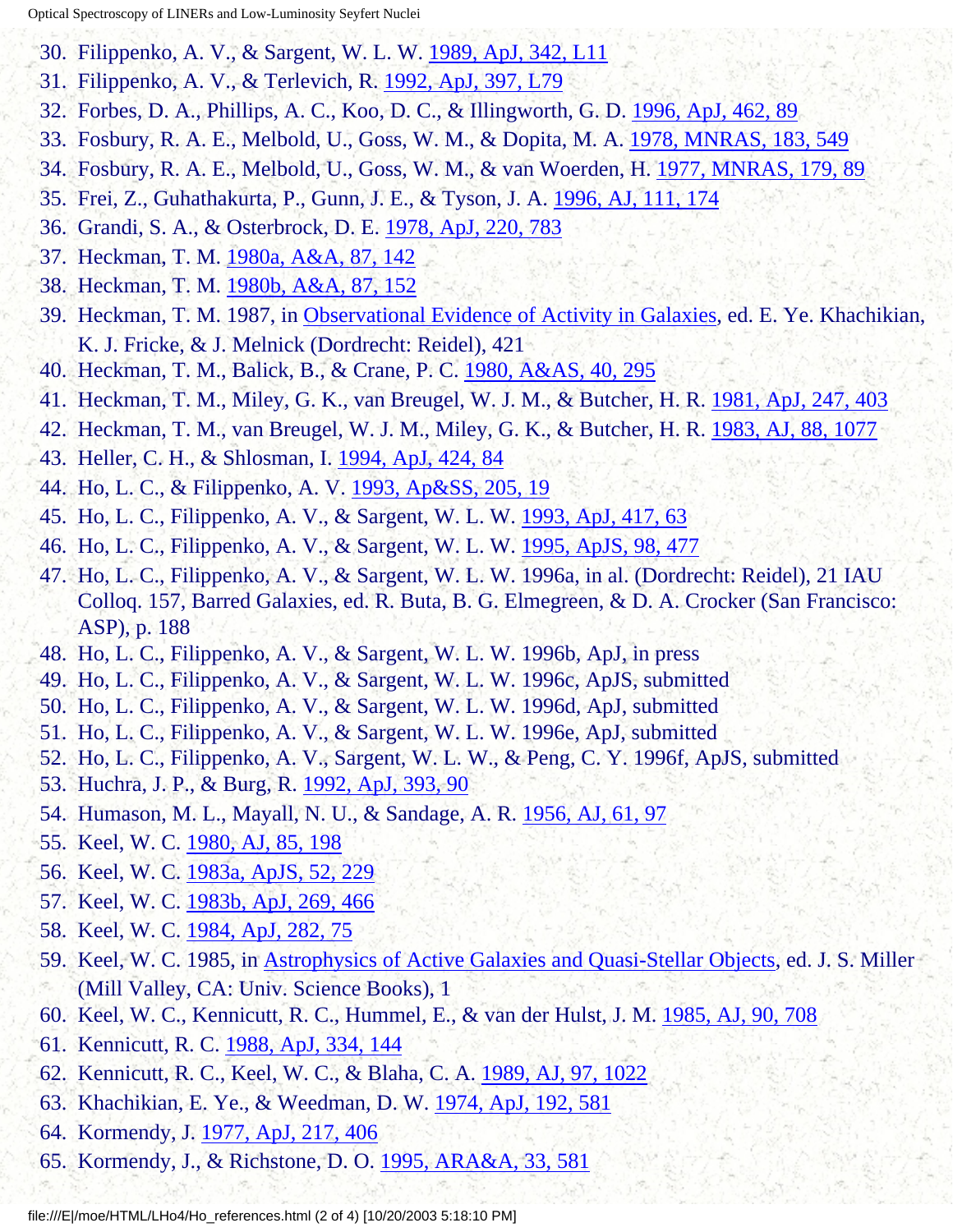- 30. Filippenko, A. V., & Sargent, W. L. W. [1989, ApJ, 342, L11](http://nedwww.ipac.caltech.edu./cgi-bin/nph-ex_refcode?refcode=1989ApJ...342L..11F)
- 31. Filippenko, A. V., & Terlevich, R. [1992, ApJ, 397, L79](http://nedwww.ipac.caltech.edu./cgi-bin/nph-ex_refcode?refcode=1992ApJ...397L..79F)
- 32. Forbes, D. A., Phillips, A. C., Koo, D. C., & Illingworth, G. D. [1996, ApJ, 462, 89](http://nedwww.ipac.caltech.edu./cgi-bin/nph-ex_refcode?refcode=1996ApJ...462...89F)
- 33. Fosbury, R. A. E., Melbold, U., Goss, W. M., & Dopita, M. A. [1978, MNRAS, 183, 549](http://nedwww.ipac.caltech.edu./cgi-bin/nph-ex_refcode?refcode=1978MNRAS.183..549F)
- 34. Fosbury, R. A. E., Melbold, U., Goss, W. M., & van Woerden, H. [1977, MNRAS, 179, 89](http://nedwww.ipac.caltech.edu./cgi-bin/nph-ex_refcode?refcode=1977MNRAS.179...89F)
- 35. Frei, Z., Guhathakurta, P., Gunn, J. E., & Tyson, J. A. [1996, AJ, 111, 174](http://nedwww.ipac.caltech.edu./cgi-bin/nph-ex_refcode?refcode=1996AJ....111..174F)
- 36. Grandi, S. A., & Osterbrock, D. E. [1978, ApJ, 220, 783](http://nedwww.ipac.caltech.edu./cgi-bin/nph-ex_refcode?refcode=1978ApJ...220..783G)
- 37. Heckman, T. M. [1980a, A&A, 87, 142](http://nedwww.ipac.caltech.edu./cgi-bin/nph-ex_refcode?refcode=1980A&A....87..142H)
- <span id="page-37-0"></span>38. Heckman, T. M. [1980b, A&A, 87, 152](http://nedwww.ipac.caltech.edu./cgi-bin/nph-ex_refcode?refcode=1980A&A....87..152H)
- <span id="page-37-2"></span>39. Heckman, T. M. 1987, in [Observational Evidence of Activity in Galaxies,](http://nedwww.ipac.caltech.edu./cgi-bin/nph-ex_refcode?refcode=1987IAUS..121..421H) ed. E. Ye. Khachikian, K. J. Fricke, & J. Melnick (Dordrecht: Reidel), 421
- <span id="page-37-8"></span>40. Heckman, T. M., Balick, B., & Crane, P. C. [1980, A&AS, 40, 295](http://nedwww.ipac.caltech.edu./cgi-bin/nph-ex_refcode?refcode=1980A&AS...40..295H)
- <span id="page-37-19"></span>41. Heckman, T. M., Miley, G. K., van Breugel, W. J. M., & Butcher, H. R. [1981, ApJ, 247, 403](http://nedwww.ipac.caltech.edu./cgi-bin/nph-ex_refcode?refcode=1981ApJ...247..403H)
- <span id="page-37-23"></span>42. Heckman, T. M., van Breugel, W. J. M., Miley, G. K., & Butcher, H. R. [1983, AJ, 88, 1077](http://nedwww.ipac.caltech.edu./cgi-bin/nph-ex_refcode?refcode=1983AJ.....88.1077H)
- <span id="page-37-12"></span>43. Heller, C. H., & Shlosman, I. [1994, ApJ, 424, 84](http://nedwww.ipac.caltech.edu./cgi-bin/nph-ex_refcode?refcode=1994ApJ...424...84H)
- <span id="page-37-26"></span>44. Ho, L. C., & Filippenko, A. V. [1993, Ap&SS, 205, 19](http://nedwww.ipac.caltech.edu./cgi-bin/nph-ex_refcode?refcode=1993Ap&SS.205...19H)
- <span id="page-37-6"></span>45. Ho, L. C., Filippenko, A. V., & Sargent, W. L. W. [1993, ApJ, 417, 63](http://nedwww.ipac.caltech.edu./cgi-bin/nph-ex_refcode?refcode=1993ApJ...417...63H)
- <span id="page-37-11"></span>46. Ho, L. C., Filippenko, A. V., & Sargent, W. L. W. [1995, ApJS, 98, 477](http://nedwww.ipac.caltech.edu./cgi-bin/nph-ex_refcode?refcode=1995ApJS...98..477H)
- <span id="page-37-13"></span>47. Ho, L. C., Filippenko, A. V., & Sargent, W. L. W. 1996a, in al. (Dordrecht: Reidel), 21 IAU Colloq. 157, Barred Galaxies, ed. R. Buta, B. G. Elmegreen, & D. A. Crocker (San Francisco: ASP), p. 188
- <span id="page-37-16"></span>48. Ho, L. C., Filippenko, A. V., & Sargent, W. L. W. 1996b, ApJ, in press
- <span id="page-37-10"></span>49. Ho, L. C., Filippenko, A. V., & Sargent, W. L. W. 1996c, ApJS, submitted
- <span id="page-37-14"></span><span id="page-37-5"></span>50. Ho, L. C., Filippenko, A. V., & Sargent, W. L. W. 1996d, ApJ, submitted
- 51. Ho, L. C., Filippenko, A. V., & Sargent, W. L. W. 1996e, ApJ, submitted
- <span id="page-37-20"></span>52. Ho, L. C., Filippenko, A. V., Sargent, W. L. W., & Peng, C. Y. 1996f, ApJS, submitted
- <span id="page-37-22"></span>53. Huchra, J. P., & Burg, R. [1992, ApJ, 393, 90](http://nedwww.ipac.caltech.edu./cgi-bin/nph-ex_refcode?refcode=1992ApJ...393...90H)
- <span id="page-37-7"></span>54. Humason, M. L., Mayall, N. U., & Sandage, A. R. [1956, AJ, 61, 97](http://nedwww.ipac.caltech.edu./cgi-bin/nph-ex_refcode?refcode=1956AJ.....61...97H)
- <span id="page-37-18"></span>55. Keel, W. C. [1980, AJ, 85, 198](http://nedwww.ipac.caltech.edu./cgi-bin/nph-ex_refcode?refcode=1980AJ.....85..198K)
- <span id="page-37-9"></span><span id="page-37-3"></span>56. Keel, W. C. [1983a, ApJS, 52, 229](http://nedwww.ipac.caltech.edu./cgi-bin/nph-ex_refcode?refcode=1983ApJS...52..229K)
- 57. Keel, W. C. [1983b, ApJ, 269, 466](http://nedwww.ipac.caltech.edu./cgi-bin/nph-ex_refcode?refcode=1983ApJ...269..466K)
- <span id="page-37-25"></span>58. Keel, W. C. [1984, ApJ, 282, 75](http://nedwww.ipac.caltech.edu./cgi-bin/nph-ex_refcode?refcode=1984ApJ...282...75K)
- <span id="page-37-1"></span>59. Keel, W. C. 1985, in [Astrophysics of Active Galaxies and Quasi-Stellar Objects](http://adsabs.harvard.edu/cgi-bin/bib_query?1985aagq.conf....1K), ed. J. S. Miller (Mill Valley, CA: Univ. Science Books), 1
- <span id="page-37-15"></span><span id="page-37-4"></span>60. Keel, W. C., Kennicutt, R. C., Hummel, E., & van der Hulst, J. M. [1985, AJ, 90, 708](http://nedwww.ipac.caltech.edu./cgi-bin/nph-ex_refcode?refcode=1985AJ.....90..708K)
- 61. Kennicutt, R. C. [1988, ApJ, 334, 144](http://nedwww.ipac.caltech.edu./cgi-bin/nph-ex_refcode?refcode=1988ApJ...334..144K)
- <span id="page-37-24"></span>62. Kennicutt, R. C., Keel, W. C., & Blaha, C. A. [1989, AJ, 97, 1022](http://nedwww.ipac.caltech.edu./cgi-bin/nph-ex_refcode?refcode=1989AJ.....97.1022K)
- <span id="page-37-21"></span>63. Khachikian, E. Ye., & Weedman, D. W. [1974, ApJ, 192, 581](http://nedwww.ipac.caltech.edu./cgi-bin/nph-ex_refcode?refcode=1974ApJ...192..581K)
- <span id="page-37-27"></span>64. Kormendy, J. [1977, ApJ, 217, 406](http://nedwww.ipac.caltech.edu./cgi-bin/nph-ex_refcode?refcode=1977ApJ...217..406K)
- <span id="page-37-28"></span><span id="page-37-17"></span>65. Kormendy, J., & Richstone, D. O. [1995, ARA&A, 33, 581](http://adsabs.harvard.edu/cgi-bin/bib_query?1995ARA&A..33..581K)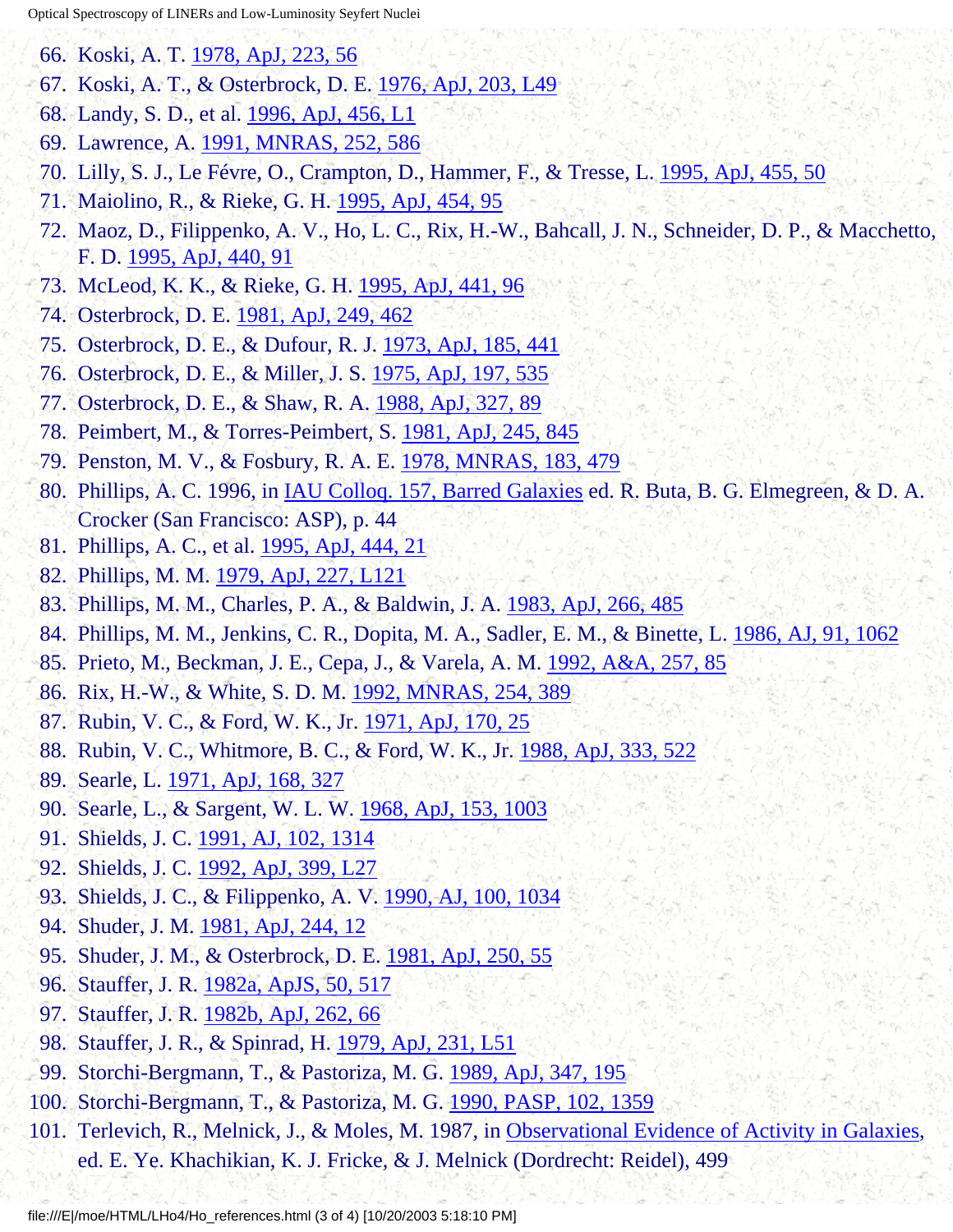- <span id="page-38-6"></span>66. Koski, A. T. [1978, ApJ, 223, 56](http://nedwww.ipac.caltech.edu./cgi-bin/nph-ex_refcode?refcode=1978ApJ...223...56K)
- 67. Koski, A. T., & Osterbrock, D. E. [1976, ApJ, 203, L49](http://nedwww.ipac.caltech.edu./cgi-bin/nph-ex_refcode?refcode=1976ApJ...203L..49K)
- <span id="page-38-32"></span><span id="page-38-23"></span>68. Landy, S. D., et al. [1996, ApJ, 456, L1](http://nedwww.ipac.caltech.edu./cgi-bin/nph-ex_refcode?refcode=1996ApJ...456L...1L)
- 69. Lawrence, A. [1991, MNRAS, 252, 586](http://nedwww.ipac.caltech.edu./cgi-bin/nph-ex_refcode?refcode=1991MNRAS.252..586L)
- <span id="page-38-30"></span>70. Lilly, S. J., Le Févre, O., Crampton, D., Hammer, F., & Tresse, L. [1995, ApJ, 455, 50](http://nedwww.ipac.caltech.edu./cgi-bin/nph-ex_refcode?refcode=1995ApJ...455...50L)
- <span id="page-38-14"></span>71. Maiolino, R., & Rieke, G. H. [1995, ApJ, 454, 95](http://nedwww.ipac.caltech.edu./cgi-bin/nph-ex_refcode?refcode=1995ApJ...454...95M)
- <span id="page-38-25"></span>72. Maoz, D., Filippenko, A. V., Ho, L. C., Rix, H.-W., Bahcall, J. N., Schneider, D. P., & Macchetto, F. D. [1995, ApJ, 440, 91](http://nedwww.ipac.caltech.edu./cgi-bin/nph-ex_refcode?refcode=1995ApJ...440...91M)
- <span id="page-38-18"></span>73. McLeod, K. K., & Rieke, G. H. [1995, ApJ, 441, 96](http://nedwww.ipac.caltech.edu./cgi-bin/nph-ex_refcode?refcode=1995ApJ...441...96M)
- <span id="page-38-20"></span>74. Osterbrock, D. E. [1981, ApJ, 249, 462](http://nedwww.ipac.caltech.edu./cgi-bin/nph-ex_refcode?refcode=1981ApJ...249..462O)
- <span id="page-38-4"></span>75. Osterbrock, D. E., & Dufour, R. J. [1973, ApJ, 185, 441](http://adsabs.harvard.edu/cgi-bin/bib_query?1973ApJ...185..441O)
- <span id="page-38-5"></span>76. Osterbrock, D. E., & Miller, J. S. [1975, ApJ, 197, 535](http://nedwww.ipac.caltech.edu./cgi-bin/nph-ex_refcode?refcode=1975ApJ...197..535O)
- <span id="page-38-22"></span><span id="page-38-21"></span>77. Osterbrock, D. E., & Shaw, R. A. [1988, ApJ, 327, 89](http://nedwww.ipac.caltech.edu./cgi-bin/nph-ex_refcode?refcode=1988ApJ...327...89O)
- 78. Peimbert, M., & Torres-Peimbert, S. [1981, ApJ, 245, 845](http://nedwww.ipac.caltech.edu./cgi-bin/nph-ex_refcode?refcode=1981ApJ...245..845P)
- <span id="page-38-8"></span>79. Penston, M. V., & Fosbury, R. A. E. [1978, MNRAS, 183, 479](http://nedwww.ipac.caltech.edu./cgi-bin/nph-ex_refcode?refcode=1978MNRAS.183..479P)
- <span id="page-38-26"></span>80. Phillips, A. C. 1996, in [IAU Colloq. 157, Barred Galaxies](http://adsabs.harvard.edu/cgi-bin/bib_query?1996IAUCo.157...44P) ed. R. Buta, B. G. Elmegreen, & D. A. Crocker (San Francisco: ASP), p. 44
- <span id="page-38-31"></span>81. Phillips, A. C., et al. [1995, ApJ, 444, 21](http://nedwww.ipac.caltech.edu./cgi-bin/nph-ex_refcode?refcode=1995ApJ...444...21P)
- <span id="page-38-7"></span>82. Phillips, M. M. [1979, ApJ, 227, L121](http://nedwww.ipac.caltech.edu./cgi-bin/nph-ex_refcode?refcode=1979ApJ...227L.121P)
- <span id="page-38-13"></span>83. Phillips, M. M., Charles, P. A., & Baldwin, J. A. [1983, ApJ, 266, 485](http://nedwww.ipac.caltech.edu./cgi-bin/nph-ex_refcode?refcode=1983ApJ...266..485P)
- <span id="page-38-1"></span>84. Phillips, M. M., Jenkins, C. R., Dopita, M. A., Sadler, E. M., & Binette, L. [1986, AJ, 91, 1062](http://nedwww.ipac.caltech.edu./cgi-bin/nph-ex_refcode?refcode=1986AJ.....91.1062P)
- <span id="page-38-28"></span>85. Prieto, M., Beckman, J. E., Cepa, J., & Varela, A. M. [1992, A&A, 257, 85](http://nedwww.ipac.caltech.edu./cgi-bin/nph-ex_refcode?refcode=1992A&A...257...85P)
- <span id="page-38-12"></span>86. Rix, H.-W., & White, S. D. M. [1992, MNRAS, 254, 389](http://nedwww.ipac.caltech.edu./cgi-bin/nph-ex_refcode?refcode=1992MNRAS.254..389R)
- <span id="page-38-3"></span>87. Rubin, V. C., & Ford, W. K., Jr. [1971, ApJ, 170, 25](http://nedwww.ipac.caltech.edu./cgi-bin/nph-ex_refcode?refcode=1971ApJ...170...25R)
- <span id="page-38-29"></span>88. Rubin, V. C., Whitmore, B. C., & Ford, W. K., Jr. [1988, ApJ, 333, 522](http://nedwww.ipac.caltech.edu./cgi-bin/nph-ex_refcode?refcode=1988ApJ...333..522R)
- <span id="page-38-0"></span>89. Searle, L. [1971, ApJ, 168, 327](http://nedwww.ipac.caltech.edu./cgi-bin/nph-ex_refcode?refcode=1971ApJ...168..327S)
- <span id="page-38-16"></span>90. Searle, L., & Sargent, W. L. W. [1968, ApJ, 153, 1003](http://adsabs.harvard.edu/cgi-bin/bib_query?1968ApJ...153.1003S)
- <span id="page-38-15"></span>91. Shields, J. C. [1991, AJ, 102, 1314](http://nedwww.ipac.caltech.edu./cgi-bin/nph-ex_refcode?refcode=1991AJ....102.1314S)
- <span id="page-38-27"></span><span id="page-38-24"></span>92. Shields, J. C. [1992, ApJ, 399, L27](http://nedwww.ipac.caltech.edu./cgi-bin/nph-ex_refcode?refcode=1992ApJ...399L..27S)
- 93. Shields, J. C., & Filippenko, A. V. [1990, AJ, 100, 1034](http://nedwww.ipac.caltech.edu./cgi-bin/nph-ex_refcode?refcode=1990AJ....100.1034S)
- <span id="page-38-17"></span>94. Shuder, J. M. [1981, ApJ, 244, 12](http://nedwww.ipac.caltech.edu./cgi-bin/nph-ex_refcode?refcode=1981ApJ...244...12S)
- <span id="page-38-19"></span>95. Shuder, J. M., & Osterbrock, D. E. [1981, ApJ, 250, 55](http://nedwww.ipac.caltech.edu./cgi-bin/nph-ex_refcode?refcode=1981ApJ...250...55S)
- <span id="page-38-10"></span>96. Stauffer, J. R. [1982a, ApJS, 50, 517](http://nedwww.ipac.caltech.edu./cgi-bin/nph-ex_refcode?refcode=1982ApJS...50..517S)
- <span id="page-38-11"></span>97. Stauffer, J. R. [1982b, ApJ, 262, 66](http://nedwww.ipac.caltech.edu./cgi-bin/nph-ex_refcode?refcode=1982ApJ...262...66S)
- <span id="page-38-9"></span>98. Stauffer, J. R., & Spinrad, H. [1979, ApJ, 231, L51](http://nedwww.ipac.caltech.edu./cgi-bin/nph-ex_refcode?refcode=1979ApJ...231L..51S)
- <span id="page-38-2"></span>99. Storchi-Bergmann, T., & Pastoriza, M. G. [1989, ApJ, 347, 195](http://nedwww.ipac.caltech.edu./cgi-bin/nph-ex_refcode?refcode=1989ApJ...347..195S)
- 100. Storchi-Bergmann, T., & Pastoriza, M. G. [1990, PASP, 102, 1359](http://nedwww.ipac.caltech.edu./cgi-bin/nph-ex_refcode?refcode=1990PASP..102.1359S)
- 101. Terlevich, R., Melnick, J., & Moles, M. 1987, in [Observational Evidence of Activity in Galaxies,](http://nedwww.ipac.caltech.edu./cgi-bin/nph-ex_refcode?refcode=1987IAUS..121..499T) ed. E. Ye. Khachikian, K. J. Fricke, & J. Melnick (Dordrecht: Reidel), 499